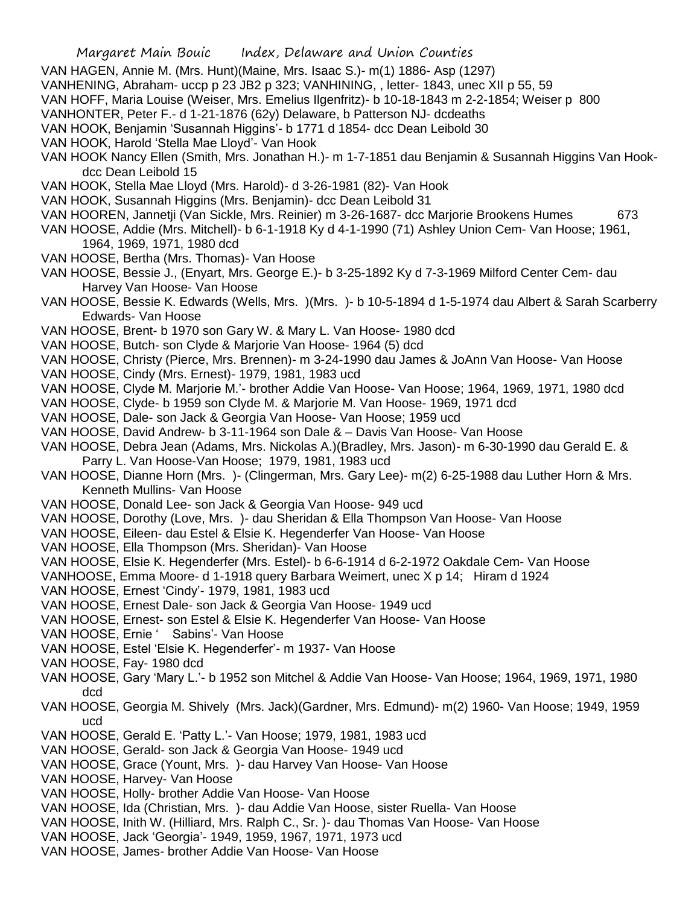- VAN HAGEN, Annie M. (Mrs. Hunt)(Maine, Mrs. Isaac S.)- m(1) 1886- Asp (1297)
- VANHENING, Abraham- uccp p 23 JB2 p 323; VANHINING, , letter- 1843, unec XII p 55, 59
- VAN HOFF, Maria Louise (Weiser, Mrs. Emelius Ilgenfritz)- b 10-18-1843 m 2-2-1854; Weiser p 800
- VANHONTER, Peter F.- d 1-21-1876 (62y) Delaware, b Patterson NJ- dcdeaths
- VAN HOOK, Benjamin 'Susannah Higgins'- b 1771 d 1854- dcc Dean Leibold 30
- VAN HOOK, Harold 'Stella Mae Lloyd'- Van Hook
- VAN HOOK Nancy Ellen (Smith, Mrs. Jonathan H.)- m 1-7-1851 dau Benjamin & Susannah Higgins Van Hookdcc Dean Leibold 15
- VAN HOOK, Stella Mae Lloyd (Mrs. Harold)- d 3-26-1981 (82)- Van Hook
- VAN HOOK, Susannah Higgins (Mrs. Benjamin)- dcc Dean Leibold 31
- VAN HOOREN, Jannetji (Van Sickle, Mrs. Reinier) m 3-26-1687- dcc Marjorie Brookens Humes 673
- VAN HOOSE, Addie (Mrs. Mitchell)- b 6-1-1918 Ky d 4-1-1990 (71) Ashley Union Cem- Van Hoose; 1961, 1964, 1969, 1971, 1980 dcd
- VAN HOOSE, Bertha (Mrs. Thomas)- Van Hoose
- VAN HOOSE, Bessie J., (Enyart, Mrs. George E.)- b 3-25-1892 Ky d 7-3-1969 Milford Center Cem- dau Harvey Van Hoose- Van Hoose
- VAN HOOSE, Bessie K. Edwards (Wells, Mrs. )(Mrs. )- b 10-5-1894 d 1-5-1974 dau Albert & Sarah Scarberry Edwards- Van Hoose
- VAN HOOSE, Brent- b 1970 son Gary W. & Mary L. Van Hoose- 1980 dcd
- VAN HOOSE, Butch- son Clyde & Marjorie Van Hoose- 1964 (5) dcd
- VAN HOOSE, Christy (Pierce, Mrs. Brennen)- m 3-24-1990 dau James & JoAnn Van Hoose- Van Hoose
- VAN HOOSE, Cindy (Mrs. Ernest)- 1979, 1981, 1983 ucd
- VAN HOOSE, Clyde M. Marjorie M.'- brother Addie Van Hoose- Van Hoose; 1964, 1969, 1971, 1980 dcd
- VAN HOOSE, Clyde- b 1959 son Clyde M. & Marjorie M. Van Hoose- 1969, 1971 dcd
- VAN HOOSE, Dale- son Jack & Georgia Van Hoose- Van Hoose; 1959 ucd
- VAN HOOSE, David Andrew- b 3-11-1964 son Dale & Davis Van Hoose- Van Hoose
- VAN HOOSE, Debra Jean (Adams, Mrs. Nickolas A.)(Bradley, Mrs. Jason)- m 6-30-1990 dau Gerald E. & Parry L. Van Hoose-Van Hoose; 1979, 1981, 1983 ucd
- VAN HOOSE, Dianne Horn (Mrs. )- (Clingerman, Mrs. Gary Lee)- m(2) 6-25-1988 dau Luther Horn & Mrs. Kenneth Mullins- Van Hoose
- VAN HOOSE, Donald Lee- son Jack & Georgia Van Hoose- 949 ucd
- VAN HOOSE, Dorothy (Love, Mrs. )- dau Sheridan & Ella Thompson Van Hoose- Van Hoose
- VAN HOOSE, Eileen- dau Estel & Elsie K. Hegenderfer Van Hoose- Van Hoose
- VAN HOOSE, Ella Thompson (Mrs. Sheridan)- Van Hoose
- VAN HOOSE, Elsie K. Hegenderfer (Mrs. Estel)- b 6-6-1914 d 6-2-1972 Oakdale Cem- Van Hoose
- VANHOOSE, Emma Moore- d 1-1918 query Barbara Weimert, unec X p 14; Hiram d 1924
- VAN HOOSE, Ernest 'Cindy'- 1979, 1981, 1983 ucd
- VAN HOOSE, Ernest Dale- son Jack & Georgia Van Hoose- 1949 ucd
- VAN HOOSE, Ernest- son Estel & Elsie K. Hegenderfer Van Hoose- Van Hoose
- VAN HOOSE, Ernie ' Sabins'- Van Hoose
- VAN HOOSE, Estel 'Elsie K. Hegenderfer'- m 1937- Van Hoose
- VAN HOOSE, Fay- 1980 dcd
- VAN HOOSE, Gary 'Mary L.'- b 1952 son Mitchel & Addie Van Hoose- Van Hoose; 1964, 1969, 1971, 1980 dcd
- VAN HOOSE, Georgia M. Shively (Mrs. Jack)(Gardner, Mrs. Edmund)- m(2) 1960- Van Hoose; 1949, 1959 ucd
- VAN HOOSE, Gerald E. 'Patty L.'- Van Hoose; 1979, 1981, 1983 ucd
- VAN HOOSE, Gerald- son Jack & Georgia Van Hoose- 1949 ucd
- VAN HOOSE, Grace (Yount, Mrs. )- dau Harvey Van Hoose- Van Hoose
- VAN HOOSE, Harvey- Van Hoose
- VAN HOOSE, Holly- brother Addie Van Hoose- Van Hoose
- VAN HOOSE, Ida (Christian, Mrs. )- dau Addie Van Hoose, sister Ruella- Van Hoose
- VAN HOOSE, Inith W. (Hilliard, Mrs. Ralph C., Sr. )- dau Thomas Van Hoose- Van Hoose
- VAN HOOSE, Jack 'Georgia'- 1949, 1959, 1967, 1971, 1973 ucd
- VAN HOOSE, James- brother Addie Van Hoose- Van Hoose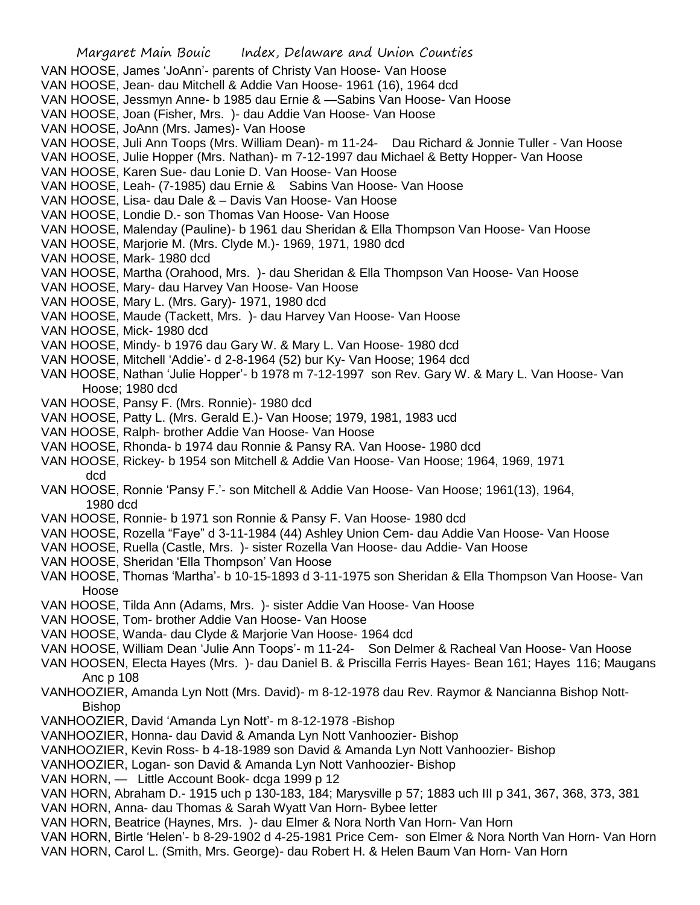Margaret Main Bouic Index, Delaware and Union Counties VAN HOOSE, James 'JoAnn'- parents of Christy Van Hoose- Van Hoose VAN HOOSE, Jean- dau Mitchell & Addie Van Hoose- 1961 (16), 1964 dcd VAN HOOSE, Jessmyn Anne- b 1985 dau Ernie & —Sabins Van Hoose- Van Hoose VAN HOOSE, Joan (Fisher, Mrs. )- dau Addie Van Hoose- Van Hoose VAN HOOSE, JoAnn (Mrs. James)- Van Hoose VAN HOOSE, Juli Ann Toops (Mrs. William Dean)- m 11-24- Dau Richard & Jonnie Tuller - Van Hoose VAN HOOSE, Julie Hopper (Mrs. Nathan)- m 7-12-1997 dau Michael & Betty Hopper- Van Hoose VAN HOOSE, Karen Sue- dau Lonie D. Van Hoose- Van Hoose VAN HOOSE, Leah- (7-1985) dau Ernie & Sabins Van Hoose- Van Hoose VAN HOOSE, Lisa- dau Dale & – Davis Van Hoose- Van Hoose VAN HOOSE, Londie D.- son Thomas Van Hoose- Van Hoose VAN HOOSE, Malenday (Pauline)- b 1961 dau Sheridan & Ella Thompson Van Hoose- Van Hoose VAN HOOSE, Marjorie M. (Mrs. Clyde M.)- 1969, 1971, 1980 dcd VAN HOOSE, Mark- 1980 dcd VAN HOOSE, Martha (Orahood, Mrs. )- dau Sheridan & Ella Thompson Van Hoose- Van Hoose VAN HOOSE, Mary- dau Harvey Van Hoose- Van Hoose VAN HOOSE, Mary L. (Mrs. Gary)- 1971, 1980 dcd VAN HOOSE, Maude (Tackett, Mrs. )- dau Harvey Van Hoose- Van Hoose VAN HOOSE, Mick- 1980 dcd VAN HOOSE, Mindy- b 1976 dau Gary W. & Mary L. Van Hoose- 1980 dcd VAN HOOSE, Mitchell 'Addie'- d 2-8-1964 (52) bur Ky- Van Hoose; 1964 dcd VAN HOOSE, Nathan 'Julie Hopper'- b 1978 m 7-12-1997 son Rev. Gary W. & Mary L. Van Hoose- Van Hoose; 1980 dcd VAN HOOSE, Pansy F. (Mrs. Ronnie)- 1980 dcd VAN HOOSE, Patty L. (Mrs. Gerald E.)- Van Hoose; 1979, 1981, 1983 ucd VAN HOOSE, Ralph- brother Addie Van Hoose- Van Hoose VAN HOOSE, Rhonda- b 1974 dau Ronnie & Pansy RA. Van Hoose- 1980 dcd VAN HOOSE, Rickey- b 1954 son Mitchell & Addie Van Hoose- Van Hoose; 1964, 1969, 1971 dcd VAN HOOSE, Ronnie 'Pansy F.'- son Mitchell & Addie Van Hoose- Van Hoose; 1961(13), 1964, 1980 dcd VAN HOOSE, Ronnie- b 1971 son Ronnie & Pansy F. Van Hoose- 1980 dcd VAN HOOSE, Rozella "Faye" d 3-11-1984 (44) Ashley Union Cem- dau Addie Van Hoose- Van Hoose VAN HOOSE, Ruella (Castle, Mrs. )- sister Rozella Van Hoose- dau Addie- Van Hoose VAN HOOSE, Sheridan 'Ella Thompson' Van Hoose VAN HOOSE, Thomas 'Martha'- b 10-15-1893 d 3-11-1975 son Sheridan & Ella Thompson Van Hoose- Van Hoose VAN HOOSE, Tilda Ann (Adams, Mrs. )- sister Addie Van Hoose- Van Hoose VAN HOOSE, Tom- brother Addie Van Hoose- Van Hoose VAN HOOSE, Wanda- dau Clyde & Marjorie Van Hoose- 1964 dcd VAN HOOSE, William Dean 'Julie Ann Toops'- m 11-24- Son Delmer & Racheal Van Hoose- Van Hoose VAN HOOSEN, Electa Hayes (Mrs. )- dau Daniel B. & Priscilla Ferris Hayes- Bean 161; Hayes 116; Maugans

- Anc p 108 VANHOOZIER, Amanda Lyn Nott (Mrs. David)- m 8-12-1978 dau Rev. Raymor & Nancianna Bishop Nott-
	- Bishop
- VANHOOZIER, David 'Amanda Lyn Nott'- m 8-12-1978 -Bishop
- VANHOOZIER, Honna- dau David & Amanda Lyn Nott Vanhoozier- Bishop
- VANHOOZIER, Kevin Ross- b 4-18-1989 son David & Amanda Lyn Nott Vanhoozier- Bishop
- VANHOOZIER, Logan- son David & Amanda Lyn Nott Vanhoozier- Bishop
- VAN HORN, Little Account Book- dcga 1999 p 12
- VAN HORN, Abraham D.- 1915 uch p 130-183, 184; Marysville p 57; 1883 uch III p 341, 367, 368, 373, 381
- VAN HORN, Anna- dau Thomas & Sarah Wyatt Van Horn- Bybee letter
- VAN HORN, Beatrice (Haynes, Mrs. )- dau Elmer & Nora North Van Horn- Van Horn
- VAN HORN, Birtle 'Helen'- b 8-29-1902 d 4-25-1981 Price Cem- son Elmer & Nora North Van Horn- Van Horn
- VAN HORN, Carol L. (Smith, Mrs. George)- dau Robert H. & Helen Baum Van Horn- Van Horn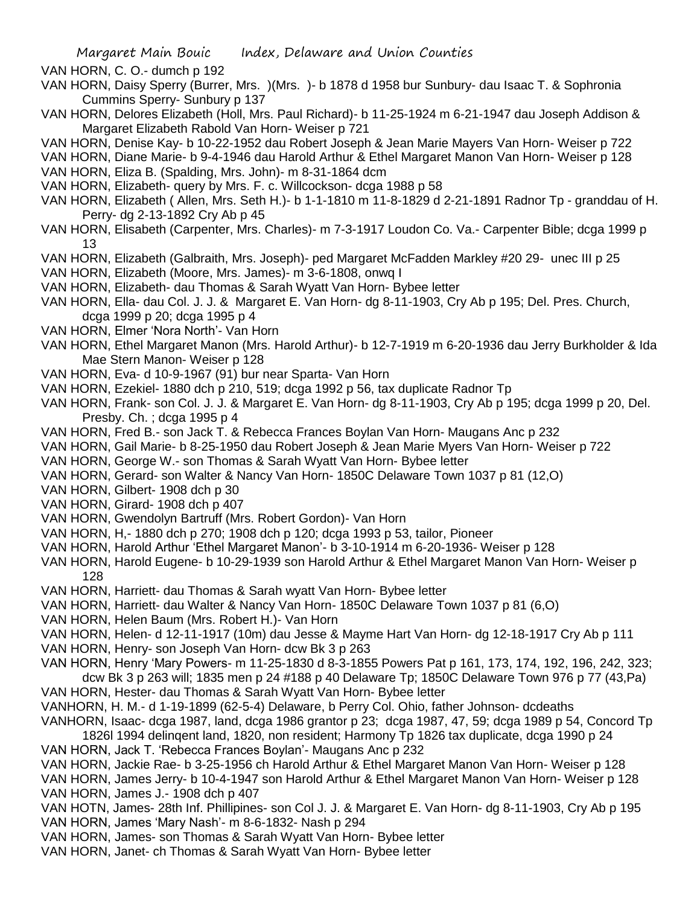VAN HORN, C. O.- dumch p 192

- VAN HORN, Daisy Sperry (Burrer, Mrs. )(Mrs. )- b 1878 d 1958 bur Sunbury- dau Isaac T. & Sophronia Cummins Sperry- Sunbury p 137
- VAN HORN, Delores Elizabeth (Holl, Mrs. Paul Richard)- b 11-25-1924 m 6-21-1947 dau Joseph Addison & Margaret Elizabeth Rabold Van Horn- Weiser p 721
- VAN HORN, Denise Kay- b 10-22-1952 dau Robert Joseph & Jean Marie Mayers Van Horn- Weiser p 722
- VAN HORN, Diane Marie- b 9-4-1946 dau Harold Arthur & Ethel Margaret Manon Van Horn- Weiser p 128
- VAN HORN, Eliza B. (Spalding, Mrs. John)- m 8-31-1864 dcm
- VAN HORN, Elizabeth- query by Mrs. F. c. Willcockson- dcga 1988 p 58
- VAN HORN, Elizabeth ( Allen, Mrs. Seth H.)- b 1-1-1810 m 11-8-1829 d 2-21-1891 Radnor Tp granddau of H. Perry- dg 2-13-1892 Cry Ab p 45
- VAN HORN, Elisabeth (Carpenter, Mrs. Charles)- m 7-3-1917 Loudon Co. Va.- Carpenter Bible; dcga 1999 p 13
- VAN HORN, Elizabeth (Galbraith, Mrs. Joseph)- ped Margaret McFadden Markley #20 29- unec III p 25
- VAN HORN, Elizabeth (Moore, Mrs. James)- m 3-6-1808, onwq I
- VAN HORN, Elizabeth- dau Thomas & Sarah Wyatt Van Horn- Bybee letter
- VAN HORN, Ella- dau Col. J. J. & Margaret E. Van Horn- dg 8-11-1903, Cry Ab p 195; Del. Pres. Church, dcga 1999 p 20; dcga 1995 p 4
- VAN HORN, Elmer 'Nora North'- Van Horn
- VAN HORN, Ethel Margaret Manon (Mrs. Harold Arthur)- b 12-7-1919 m 6-20-1936 dau Jerry Burkholder & Ida Mae Stern Manon- Weiser p 128
- VAN HORN, Eva- d 10-9-1967 (91) bur near Sparta- Van Horn
- VAN HORN, Ezekiel- 1880 dch p 210, 519; dcga 1992 p 56, tax duplicate Radnor Tp
- VAN HORN, Frank- son Col. J. J. & Margaret E. Van Horn- dg 8-11-1903, Cry Ab p 195; dcga 1999 p 20, Del. Presby. Ch. ; dcga 1995 p 4
- VAN HORN, Fred B.- son Jack T. & Rebecca Frances Boylan Van Horn- Maugans Anc p 232
- VAN HORN, Gail Marie- b 8-25-1950 dau Robert Joseph & Jean Marie Myers Van Horn- Weiser p 722
- VAN HORN, George W.- son Thomas & Sarah Wyatt Van Horn- Bybee letter
- VAN HORN, Gerard- son Walter & Nancy Van Horn- 1850C Delaware Town 1037 p 81 (12,O)
- VAN HORN, Gilbert- 1908 dch p 30
- VAN HORN, Girard- 1908 dch p 407
- VAN HORN, Gwendolyn Bartruff (Mrs. Robert Gordon)- Van Horn
- VAN HORN, H,- 1880 dch p 270; 1908 dch p 120; dcga 1993 p 53, tailor, Pioneer
- VAN HORN, Harold Arthur 'Ethel Margaret Manon'- b 3-10-1914 m 6-20-1936- Weiser p 128
- VAN HORN, Harold Eugene- b 10-29-1939 son Harold Arthur & Ethel Margaret Manon Van Horn- Weiser p 128
- VAN HORN, Harriett- dau Thomas & Sarah wyatt Van Horn- Bybee letter
- VAN HORN, Harriett- dau Walter & Nancy Van Horn- 1850C Delaware Town 1037 p 81 (6,O)
- VAN HORN, Helen Baum (Mrs. Robert H.)- Van Horn
- VAN HORN, Helen- d 12-11-1917 (10m) dau Jesse & Mayme Hart Van Horn- dg 12-18-1917 Cry Ab p 111
- VAN HORN, Henry- son Joseph Van Horn- dcw Bk 3 p 263
- VAN HORN, Henry 'Mary Powers- m 11-25-1830 d 8-3-1855 Powers Pat p 161, 173, 174, 192, 196, 242, 323; dcw Bk 3 p 263 will; 1835 men p 24 #188 p 40 Delaware Tp; 1850C Delaware Town 976 p 77 (43,Pa) VAN HORN, Hester- dau Thomas & Sarah Wyatt Van Horn- Bybee letter
- VANHORN, H. M.- d 1-19-1899 (62-5-4) Delaware, b Perry Col. Ohio, father Johnson- dcdeaths
- VANHORN, Isaac- dcga 1987, land, dcga 1986 grantor p 23; dcga 1987, 47, 59; dcga 1989 p 54, Concord Tp 1826l 1994 delinqent land, 1820, non resident; Harmony Tp 1826 tax duplicate, dcga 1990 p 24
- VAN HORN, Jack T. 'Rebecca Frances Boylan'- Maugans Anc p 232
- VAN HORN, Jackie Rae- b 3-25-1956 ch Harold Arthur & Ethel Margaret Manon Van Horn- Weiser p 128
- VAN HORN, James Jerry- b 10-4-1947 son Harold Arthur & Ethel Margaret Manon Van Horn- Weiser p 128 VAN HORN, James J.- 1908 dch p 407
- VAN HOTN, James- 28th Inf. Phillipines- son Col J. J. & Margaret E. Van Horn- dg 8-11-1903, Cry Ab p 195 VAN HORN, James 'Mary Nash'- m 8-6-1832- Nash p 294
- VAN HORN, James- son Thomas & Sarah Wyatt Van Horn- Bybee letter
- VAN HORN, Janet- ch Thomas & Sarah Wyatt Van Horn- Bybee letter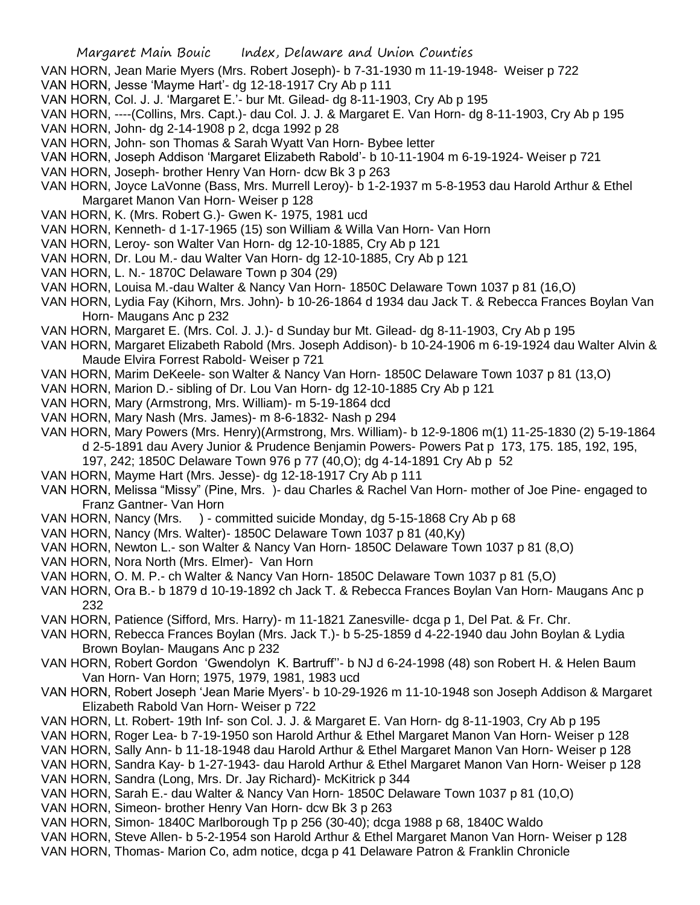- VAN HORN, Jean Marie Myers (Mrs. Robert Joseph)- b 7-31-1930 m 11-19-1948- Weiser p 722
- VAN HORN, Jesse 'Mayme Hart'- dg 12-18-1917 Cry Ab p 111
- VAN HORN, Col. J. J. 'Margaret E.'- bur Mt. Gilead- dg 8-11-1903, Cry Ab p 195
- VAN HORN, ----(Collins, Mrs. Capt.)- dau Col. J. J. & Margaret E. Van Horn- dg 8-11-1903, Cry Ab p 195
- VAN HORN, John- dg 2-14-1908 p 2, dcga 1992 p 28
- VAN HORN, John- son Thomas & Sarah Wyatt Van Horn- Bybee letter
- VAN HORN, Joseph Addison 'Margaret Elizabeth Rabold'- b 10-11-1904 m 6-19-1924- Weiser p 721
- VAN HORN, Joseph- brother Henry Van Horn- dcw Bk 3 p 263
- VAN HORN, Joyce LaVonne (Bass, Mrs. Murrell Leroy)- b 1-2-1937 m 5-8-1953 dau Harold Arthur & Ethel Margaret Manon Van Horn- Weiser p 128
- VAN HORN, K. (Mrs. Robert G.)- Gwen K- 1975, 1981 ucd
- VAN HORN, Kenneth- d 1-17-1965 (15) son William & Willa Van Horn- Van Horn
- VAN HORN, Leroy- son Walter Van Horn- dg 12-10-1885, Cry Ab p 121
- VAN HORN, Dr. Lou M.- dau Walter Van Horn- dg 12-10-1885, Cry Ab p 121
- VAN HORN, L. N.- 1870C Delaware Town p 304 (29)
- VAN HORN, Louisa M.-dau Walter & Nancy Van Horn- 1850C Delaware Town 1037 p 81 (16,O)
- VAN HORN, Lydia Fay (Kihorn, Mrs. John)- b 10-26-1864 d 1934 dau Jack T. & Rebecca Frances Boylan Van Horn- Maugans Anc p 232
- VAN HORN, Margaret E. (Mrs. Col. J. J.)- d Sunday bur Mt. Gilead- dg 8-11-1903, Cry Ab p 195
- VAN HORN, Margaret Elizabeth Rabold (Mrs. Joseph Addison)- b 10-24-1906 m 6-19-1924 dau Walter Alvin & Maude Elvira Forrest Rabold- Weiser p 721
- VAN HORN, Marim DeKeele- son Walter & Nancy Van Horn- 1850C Delaware Town 1037 p 81 (13,O)
- VAN HORN, Marion D.- sibling of Dr. Lou Van Horn- dg 12-10-1885 Cry Ab p 121
- VAN HORN, Mary (Armstrong, Mrs. William)- m 5-19-1864 dcd
- VAN HORN, Mary Nash (Mrs. James)- m 8-6-1832- Nash p 294
- VAN HORN, Mary Powers (Mrs. Henry)(Armstrong, Mrs. William)- b 12-9-1806 m(1) 11-25-1830 (2) 5-19-1864 d 2-5-1891 dau Avery Junior & Prudence Benjamin Powers- Powers Pat p 173, 175. 185, 192, 195,
	- 197, 242; 1850C Delaware Town 976 p 77 (40,O); dg 4-14-1891 Cry Ab p 52
- VAN HORN, Mayme Hart (Mrs. Jesse)- dg 12-18-1917 Cry Ab p 111
- VAN HORN, Melissa "Missy" (Pine, Mrs. )- dau Charles & Rachel Van Horn- mother of Joe Pine- engaged to Franz Gantner- Van Horn
- VAN HORN, Nancy (Mrs. ) committed suicide Monday, dg 5-15-1868 Cry Ab p 68
- VAN HORN, Nancy (Mrs. Walter)- 1850C Delaware Town 1037 p 81 (40,Ky)
- VAN HORN, Newton L.- son Walter & Nancy Van Horn- 1850C Delaware Town 1037 p 81 (8,O)
- VAN HORN, Nora North (Mrs. Elmer)- Van Horn
- VAN HORN, O. M. P.- ch Walter & Nancy Van Horn- 1850C Delaware Town 1037 p 81 (5,O)
- VAN HORN, Ora B.- b 1879 d 10-19-1892 ch Jack T. & Rebecca Frances Boylan Van Horn- Maugans Anc p 232
- VAN HORN, Patience (Sifford, Mrs. Harry)- m 11-1821 Zanesville- dcga p 1, Del Pat. & Fr. Chr.
- VAN HORN, Rebecca Frances Boylan (Mrs. Jack T.)- b 5-25-1859 d 4-22-1940 dau John Boylan & Lydia Brown Boylan- Maugans Anc p 232
- VAN HORN, Robert Gordon 'Gwendolyn K. Bartruff''- b NJ d 6-24-1998 (48) son Robert H. & Helen Baum Van Horn- Van Horn; 1975, 1979, 1981, 1983 ucd
- VAN HORN, Robert Joseph 'Jean Marie Myers'- b 10-29-1926 m 11-10-1948 son Joseph Addison & Margaret Elizabeth Rabold Van Horn- Weiser p 722
- VAN HORN, Lt. Robert- 19th Inf- son Col. J. J. & Margaret E. Van Horn- dg 8-11-1903, Cry Ab p 195
- VAN HORN, Roger Lea- b 7-19-1950 son Harold Arthur & Ethel Margaret Manon Van Horn- Weiser p 128
- VAN HORN, Sally Ann- b 11-18-1948 dau Harold Arthur & Ethel Margaret Manon Van Horn- Weiser p 128
- VAN HORN, Sandra Kay- b 1-27-1943- dau Harold Arthur & Ethel Margaret Manon Van Horn- Weiser p 128
- VAN HORN, Sandra (Long, Mrs. Dr. Jay Richard)- McKitrick p 344
- VAN HORN, Sarah E.- dau Walter & Nancy Van Horn- 1850C Delaware Town 1037 p 81 (10,O)
- VAN HORN, Simeon- brother Henry Van Horn- dcw Bk 3 p 263
- VAN HORN, Simon- 1840C Marlborough Tp p 256 (30-40); dcga 1988 p 68, 1840C Waldo
- VAN HORN, Steve Allen- b 5-2-1954 son Harold Arthur & Ethel Margaret Manon Van Horn- Weiser p 128
- VAN HORN, Thomas- Marion Co, adm notice, dcga p 41 Delaware Patron & Franklin Chronicle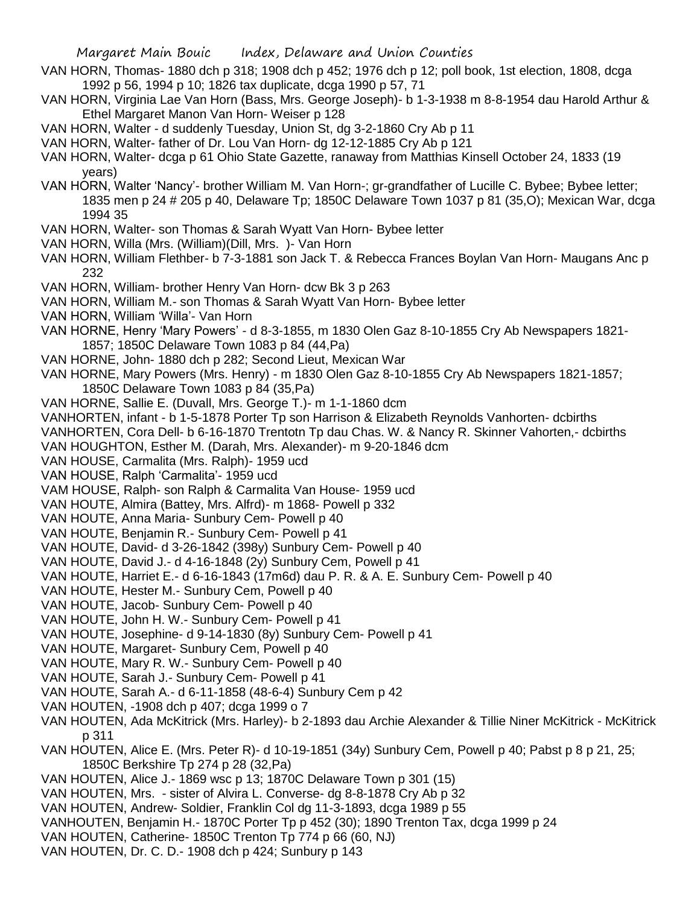- VAN HORN, Thomas- 1880 dch p 318; 1908 dch p 452; 1976 dch p 12; poll book, 1st election, 1808, dcga 1992 p 56, 1994 p 10; 1826 tax duplicate, dcga 1990 p 57, 71
- VAN HORN, Virginia Lae Van Horn (Bass, Mrs. George Joseph)- b 1-3-1938 m 8-8-1954 dau Harold Arthur & Ethel Margaret Manon Van Horn- Weiser p 128
- VAN HORN, Walter d suddenly Tuesday, Union St, dg 3-2-1860 Cry Ab p 11
- VAN HORN, Walter- father of Dr. Lou Van Horn- dg 12-12-1885 Cry Ab p 121
- VAN HORN, Walter- dcga p 61 Ohio State Gazette, ranaway from Matthias Kinsell October 24, 1833 (19 years)
- VAN HORN, Walter 'Nancy'- brother William M. Van Horn-; gr-grandfather of Lucille C. Bybee; Bybee letter; 1835 men p 24 # 205 p 40, Delaware Tp; 1850C Delaware Town 1037 p 81 (35,O); Mexican War, dcga 1994 35
- VAN HORN, Walter- son Thomas & Sarah Wyatt Van Horn- Bybee letter
- VAN HORN, Willa (Mrs. (William)(Dill, Mrs. )- Van Horn
- VAN HORN, William Flethber- b 7-3-1881 son Jack T. & Rebecca Frances Boylan Van Horn- Maugans Anc p 232
- VAN HORN, William- brother Henry Van Horn- dcw Bk 3 p 263
- VAN HORN, William M.- son Thomas & Sarah Wyatt Van Horn- Bybee letter
- VAN HORN, William 'Willa'- Van Horn
- VAN HORNE, Henry 'Mary Powers' d 8-3-1855, m 1830 Olen Gaz 8-10-1855 Cry Ab Newspapers 1821- 1857; 1850C Delaware Town 1083 p 84 (44,Pa)
- VAN HORNE, John- 1880 dch p 282; Second Lieut, Mexican War
- VAN HORNE, Mary Powers (Mrs. Henry) m 1830 Olen Gaz 8-10-1855 Cry Ab Newspapers 1821-1857; 1850C Delaware Town 1083 p 84 (35,Pa)
- VAN HORNE, Sallie E. (Duvall, Mrs. George T.)- m 1-1-1860 dcm
- VANHORTEN, infant b 1-5-1878 Porter Tp son Harrison & Elizabeth Reynolds Vanhorten- dcbirths
- VANHORTEN, Cora Dell- b 6-16-1870 Trentotn Tp dau Chas. W. & Nancy R. Skinner Vahorten,- dcbirths
- VAN HOUGHTON, Esther M. (Darah, Mrs. Alexander)- m 9-20-1846 dcm
- VAN HOUSE, Carmalita (Mrs. Ralph)- 1959 ucd
- VAN HOUSE, Ralph 'Carmalita'- 1959 ucd
- VAM HOUSE, Ralph- son Ralph & Carmalita Van House- 1959 ucd
- VAN HOUTE, Almira (Battey, Mrs. Alfrd)- m 1868- Powell p 332
- VAN HOUTE, Anna Maria- Sunbury Cem- Powell p 40
- VAN HOUTE, Benjamin R.- Sunbury Cem- Powell p 41
- VAN HOUTE, David- d 3-26-1842 (398y) Sunbury Cem- Powell p 40
- VAN HOUTE, David J.- d 4-16-1848 (2y) Sunbury Cem, Powell p 41
- VAN HOUTE, Harriet E.- d 6-16-1843 (17m6d) dau P. R. & A. E. Sunbury Cem- Powell p 40
- VAN HOUTE, Hester M.- Sunbury Cem, Powell p 40
- VAN HOUTE, Jacob- Sunbury Cem- Powell p 40
- VAN HOUTE, John H. W.- Sunbury Cem- Powell p 41
- VAN HOUTE, Josephine- d 9-14-1830 (8y) Sunbury Cem- Powell p 41
- VAN HOUTE, Margaret- Sunbury Cem, Powell p 40
- VAN HOUTE, Mary R. W.- Sunbury Cem- Powell p 40
- VAN HOUTE, Sarah J.- Sunbury Cem- Powell p 41
- VAN HOUTE, Sarah A.- d 6-11-1858 (48-6-4) Sunbury Cem p 42
- VAN HOUTEN, -1908 dch p 407; dcga 1999 o 7
- VAN HOUTEN, Ada McKitrick (Mrs. Harley)- b 2-1893 dau Archie Alexander & Tillie Niner McKitrick McKitrick p 311
- VAN HOUTEN, Alice E. (Mrs. Peter R)- d 10-19-1851 (34y) Sunbury Cem, Powell p 40; Pabst p 8 p 21, 25; 1850C Berkshire Tp 274 p 28 (32,Pa)
- VAN HOUTEN, Alice J.- 1869 wsc p 13; 1870C Delaware Town p 301 (15)
- VAN HOUTEN, Mrs. sister of Alvira L. Converse- dg 8-8-1878 Cry Ab p 32
- VAN HOUTEN, Andrew- Soldier, Franklin Col dg 11-3-1893, dcga 1989 p 55
- VANHOUTEN, Benjamin H.- 1870C Porter Tp p 452 (30); 1890 Trenton Tax, dcga 1999 p 24
- VAN HOUTEN, Catherine- 1850C Trenton Tp 774 p 66 (60, NJ)
- VAN HOUTEN, Dr. C. D.- 1908 dch p 424; Sunbury p 143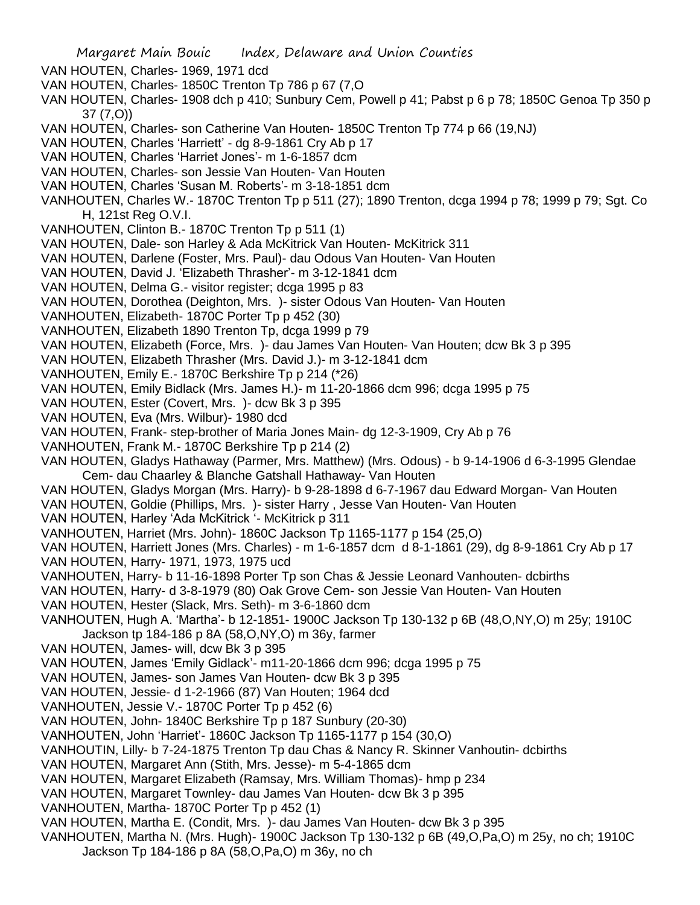- Margaret Main Bouic Index, Delaware and Union Counties
- VAN HOUTEN, Charles- 1969, 1971 dcd
- VAN HOUTEN, Charles- 1850C Trenton Tp 786 p 67 (7,O
- VAN HOUTEN, Charles- 1908 dch p 410; Sunbury Cem, Powell p 41; Pabst p 6 p 78; 1850C Genoa Tp 350 p 37 (7,O))
- VAN HOUTEN, Charles- son Catherine Van Houten- 1850C Trenton Tp 774 p 66 (19,NJ)
- VAN HOUTEN, Charles 'Harriett' dg 8-9-1861 Cry Ab p 17
- VAN HOUTEN, Charles 'Harriet Jones'- m 1-6-1857 dcm
- VAN HOUTEN, Charles- son Jessie Van Houten- Van Houten
- VAN HOUTEN, Charles 'Susan M. Roberts'- m 3-18-1851 dcm
- VANHOUTEN, Charles W.- 1870C Trenton Tp p 511 (27); 1890 Trenton, dcga 1994 p 78; 1999 p 79; Sgt. Co H, 121st Reg O.V.I.
- VANHOUTEN, Clinton B.- 1870C Trenton Tp p 511 (1)
- VAN HOUTEN, Dale- son Harley & Ada McKitrick Van Houten- McKitrick 311
- VAN HOUTEN, Darlene (Foster, Mrs. Paul)- dau Odous Van Houten- Van Houten
- VAN HOUTEN, David J. 'Elizabeth Thrasher'- m 3-12-1841 dcm
- VAN HOUTEN, Delma G.- visitor register; dcga 1995 p 83
- VAN HOUTEN, Dorothea (Deighton, Mrs. )- sister Odous Van Houten- Van Houten
- VANHOUTEN, Elizabeth- 1870C Porter Tp p 452 (30)
- VANHOUTEN, Elizabeth 1890 Trenton Tp, dcga 1999 p 79
- VAN HOUTEN, Elizabeth (Force, Mrs. )- dau James Van Houten- Van Houten; dcw Bk 3 p 395
- VAN HOUTEN, Elizabeth Thrasher (Mrs. David J.)- m 3-12-1841 dcm
- VANHOUTEN, Emily E.- 1870C Berkshire Tp p 214 (\*26)
- VAN HOUTEN, Emily Bidlack (Mrs. James H.)- m 11-20-1866 dcm 996; dcga 1995 p 75
- VAN HOUTEN, Ester (Covert, Mrs. )- dcw Bk 3 p 395
- VAN HOUTEN, Eva (Mrs. Wilbur)- 1980 dcd
- VAN HOUTEN, Frank- step-brother of Maria Jones Main- dg 12-3-1909, Cry Ab p 76
- VANHOUTEN, Frank M.- 1870C Berkshire Tp p 214 (2)
- VAN HOUTEN, Gladys Hathaway (Parmer, Mrs. Matthew) (Mrs. Odous) b 9-14-1906 d 6-3-1995 Glendae Cem- dau Chaarley & Blanche Gatshall Hathaway- Van Houten
- VAN HOUTEN, Gladys Morgan (Mrs. Harry)- b 9-28-1898 d 6-7-1967 dau Edward Morgan- Van Houten
- VAN HOUTEN, Goldie (Phillips, Mrs. )- sister Harry , Jesse Van Houten- Van Houten
- VAN HOUTEN, Harley 'Ada McKitrick '- McKitrick p 311
- VANHOUTEN, Harriet (Mrs. John)- 1860C Jackson Tp 1165-1177 p 154 (25,O)
- VAN HOUTEN, Harriett Jones (Mrs. Charles) m 1-6-1857 dcm d 8-1-1861 (29), dg 8-9-1861 Cry Ab p 17 VAN HOUTEN, Harry- 1971, 1973, 1975 ucd
- VANHOUTEN, Harry- b 11-16-1898 Porter Tp son Chas & Jessie Leonard Vanhouten- dcbirths
- VAN HOUTEN, Harry- d 3-8-1979 (80) Oak Grove Cem- son Jessie Van Houten- Van Houten
- VAN HOUTEN, Hester (Slack, Mrs. Seth)- m 3-6-1860 dcm
- VANHOUTEN, Hugh A. 'Martha'- b 12-1851- 1900C Jackson Tp 130-132 p 6B (48,O,NY,O) m 25y; 1910C Jackson tp 184-186 p 8A (58,O,NY,O) m 36y, farmer
- VAN HOUTEN, James- will, dcw Bk 3 p 395
- VAN HOUTEN, James 'Emily Gidlack'- m11-20-1866 dcm 996; dcga 1995 p 75
- VAN HOUTEN, James- son James Van Houten- dcw Bk 3 p 395
- VAN HOUTEN, Jessie- d 1-2-1966 (87) Van Houten; 1964 dcd
- VANHOUTEN, Jessie V.- 1870C Porter Tp p 452 (6)
- VAN HOUTEN, John- 1840C Berkshire Tp p 187 Sunbury (20-30)
- VANHOUTEN, John 'Harriet'- 1860C Jackson Tp 1165-1177 p 154 (30,O)
- VANHOUTIN, Lilly- b 7-24-1875 Trenton Tp dau Chas & Nancy R. Skinner Vanhoutin- dcbirths
- VAN HOUTEN, Margaret Ann (Stith, Mrs. Jesse)- m 5-4-1865 dcm
- VAN HOUTEN, Margaret Elizabeth (Ramsay, Mrs. William Thomas)- hmp p 234
- VAN HOUTEN, Margaret Townley- dau James Van Houten- dcw Bk 3 p 395
- VANHOUTEN, Martha- 1870C Porter Tp p 452 (1)
- VAN HOUTEN, Martha E. (Condit, Mrs. )- dau James Van Houten- dcw Bk 3 p 395
- VANHOUTEN, Martha N. (Mrs. Hugh)- 1900C Jackson Tp 130-132 p 6B (49,O,Pa,O) m 25y, no ch; 1910C Jackson Tp 184-186 p 8A (58,O,Pa,O) m 36y, no ch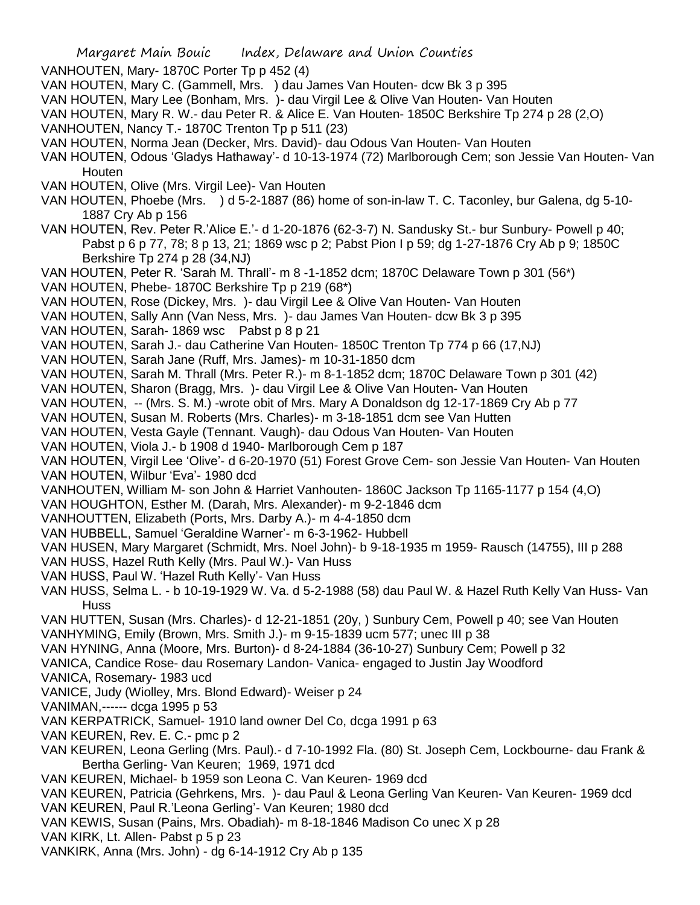VANHOUTEN, Mary- 1870C Porter Tp p 452 (4)

VAN HOUTEN, Mary C. (Gammell, Mrs. ) dau James Van Houten- dcw Bk 3 p 395

VAN HOUTEN, Mary Lee (Bonham, Mrs. )- dau Virgil Lee & Olive Van Houten- Van Houten

VAN HOUTEN, Mary R. W.- dau Peter R. & Alice E. Van Houten- 1850C Berkshire Tp 274 p 28 (2,O)

VANHOUTEN, Nancy T.- 1870C Trenton Tp p 511 (23)

VAN HOUTEN, Norma Jean (Decker, Mrs. David)- dau Odous Van Houten- Van Houten

VAN HOUTEN, Odous 'Gladys Hathaway'- d 10-13-1974 (72) Marlborough Cem; son Jessie Van Houten- Van **Houten** 

VAN HOUTEN, Olive (Mrs. Virgil Lee)- Van Houten

VAN HOUTEN, Phoebe (Mrs. ) d 5-2-1887 (86) home of son-in-law T. C. Taconley, bur Galena, dg 5-10- 1887 Cry Ab p 156

VAN HOUTEN, Rev. Peter R.'Alice E.'- d 1-20-1876 (62-3-7) N. Sandusky St.- bur Sunbury- Powell p 40; Pabst p 6 p 77, 78; 8 p 13, 21; 1869 wsc p 2; Pabst Pion I p 59; dg 1-27-1876 Cry Ab p 9; 1850C Berkshire Tp 274 p 28 (34,NJ)

VAN HOUTEN, Peter R. 'Sarah M. Thrall'- m 8 -1-1852 dcm; 1870C Delaware Town p 301 (56\*)

VAN HOUTEN, Phebe- 1870C Berkshire Tp p 219 (68\*)

VAN HOUTEN, Rose (Dickey, Mrs. )- dau Virgil Lee & Olive Van Houten- Van Houten

VAN HOUTEN, Sally Ann (Van Ness, Mrs. )- dau James Van Houten- dcw Bk 3 p 395

VAN HOUTEN, Sarah- 1869 wsc Pabst p 8 p 21

VAN HOUTEN, Sarah J.- dau Catherine Van Houten- 1850C Trenton Tp 774 p 66 (17,NJ)

VAN HOUTEN, Sarah Jane (Ruff, Mrs. James)- m 10-31-1850 dcm

VAN HOUTEN, Sarah M. Thrall (Mrs. Peter R.)- m 8-1-1852 dcm; 1870C Delaware Town p 301 (42)

VAN HOUTEN, Sharon (Bragg, Mrs. )- dau Virgil Lee & Olive Van Houten- Van Houten

VAN HOUTEN, -- (Mrs. S. M.) -wrote obit of Mrs. Mary A Donaldson dg 12-17-1869 Cry Ab p 77

VAN HOUTEN, Susan M. Roberts (Mrs. Charles)- m 3-18-1851 dcm see Van Hutten

VAN HOUTEN, Vesta Gayle (Tennant. Vaugh)- dau Odous Van Houten- Van Houten

VAN HOUTEN, Viola J.- b 1908 d 1940- Marlborough Cem p 187

VAN HOUTEN, Virgil Lee 'Olive'- d 6-20-1970 (51) Forest Grove Cem- son Jessie Van Houten- Van Houten VAN HOUTEN, Wilbur 'Eva'- 1980 dcd

VANHOUTEN, William M- son John & Harriet Vanhouten- 1860C Jackson Tp 1165-1177 p 154 (4,O)

VAN HOUGHTON, Esther M. (Darah, Mrs. Alexander)- m 9-2-1846 dcm

VANHOUTTEN, Elizabeth (Ports, Mrs. Darby A.)- m 4-4-1850 dcm

VAN HUBBELL, Samuel 'Geraldine Warner'- m 6-3-1962- Hubbell

VAN HUSEN, Mary Margaret (Schmidt, Mrs. Noel John)- b 9-18-1935 m 1959- Rausch (14755), III p 288

VAN HUSS, Hazel Ruth Kelly (Mrs. Paul W.)- Van Huss

VAN HUSS, Paul W. 'Hazel Ruth Kelly'- Van Huss

VAN HUSS, Selma L. - b 10-19-1929 W. Va. d 5-2-1988 (58) dau Paul W. & Hazel Ruth Kelly Van Huss- Van Huss

VAN HUTTEN, Susan (Mrs. Charles)- d 12-21-1851 (20y, ) Sunbury Cem, Powell p 40; see Van Houten VANHYMING, Emily (Brown, Mrs. Smith J.)- m 9-15-1839 ucm 577; unec III p 38

VAN HYNING, Anna (Moore, Mrs. Burton)- d 8-24-1884 (36-10-27) Sunbury Cem; Powell p 32

VANICA, Candice Rose- dau Rosemary Landon- Vanica- engaged to Justin Jay Woodford

VANICA, Rosemary- 1983 ucd

VANICE, Judy (Wiolley, Mrs. Blond Edward)- Weiser p 24

VANIMAN,------ dcga 1995 p 53

VAN KERPATRICK, Samuel- 1910 land owner Del Co, dcga 1991 p 63

VAN KEUREN, Rev. E. C.- pmc p 2

VAN KEUREN, Leona Gerling (Mrs. Paul).- d 7-10-1992 Fla. (80) St. Joseph Cem, Lockbourne- dau Frank & Bertha Gerling- Van Keuren; 1969, 1971 dcd

VAN KEUREN, Michael- b 1959 son Leona C. Van Keuren- 1969 dcd

VAN KEUREN, Patricia (Gehrkens, Mrs. )- dau Paul & Leona Gerling Van Keuren- Van Keuren- 1969 dcd

VAN KEUREN, Paul R.'Leona Gerling'- Van Keuren; 1980 dcd

VAN KEWIS, Susan (Pains, Mrs. Obadiah)- m 8-18-1846 Madison Co unec X p 28

VAN KIRK, Lt. Allen- Pabst p 5 p 23

VANKIRK, Anna (Mrs. John) - dg 6-14-1912 Cry Ab p 135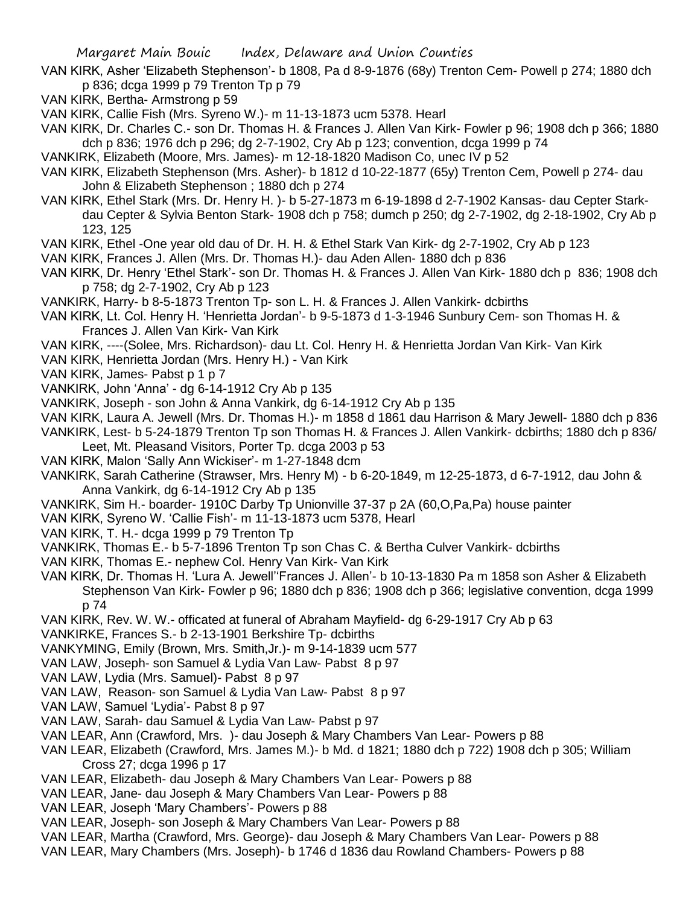- VAN KIRK, Asher 'Elizabeth Stephenson'- b 1808, Pa d 8-9-1876 (68y) Trenton Cem- Powell p 274; 1880 dch p 836; dcga 1999 p 79 Trenton Tp p 79
- VAN KIRK, Bertha- Armstrong p 59
- VAN KIRK, Callie Fish (Mrs. Syreno W.)- m 11-13-1873 ucm 5378. Hearl

VAN KIRK, Dr. Charles C.- son Dr. Thomas H. & Frances J. Allen Van Kirk- Fowler p 96; 1908 dch p 366; 1880 dch p 836; 1976 dch p 296; dg 2-7-1902, Cry Ab p 123; convention, dcga 1999 p 74

- VANKIRK, Elizabeth (Moore, Mrs. James)- m 12-18-1820 Madison Co, unec IV p 52
- VAN KIRK, Elizabeth Stephenson (Mrs. Asher)- b 1812 d 10-22-1877 (65y) Trenton Cem, Powell p 274- dau John & Elizabeth Stephenson ; 1880 dch p 274

VAN KIRK, Ethel Stark (Mrs. Dr. Henry H. )- b 5-27-1873 m 6-19-1898 d 2-7-1902 Kansas- dau Cepter Starkdau Cepter & Sylvia Benton Stark- 1908 dch p 758; dumch p 250; dg 2-7-1902, dg 2-18-1902, Cry Ab p 123, 125

- VAN KIRK, Ethel -One year old dau of Dr. H. H. & Ethel Stark Van Kirk- dg 2-7-1902, Cry Ab p 123
- VAN KIRK, Frances J. Allen (Mrs. Dr. Thomas H.)- dau Aden Allen- 1880 dch p 836
- VAN KIRK, Dr. Henry 'Ethel Stark'- son Dr. Thomas H. & Frances J. Allen Van Kirk- 1880 dch p 836; 1908 dch p 758; dg 2-7-1902, Cry Ab p 123
- VANKIRK, Harry- b 8-5-1873 Trenton Tp- son L. H. & Frances J. Allen Vankirk- dcbirths
- VAN KIRK, Lt. Col. Henry H. 'Henrietta Jordan'- b 9-5-1873 d 1-3-1946 Sunbury Cem- son Thomas H. & Frances J. Allen Van Kirk- Van Kirk
- VAN KIRK, ----(Solee, Mrs. Richardson)- dau Lt. Col. Henry H. & Henrietta Jordan Van Kirk- Van Kirk
- VAN KIRK, Henrietta Jordan (Mrs. Henry H.) Van Kirk
- VAN KIRK, James- Pabst p 1 p 7
- VANKIRK, John 'Anna' dg 6-14-1912 Cry Ab p 135
- VANKIRK, Joseph son John & Anna Vankirk, dg 6-14-1912 Cry Ab p 135
- VAN KIRK, Laura A. Jewell (Mrs. Dr. Thomas H.)- m 1858 d 1861 dau Harrison & Mary Jewell- 1880 dch p 836
- VANKIRK, Lest- b 5-24-1879 Trenton Tp son Thomas H. & Frances J. Allen Vankirk- dcbirths; 1880 dch p 836/ Leet, Mt. Pleasand Visitors, Porter Tp. dcga 2003 p 53
- VAN KIRK, Malon 'Sally Ann Wickiser'- m 1-27-1848 dcm
- VANKIRK, Sarah Catherine (Strawser, Mrs. Henry M) b 6-20-1849, m 12-25-1873, d 6-7-1912, dau John & Anna Vankirk, dg 6-14-1912 Cry Ab p 135
- VANKIRK, Sim H.- boarder- 1910C Darby Tp Unionville 37-37 p 2A (60,O,Pa,Pa) house painter
- VAN KIRK, Syreno W. 'Callie Fish'- m 11-13-1873 ucm 5378, Hearl
- VAN KIRK, T. H.- dcga 1999 p 79 Trenton Tp
- VANKIRK, Thomas E.- b 5-7-1896 Trenton Tp son Chas C. & Bertha Culver Vankirk- dcbirths
- VAN KIRK, Thomas E.- nephew Col. Henry Van Kirk- Van Kirk
- VAN KIRK, Dr. Thomas H. 'Lura A. Jewell''Frances J. Allen'- b 10-13-1830 Pa m 1858 son Asher & Elizabeth Stephenson Van Kirk- Fowler p 96; 1880 dch p 836; 1908 dch p 366; legislative convention, dcga 1999 p 74
- VAN KIRK, Rev. W. W.- officated at funeral of Abraham Mayfield- dg 6-29-1917 Cry Ab p 63
- VANKIRKE, Frances S.- b 2-13-1901 Berkshire Tp- dcbirths
- VANKYMING, Emily (Brown, Mrs. Smith,Jr.)- m 9-14-1839 ucm 577
- VAN LAW, Joseph- son Samuel & Lydia Van Law- Pabst 8 p 97
- VAN LAW, Lydia (Mrs. Samuel)- Pabst 8 p 97
- VAN LAW, Reason- son Samuel & Lydia Van Law- Pabst 8 p 97
- VAN LAW, Samuel 'Lydia'- Pabst 8 p 97
- VAN LAW, Sarah- dau Samuel & Lydia Van Law- Pabst p 97
- VAN LEAR, Ann (Crawford, Mrs. )- dau Joseph & Mary Chambers Van Lear- Powers p 88
- VAN LEAR, Elizabeth (Crawford, Mrs. James M.)- b Md. d 1821; 1880 dch p 722) 1908 dch p 305; William Cross 27; dcga 1996 p 17
- VAN LEAR, Elizabeth- dau Joseph & Mary Chambers Van Lear- Powers p 88
- VAN LEAR, Jane- dau Joseph & Mary Chambers Van Lear- Powers p 88
- VAN LEAR, Joseph 'Mary Chambers'- Powers p 88
- VAN LEAR, Joseph- son Joseph & Mary Chambers Van Lear- Powers p 88
- VAN LEAR, Martha (Crawford, Mrs. George)- dau Joseph & Mary Chambers Van Lear- Powers p 88
- VAN LEAR, Mary Chambers (Mrs. Joseph)- b 1746 d 1836 dau Rowland Chambers- Powers p 88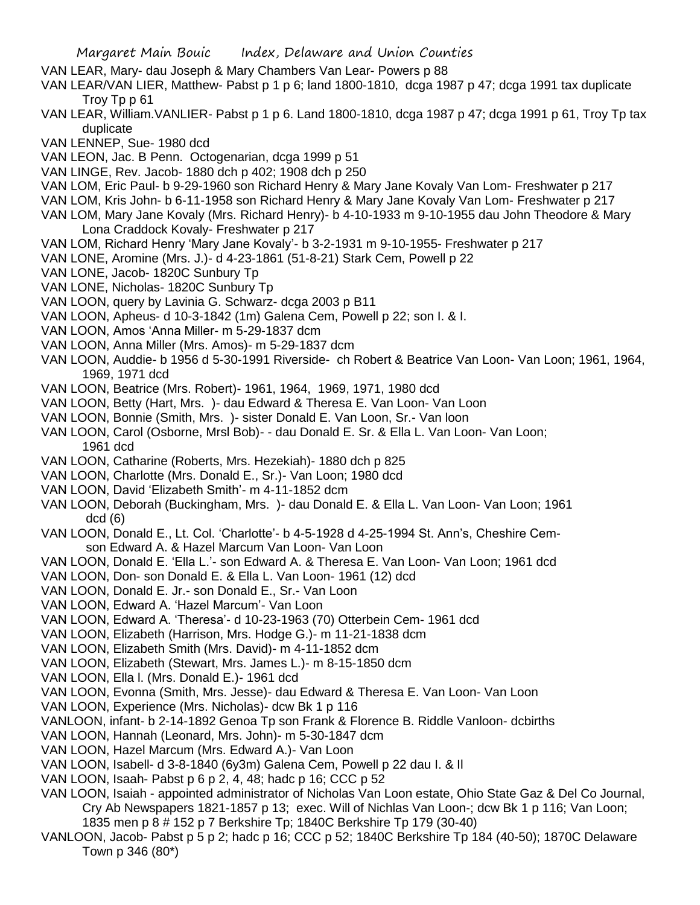- VAN LEAR, Mary- dau Joseph & Mary Chambers Van Lear- Powers p 88
- VAN LEAR/VAN LIER, Matthew- Pabst p 1 p 6; land 1800-1810, dcga 1987 p 47; dcga 1991 tax duplicate Troy Tp p 61
- VAN LEAR, William.VANLIER- Pabst p 1 p 6. Land 1800-1810, dcga 1987 p 47; dcga 1991 p 61, Troy Tp tax duplicate
- VAN LENNEP, Sue- 1980 dcd
- VAN LEON, Jac. B Penn. Octogenarian, dcga 1999 p 51
- VAN LINGE, Rev. Jacob- 1880 dch p 402; 1908 dch p 250
- VAN LOM, Eric Paul- b 9-29-1960 son Richard Henry & Mary Jane Kovaly Van Lom- Freshwater p 217
- VAN LOM, Kris John- b 6-11-1958 son Richard Henry & Mary Jane Kovaly Van Lom- Freshwater p 217
- VAN LOM, Mary Jane Kovaly (Mrs. Richard Henry)- b 4-10-1933 m 9-10-1955 dau John Theodore & Mary Lona Craddock Kovaly- Freshwater p 217
- VAN LOM, Richard Henry 'Mary Jane Kovaly'- b 3-2-1931 m 9-10-1955- Freshwater p 217
- VAN LONE, Aromine (Mrs. J.)- d 4-23-1861 (51-8-21) Stark Cem, Powell p 22
- VAN LONE, Jacob- 1820C Sunbury Tp
- VAN LONE, Nicholas- 1820C Sunbury Tp
- VAN LOON, query by Lavinia G. Schwarz- dcga 2003 p B11
- VAN LOON, Apheus- d 10-3-1842 (1m) Galena Cem, Powell p 22; son I. & I.
- VAN LOON, Amos 'Anna Miller- m 5-29-1837 dcm
- VAN LOON, Anna Miller (Mrs. Amos)- m 5-29-1837 dcm
- VAN LOON, Auddie- b 1956 d 5-30-1991 Riverside- ch Robert & Beatrice Van Loon- Van Loon; 1961, 1964, 1969, 1971 dcd
- VAN LOON, Beatrice (Mrs. Robert)- 1961, 1964, 1969, 1971, 1980 dcd
- VAN LOON, Betty (Hart, Mrs. )- dau Edward & Theresa E. Van Loon- Van Loon
- VAN LOON, Bonnie (Smith, Mrs. )- sister Donald E. Van Loon, Sr.- Van loon
- VAN LOON, Carol (Osborne, Mrsl Bob)- dau Donald E. Sr. & Ella L. Van Loon- Van Loon; 1961 dcd
- VAN LOON, Catharine (Roberts, Mrs. Hezekiah)- 1880 dch p 825
- VAN LOON, Charlotte (Mrs. Donald E., Sr.)- Van Loon; 1980 dcd
- VAN LOON, David 'Elizabeth Smith'- m 4-11-1852 dcm
- VAN LOON, Deborah (Buckingham, Mrs. )- dau Donald E. & Ella L. Van Loon- Van Loon; 1961 dcd (6)
- VAN LOON, Donald E., Lt. Col. 'Charlotte'- b 4-5-1928 d 4-25-1994 St. Ann's, Cheshire Cemson Edward A. & Hazel Marcum Van Loon- Van Loon
- VAN LOON, Donald E. 'Ella L.'- son Edward A. & Theresa E. Van Loon- Van Loon; 1961 dcd
- VAN LOON, Don- son Donald E. & Ella L. Van Loon- 1961 (12) dcd
- VAN LOON, Donald E. Jr.- son Donald E., Sr.- Van Loon
- VAN LOON, Edward A. 'Hazel Marcum'- Van Loon
- VAN LOON, Edward A. 'Theresa'- d 10-23-1963 (70) Otterbein Cem- 1961 dcd
- VAN LOON, Elizabeth (Harrison, Mrs. Hodge G.)- m 11-21-1838 dcm
- VAN LOON, Elizabeth Smith (Mrs. David)- m 4-11-1852 dcm
- VAN LOON, Elizabeth (Stewart, Mrs. James L.)- m 8-15-1850 dcm
- VAN LOON, Ella l. (Mrs. Donald E.)- 1961 dcd
- VAN LOON, Evonna (Smith, Mrs. Jesse)- dau Edward & Theresa E. Van Loon- Van Loon
- VAN LOON, Experience (Mrs. Nicholas)- dcw Bk 1 p 116
- VANLOON, infant- b 2-14-1892 Genoa Tp son Frank & Florence B. Riddle Vanloon- dcbirths
- VAN LOON, Hannah (Leonard, Mrs. John)- m 5-30-1847 dcm
- VAN LOON, Hazel Marcum (Mrs. Edward A.)- Van Loon
- VAN LOON, Isabell- d 3-8-1840 (6y3m) Galena Cem, Powell p 22 dau I. & Il
- VAN LOON, Isaah- Pabst p 6 p 2, 4, 48; hadc p 16; CCC p 52
- VAN LOON, Isaiah appointed administrator of Nicholas Van Loon estate, Ohio State Gaz & Del Co Journal, Cry Ab Newspapers 1821-1857 p 13; exec. Will of Nichlas Van Loon-; dcw Bk 1 p 116; Van Loon; 1835 men p 8 # 152 p 7 Berkshire Tp; 1840C Berkshire Tp 179 (30-40)
- VANLOON, Jacob- Pabst p 5 p 2; hadc p 16; CCC p 52; 1840C Berkshire Tp 184 (40-50); 1870C Delaware Town p 346 (80\*)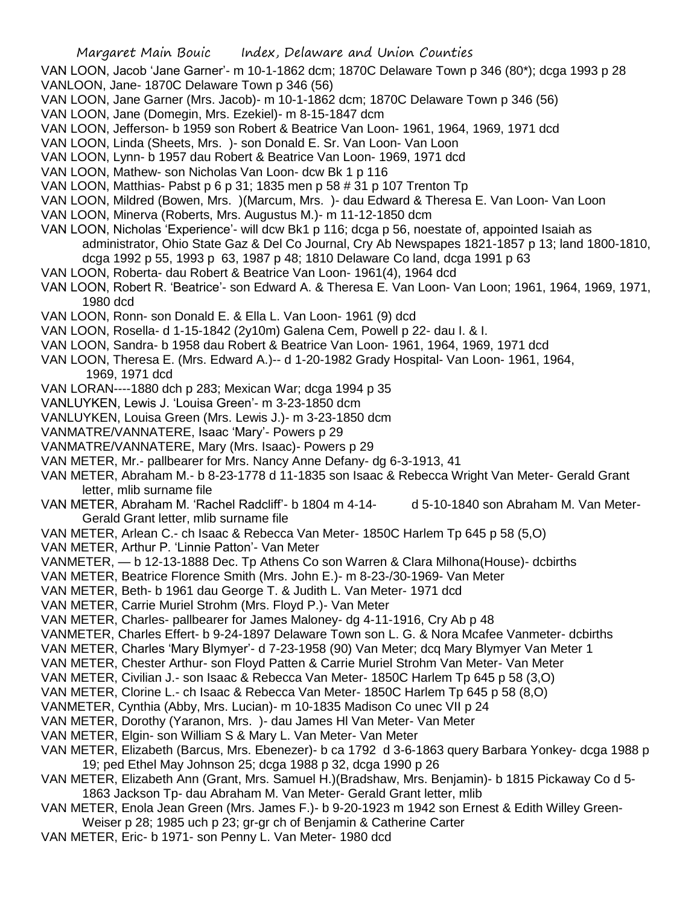- VAN LOON, Jacob 'Jane Garner'- m 10-1-1862 dcm; 1870C Delaware Town p 346 (80\*); dcga 1993 p 28 VANLOON, Jane- 1870C Delaware Town p 346 (56)
- VAN LOON, Jane Garner (Mrs. Jacob)- m 10-1-1862 dcm; 1870C Delaware Town p 346 (56)
- VAN LOON, Jane (Domegin, Mrs. Ezekiel)- m 8-15-1847 dcm
- VAN LOON, Jefferson- b 1959 son Robert & Beatrice Van Loon- 1961, 1964, 1969, 1971 dcd
- VAN LOON, Linda (Sheets, Mrs. )- son Donald E. Sr. Van Loon- Van Loon
- VAN LOON, Lynn- b 1957 dau Robert & Beatrice Van Loon- 1969, 1971 dcd
- VAN LOON, Mathew- son Nicholas Van Loon- dcw Bk 1 p 116
- VAN LOON, Matthias- Pabst p 6 p 31; 1835 men p 58 # 31 p 107 Trenton Tp
- VAN LOON, Mildred (Bowen, Mrs. )(Marcum, Mrs. )- dau Edward & Theresa E. Van Loon- Van Loon
- VAN LOON, Minerva (Roberts, Mrs. Augustus M.)- m 11-12-1850 dcm
- VAN LOON, Nicholas 'Experience'- will dcw Bk1 p 116; dcga p 56, noestate of, appointed Isaiah as administrator, Ohio State Gaz & Del Co Journal, Cry Ab Newspapes 1821-1857 p 13; land 1800-1810, dcga 1992 p 55, 1993 p 63, 1987 p 48; 1810 Delaware Co land, dcga 1991 p 63
- VAN LOON, Roberta- dau Robert & Beatrice Van Loon- 1961(4), 1964 dcd
- VAN LOON, Robert R. 'Beatrice'- son Edward A. & Theresa E. Van Loon- Van Loon; 1961, 1964, 1969, 1971, 1980 dcd
- VAN LOON, Ronn- son Donald E. & Ella L. Van Loon- 1961 (9) dcd
- VAN LOON, Rosella- d 1-15-1842 (2y10m) Galena Cem, Powell p 22- dau I. & I.
- VAN LOON, Sandra- b 1958 dau Robert & Beatrice Van Loon- 1961, 1964, 1969, 1971 dcd
- VAN LOON, Theresa E. (Mrs. Edward A.)-- d 1-20-1982 Grady Hospital- Van Loon- 1961, 1964, 1969, 1971 dcd
- VAN LORAN----1880 dch p 283; Mexican War; dcga 1994 p 35
- VANLUYKEN, Lewis J. 'Louisa Green'- m 3-23-1850 dcm
- VANLUYKEN, Louisa Green (Mrs. Lewis J.)- m 3-23-1850 dcm
- VANMATRE/VANNATERE, Isaac 'Mary'- Powers p 29
- VANMATRE/VANNATERE, Mary (Mrs. Isaac)- Powers p 29
- VAN METER, Mr.- pallbearer for Mrs. Nancy Anne Defany- dg 6-3-1913, 41
- VAN METER, Abraham M.- b 8-23-1778 d 11-1835 son Isaac & Rebecca Wright Van Meter- Gerald Grant letter, mlib surname file
- VAN METER, Abraham M. 'Rachel Radcliff'- b 1804 m 4-14- d 5-10-1840 son Abraham M. Van Meter-Gerald Grant letter, mlib surname file
- VAN METER, Arlean C.- ch Isaac & Rebecca Van Meter- 1850C Harlem Tp 645 p 58 (5,O)
- VAN METER, Arthur P. 'Linnie Patton'- Van Meter
- VANMETER, b 12-13-1888 Dec. Tp Athens Co son Warren & Clara Milhona(House)- dcbirths
- VAN METER, Beatrice Florence Smith (Mrs. John E.)- m 8-23-/30-1969- Van Meter
- VAN METER, Beth- b 1961 dau George T. & Judith L. Van Meter- 1971 dcd
- VAN METER, Carrie Muriel Strohm (Mrs. Floyd P.)- Van Meter
- VAN METER, Charles- pallbearer for James Maloney- dg 4-11-1916, Cry Ab p 48
- VANMETER, Charles Effert- b 9-24-1897 Delaware Town son L. G. & Nora Mcafee Vanmeter- dcbirths
- VAN METER, Charles 'Mary Blymyer'- d 7-23-1958 (90) Van Meter; dcq Mary Blymyer Van Meter 1
- VAN METER, Chester Arthur- son Floyd Patten & Carrie Muriel Strohm Van Meter- Van Meter
- VAN METER, Civilian J.- son Isaac & Rebecca Van Meter- 1850C Harlem Tp 645 p 58 (3,O)
- VAN METER, Clorine L.- ch Isaac & Rebecca Van Meter- 1850C Harlem Tp 645 p 58 (8,O)
- VANMETER, Cynthia (Abby, Mrs. Lucian)- m 10-1835 Madison Co unec VII p 24
- VAN METER, Dorothy (Yaranon, Mrs. )- dau James Hl Van Meter- Van Meter
- VAN METER, Elgin- son William S & Mary L. Van Meter- Van Meter
- VAN METER, Elizabeth (Barcus, Mrs. Ebenezer)- b ca 1792 d 3-6-1863 query Barbara Yonkey- dcga 1988 p 19; ped Ethel May Johnson 25; dcga 1988 p 32, dcga 1990 p 26
- VAN METER, Elizabeth Ann (Grant, Mrs. Samuel H.)(Bradshaw, Mrs. Benjamin)- b 1815 Pickaway Co d 5- 1863 Jackson Tp- dau Abraham M. Van Meter- Gerald Grant letter, mlib
- VAN METER, Enola Jean Green (Mrs. James F.)- b 9-20-1923 m 1942 son Ernest & Edith Willey Green-Weiser p 28; 1985 uch p 23; gr-gr ch of Benjamin & Catherine Carter
- VAN METER, Eric- b 1971- son Penny L. Van Meter- 1980 dcd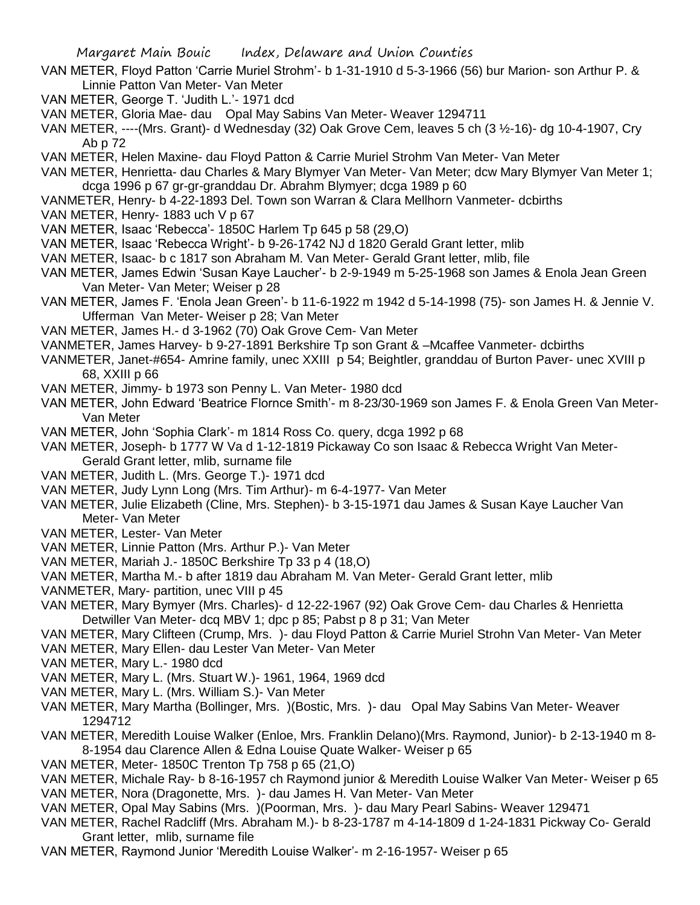- VAN METER, Floyd Patton 'Carrie Muriel Strohm'- b 1-31-1910 d 5-3-1966 (56) bur Marion- son Arthur P. & Linnie Patton Van Meter- Van Meter
- VAN METER, George T. 'Judith L.'- 1971 dcd
- VAN METER, Gloria Mae- dau Opal May Sabins Van Meter- Weaver 1294711
- VAN METER, ----(Mrs. Grant)- d Wednesday (32) Oak Grove Cem, leaves 5 ch (3 ½-16)- dg 10-4-1907, Cry Ab p 72
- VAN METER, Helen Maxine- dau Floyd Patton & Carrie Muriel Strohm Van Meter- Van Meter
- VAN METER, Henrietta- dau Charles & Mary Blymyer Van Meter- Van Meter; dcw Mary Blymyer Van Meter 1; dcga 1996 p 67 gr-gr-granddau Dr. Abrahm Blymyer; dcga 1989 p 60
- VANMETER, Henry- b 4-22-1893 Del. Town son Warran & Clara Mellhorn Vanmeter- dcbirths
- VAN METER, Henry- 1883 uch V p 67
- VAN METER, Isaac 'Rebecca'- 1850C Harlem Tp 645 p 58 (29,O)
- VAN METER, Isaac 'Rebecca Wright'- b 9-26-1742 NJ d 1820 Gerald Grant letter, mlib
- VAN METER, Isaac- b c 1817 son Abraham M. Van Meter- Gerald Grant letter, mlib, file
- VAN METER, James Edwin 'Susan Kaye Laucher'- b 2-9-1949 m 5-25-1968 son James & Enola Jean Green Van Meter- Van Meter; Weiser p 28
- VAN METER, James F. 'Enola Jean Green'- b 11-6-1922 m 1942 d 5-14-1998 (75)- son James H. & Jennie V. Ufferman Van Meter- Weiser p 28; Van Meter
- VAN METER, James H.- d 3-1962 (70) Oak Grove Cem- Van Meter
- VANMETER, James Harvey- b 9-27-1891 Berkshire Tp son Grant & –Mcaffee Vanmeter- dcbirths
- VANMETER, Janet-#654- Amrine family, unec XXIII p 54; Beightler, granddau of Burton Paver- unec XVIII p 68, XXIII p 66
- VAN METER, Jimmy- b 1973 son Penny L. Van Meter- 1980 dcd
- VAN METER, John Edward 'Beatrice Flornce Smith'- m 8-23/30-1969 son James F. & Enola Green Van Meter-Van Meter
- VAN METER, John 'Sophia Clark'- m 1814 Ross Co. query, dcga 1992 p 68
- VAN METER, Joseph- b 1777 W Va d 1-12-1819 Pickaway Co son Isaac & Rebecca Wright Van Meter-Gerald Grant letter, mlib, surname file
- VAN METER, Judith L. (Mrs. George T.)- 1971 dcd
- VAN METER, Judy Lynn Long (Mrs. Tim Arthur)- m 6-4-1977- Van Meter
- VAN METER, Julie Elizabeth (Cline, Mrs. Stephen)- b 3-15-1971 dau James & Susan Kaye Laucher Van Meter- Van Meter
- VAN METER, Lester- Van Meter
- VAN METER, Linnie Patton (Mrs. Arthur P.)- Van Meter
- VAN METER, Mariah J.- 1850C Berkshire Tp 33 p 4 (18,O)
- VAN METER, Martha M.- b after 1819 dau Abraham M. Van Meter- Gerald Grant letter, mlib
- VANMETER, Mary- partition, unec VIII p 45
- VAN METER, Mary Bymyer (Mrs. Charles)- d 12-22-1967 (92) Oak Grove Cem- dau Charles & Henrietta Detwiller Van Meter- dcq MBV 1; dpc p 85; Pabst p 8 p 31; Van Meter

VAN METER, Mary Clifteen (Crump, Mrs. )- dau Floyd Patton & Carrie Muriel Strohn Van Meter- Van Meter

- VAN METER, Mary Ellen- dau Lester Van Meter- Van Meter
- VAN METER, Mary L.- 1980 dcd
- VAN METER, Mary L. (Mrs. Stuart W.)- 1961, 1964, 1969 dcd
- VAN METER, Mary L. (Mrs. William S.)- Van Meter
- VAN METER, Mary Martha (Bollinger, Mrs. )(Bostic, Mrs. )- dau Opal May Sabins Van Meter- Weaver 1294712
- VAN METER, Meredith Louise Walker (Enloe, Mrs. Franklin Delano)(Mrs. Raymond, Junior)- b 2-13-1940 m 8- 8-1954 dau Clarence Allen & Edna Louise Quate Walker- Weiser p 65
- VAN METER, Meter- 1850C Trenton Tp 758 p 65 (21,O)
- VAN METER, Michale Ray- b 8-16-1957 ch Raymond junior & Meredith Louise Walker Van Meter- Weiser p 65
- VAN METER, Nora (Dragonette, Mrs. )- dau James H. Van Meter- Van Meter
- VAN METER, Opal May Sabins (Mrs. )(Poorman, Mrs. )- dau Mary Pearl Sabins- Weaver 129471
- VAN METER, Rachel Radcliff (Mrs. Abraham M.)- b 8-23-1787 m 4-14-1809 d 1-24-1831 Pickway Co- Gerald Grant letter, mlib, surname file
- VAN METER, Raymond Junior 'Meredith Louise Walker'- m 2-16-1957- Weiser p 65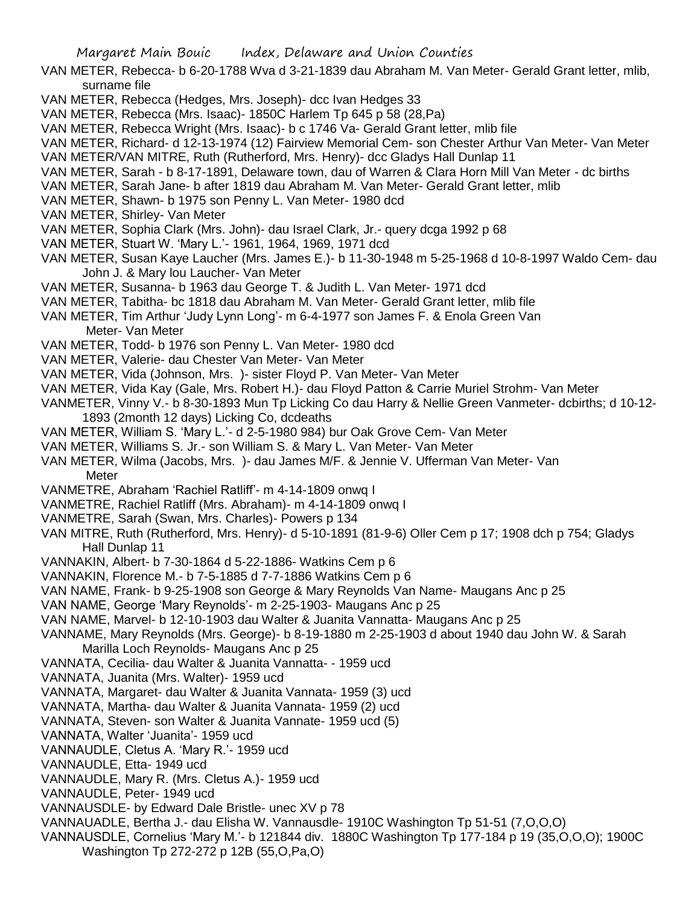- VAN METER, Rebecca- b 6-20-1788 Wva d 3-21-1839 dau Abraham M. Van Meter- Gerald Grant letter, mlib, surname file
- VAN METER, Rebecca (Hedges, Mrs. Joseph)- dcc Ivan Hedges 33
- VAN METER, Rebecca (Mrs. Isaac)- 1850C Harlem Tp 645 p 58 (28,Pa)
- VAN METER, Rebecca Wright (Mrs. Isaac)- b c 1746 Va- Gerald Grant letter, mlib file
- VAN METER, Richard- d 12-13-1974 (12) Fairview Memorial Cem- son Chester Arthur Van Meter- Van Meter
- VAN METER/VAN MITRE, Ruth (Rutherford, Mrs. Henry)- dcc Gladys Hall Dunlap 11
- VAN METER, Sarah b 8-17-1891, Delaware town, dau of Warren & Clara Horn Mill Van Meter dc births
- VAN METER, Sarah Jane- b after 1819 dau Abraham M. Van Meter- Gerald Grant letter, mlib
- VAN METER, Shawn- b 1975 son Penny L. Van Meter- 1980 dcd
- VAN METER, Shirley- Van Meter
- VAN METER, Sophia Clark (Mrs. John)- dau Israel Clark, Jr.- query dcga 1992 p 68
- VAN METER, Stuart W. 'Mary L.'- 1961, 1964, 1969, 1971 dcd
- VAN METER, Susan Kaye Laucher (Mrs. James E.)- b 11-30-1948 m 5-25-1968 d 10-8-1997 Waldo Cem- dau John J. & Mary lou Laucher- Van Meter
- VAN METER, Susanna- b 1963 dau George T. & Judith L. Van Meter- 1971 dcd
- VAN METER, Tabitha- bc 1818 dau Abraham M. Van Meter- Gerald Grant letter, mlib file
- VAN METER, Tim Arthur 'Judy Lynn Long'- m 6-4-1977 son James F. & Enola Green Van Meter- Van Meter
- VAN METER, Todd- b 1976 son Penny L. Van Meter- 1980 dcd
- VAN METER, Valerie- dau Chester Van Meter- Van Meter
- VAN METER, Vida (Johnson, Mrs. )- sister Floyd P. Van Meter- Van Meter
- VAN METER, Vida Kay (Gale, Mrs. Robert H.)- dau Floyd Patton & Carrie Muriel Strohm- Van Meter
- VANMETER, Vinny V.- b 8-30-1893 Mun Tp Licking Co dau Harry & Nellie Green Vanmeter- dcbirths; d 10-12- 1893 (2month 12 days) Licking Co, dcdeaths
- VAN METER, William S. 'Mary L.'- d 2-5-1980 984) bur Oak Grove Cem- Van Meter
- VAN METER, Williams S. Jr.- son William S. & Mary L. Van Meter- Van Meter
- VAN METER, Wilma (Jacobs, Mrs. )- dau James M/F. & Jennie V. Ufferman Van Meter- Van Meter
- VANMETRE, Abraham 'Rachiel Ratliff'- m 4-14-1809 onwq I
- VANMETRE, Rachiel Ratliff (Mrs. Abraham)- m 4-14-1809 onwq I
- VANMETRE, Sarah (Swan, Mrs. Charles)- Powers p 134
- VAN MITRE, Ruth (Rutherford, Mrs. Henry)- d 5-10-1891 (81-9-6) Oller Cem p 17; 1908 dch p 754; Gladys Hall Dunlap 11
- VANNAKIN, Albert- b 7-30-1864 d 5-22-1886- Watkins Cem p 6
- VANNAKIN, Florence M.- b 7-5-1885 d 7-7-1886 Watkins Cem p 6
- VAN NAME, Frank- b 9-25-1908 son George & Mary Reynolds Van Name- Maugans Anc p 25
- VAN NAME, George 'Mary Reynolds'- m 2-25-1903- Maugans Anc p 25
- VAN NAME, Marvel- b 12-10-1903 dau Walter & Juanita Vannatta- Maugans Anc p 25
- VANNAME, Mary Reynolds (Mrs. George)- b 8-19-1880 m 2-25-1903 d about 1940 dau John W. & Sarah Marilla Loch Reynolds- Maugans Anc p 25
- VANNATA, Cecilia- dau Walter & Juanita Vannatta- 1959 ucd
- VANNATA, Juanita (Mrs. Walter)- 1959 ucd
- VANNATA, Margaret- dau Walter & Juanita Vannata- 1959 (3) ucd
- VANNATA, Martha- dau Walter & Juanita Vannata- 1959 (2) ucd
- VANNATA, Steven- son Walter & Juanita Vannate- 1959 ucd (5)
- VANNATA, Walter 'Juanita'- 1959 ucd
- VANNAUDLE, Cletus A. 'Mary R.'- 1959 ucd
- VANNAUDLE, Etta- 1949 ucd
- VANNAUDLE, Mary R. (Mrs. Cletus A.)- 1959 ucd
- VANNAUDLE, Peter- 1949 ucd
- VANNAUSDLE- by Edward Dale Bristle- unec XV p 78
- VANNAUADLE, Bertha J.- dau Elisha W. Vannausdle- 1910C Washington Tp 51-51 (7,O,O,O)
- VANNAUSDLE, Cornelius 'Mary M.'- b 121844 div. 1880C Washington Tp 177-184 p 19 (35,O,O,O); 1900C Washington Tp 272-272 p 12B (55,O,Pa,O)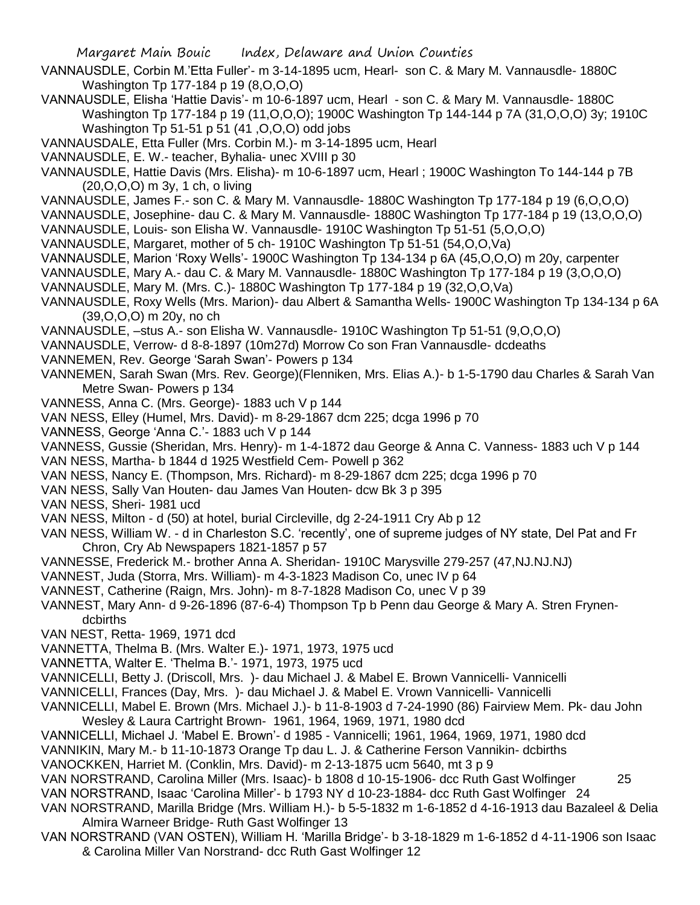- VANNAUSDLE, Corbin M.'Etta Fuller'- m 3-14-1895 ucm, Hearl- son C. & Mary M. Vannausdle- 1880C Washington Tp 177-184 p 19 (8,O,O,O)
- VANNAUSDLE, Elisha 'Hattie Davis'- m 10-6-1897 ucm, Hearl son C. & Mary M. Vannausdle- 1880C Washington Tp 177-184 p 19 (11,O,O,O); 1900C Washington Tp 144-144 p 7A (31,O,O,O) 3y; 1910C Washington Tp 51-51 p 51 (41 ,O,O,O) odd jobs
- VANNAUSDALE, Etta Fuller (Mrs. Corbin M.)- m 3-14-1895 ucm, Hearl
- VANNAUSDLE, E. W.- teacher, Byhalia- unec XVIII p 30
- VANNAUSDLE, Hattie Davis (Mrs. Elisha)- m 10-6-1897 ucm, Hearl ; 1900C Washington To 144-144 p 7B (20,O,O,O) m 3y, 1 ch, o living
- VANNAUSDLE, James F.- son C. & Mary M. Vannausdle- 1880C Washington Tp 177-184 p 19 (6,O,O,O)
- VANNAUSDLE, Josephine- dau C. & Mary M. Vannausdle- 1880C Washington Tp 177-184 p 19 (13,O,O,O)
- VANNAUSDLE, Louis- son Elisha W. Vannausdle- 1910C Washington Tp 51-51 (5,O,O,O)
- VANNAUSDLE, Margaret, mother of 5 ch- 1910C Washington Tp 51-51 (54,O,O,Va)
- VANNAUSDLE, Marion 'Roxy Wells'- 1900C Washington Tp 134-134 p 6A (45,O,O,O) m 20y, carpenter
- VANNAUSDLE, Mary A.- dau C. & Mary M. Vannausdle- 1880C Washington Tp 177-184 p 19 (3,O,O,O)
- VANNAUSDLE, Mary M. (Mrs. C.)- 1880C Washington Tp 177-184 p 19 (32,O,O,Va)
- VANNAUSDLE, Roxy Wells (Mrs. Marion)- dau Albert & Samantha Wells- 1900C Washington Tp 134-134 p 6A (39,O,O,O) m 20y, no ch
- VANNAUSDLE, –stus A.- son Elisha W. Vannausdle- 1910C Washington Tp 51-51 (9,O,O,O)
- VANNAUSDLE, Verrow- d 8-8-1897 (10m27d) Morrow Co son Fran Vannausdle- dcdeaths
- VANNEMEN, Rev. George 'Sarah Swan'- Powers p 134
- VANNEMEN, Sarah Swan (Mrs. Rev. George)(Flenniken, Mrs. Elias A.)- b 1-5-1790 dau Charles & Sarah Van Metre Swan- Powers p 134
- VANNESS, Anna C. (Mrs. George)- 1883 uch V p 144
- VAN NESS, Elley (Humel, Mrs. David)- m 8-29-1867 dcm 225; dcga 1996 p 70
- VANNESS, George 'Anna C.'- 1883 uch V p 144
- VANNESS, Gussie (Sheridan, Mrs. Henry)- m 1-4-1872 dau George & Anna C. Vanness- 1883 uch V p 144
- VAN NESS, Martha- b 1844 d 1925 Westfield Cem- Powell p 362
- VAN NESS, Nancy E. (Thompson, Mrs. Richard)- m 8-29-1867 dcm 225; dcga 1996 p 70
- VAN NESS, Sally Van Houten- dau James Van Houten- dcw Bk 3 p 395
- VAN NESS, Sheri- 1981 ucd
- VAN NESS, Milton d (50) at hotel, burial Circleville, dg 2-24-1911 Cry Ab p 12
- VAN NESS, William W. d in Charleston S.C. 'recently', one of supreme judges of NY state, Del Pat and Fr Chron, Cry Ab Newspapers 1821-1857 p 57
- VANNESSE, Frederick M.- brother Anna A. Sheridan- 1910C Marysville 279-257 (47,NJ.NJ.NJ)
- VANNEST, Juda (Storra, Mrs. William)- m 4-3-1823 Madison Co, unec IV p 64
- VANNEST, Catherine (Raign, Mrs. John)- m 8-7-1828 Madison Co, unec V p 39
- VANNEST, Mary Ann- d 9-26-1896 (87-6-4) Thompson Tp b Penn dau George & Mary A. Stren Frynendcbirths
- VAN NEST, Retta- 1969, 1971 dcd
- VANNETTA, Thelma B. (Mrs. Walter E.)- 1971, 1973, 1975 ucd
- VANNETTA, Walter E. 'Thelma B.'- 1971, 1973, 1975 ucd
- VANNICELLI, Betty J. (Driscoll, Mrs. )- dau Michael J. & Mabel E. Brown Vannicelli- Vannicelli
- VANNICELLI, Frances (Day, Mrs. )- dau Michael J. & Mabel E. Vrown Vannicelli- Vannicelli
- VANNICELLI, Mabel E. Brown (Mrs. Michael J.)- b 11-8-1903 d 7-24-1990 (86) Fairview Mem. Pk- dau John Wesley & Laura Cartright Brown- 1961, 1964, 1969, 1971, 1980 dcd
- VANNICELLI, Michael J. 'Mabel E. Brown'- d 1985 Vannicelli; 1961, 1964, 1969, 1971, 1980 dcd
- VANNIKIN, Mary M.- b 11-10-1873 Orange Tp dau L. J. & Catherine Ferson Vannikin- dcbirths
- VANOCKKEN, Harriet M. (Conklin, Mrs. David)- m 2-13-1875 ucm 5640, mt 3 p 9
- VAN NORSTRAND, Carolina Miller (Mrs. Isaac)- b 1808 d 10-15-1906- dcc Ruth Gast Wolfinger 25 VAN NORSTRAND, Isaac 'Carolina Miller'- b 1793 NY d 10-23-1884- dcc Ruth Gast Wolfinger 24
- VAN NORSTRAND, Marilla Bridge (Mrs. William H.)- b 5-5-1832 m 1-6-1852 d 4-16-1913 dau Bazaleel & Delia Almira Warneer Bridge- Ruth Gast Wolfinger 13
- VAN NORSTRAND (VAN OSTEN), William H. 'Marilla Bridge'- b 3-18-1829 m 1-6-1852 d 4-11-1906 son Isaac & Carolina Miller Van Norstrand- dcc Ruth Gast Wolfinger 12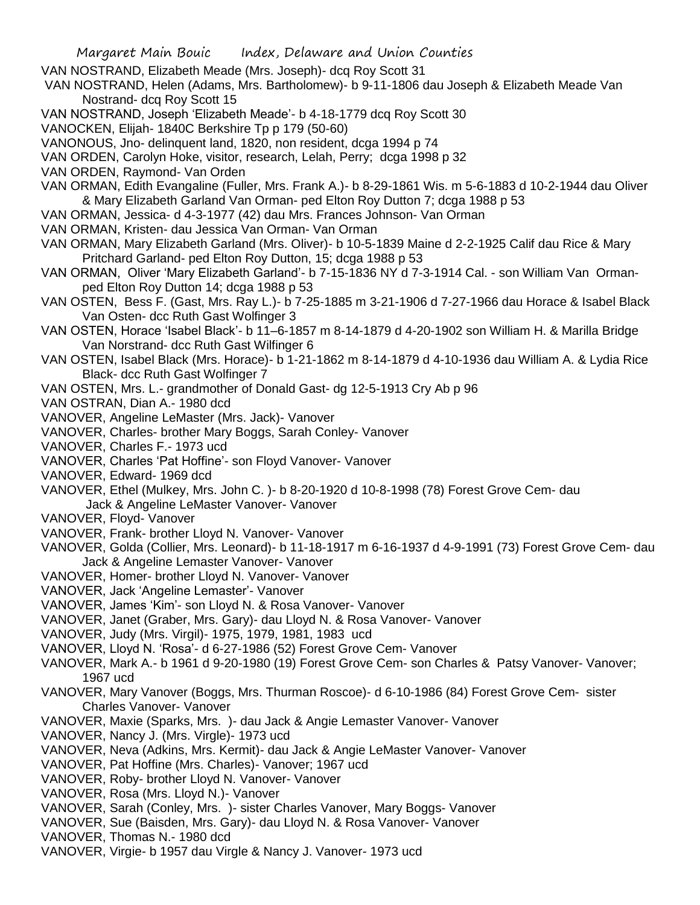- VAN NOSTRAND, Elizabeth Meade (Mrs. Joseph)- dcq Roy Scott 31
- VAN NOSTRAND, Helen (Adams, Mrs. Bartholomew)- b 9-11-1806 dau Joseph & Elizabeth Meade Van Nostrand- dcq Roy Scott 15
- VAN NOSTRAND, Joseph 'Elizabeth Meade'- b 4-18-1779 dcq Roy Scott 30
- VANOCKEN, Elijah- 1840C Berkshire Tp p 179 (50-60)
- VANONOUS, Jno- delinquent land, 1820, non resident, dcga 1994 p 74
- VAN ORDEN, Carolyn Hoke, visitor, research, Lelah, Perry; dcga 1998 p 32
- VAN ORDEN, Raymond- Van Orden
- VAN ORMAN, Edith Evangaline (Fuller, Mrs. Frank A.)- b 8-29-1861 Wis. m 5-6-1883 d 10-2-1944 dau Oliver & Mary Elizabeth Garland Van Orman- ped Elton Roy Dutton 7; dcga 1988 p 53
- VAN ORMAN, Jessica- d 4-3-1977 (42) dau Mrs. Frances Johnson- Van Orman
- VAN ORMAN, Kristen- dau Jessica Van Orman- Van Orman
- VAN ORMAN, Mary Elizabeth Garland (Mrs. Oliver)- b 10-5-1839 Maine d 2-2-1925 Calif dau Rice & Mary Pritchard Garland- ped Elton Roy Dutton, 15; dcga 1988 p 53
- VAN ORMAN, Oliver 'Mary Elizabeth Garland'- b 7-15-1836 NY d 7-3-1914 Cal. son William Van Ormanped Elton Roy Dutton 14; dcga 1988 p 53
- VAN OSTEN, Bess F. (Gast, Mrs. Ray L.)- b 7-25-1885 m 3-21-1906 d 7-27-1966 dau Horace & Isabel Black Van Osten- dcc Ruth Gast Wolfinger 3
- VAN OSTEN, Horace 'Isabel Black'- b 11–6-1857 m 8-14-1879 d 4-20-1902 son William H. & Marilla Bridge Van Norstrand- dcc Ruth Gast Wilfinger 6
- VAN OSTEN, Isabel Black (Mrs. Horace)- b 1-21-1862 m 8-14-1879 d 4-10-1936 dau William A. & Lydia Rice Black- dcc Ruth Gast Wolfinger 7
- VAN OSTEN, Mrs. L.- grandmother of Donald Gast- dg 12-5-1913 Cry Ab p 96
- VAN OSTRAN, Dian A.- 1980 dcd
- VANOVER, Angeline LeMaster (Mrs. Jack)- Vanover
- VANOVER, Charles- brother Mary Boggs, Sarah Conley- Vanover
- VANOVER, Charles F.- 1973 ucd
- VANOVER, Charles 'Pat Hoffine'- son Floyd Vanover- Vanover
- VANOVER, Edward- 1969 dcd
- VANOVER, Ethel (Mulkey, Mrs. John C. )- b 8-20-1920 d 10-8-1998 (78) Forest Grove Cem- dau Jack & Angeline LeMaster Vanover- Vanover
- VANOVER, Floyd- Vanover
- VANOVER, Frank- brother Lloyd N. Vanover- Vanover
- VANOVER, Golda (Collier, Mrs. Leonard)- b 11-18-1917 m 6-16-1937 d 4-9-1991 (73) Forest Grove Cem- dau Jack & Angeline Lemaster Vanover- Vanover
- VANOVER, Homer- brother Lloyd N. Vanover- Vanover
- VANOVER, Jack 'Angeline Lemaster'- Vanover
- VANOVER, James 'Kim'- son Lloyd N. & Rosa Vanover- Vanover
- VANOVER, Janet (Graber, Mrs. Gary)- dau Lloyd N. & Rosa Vanover- Vanover
- VANOVER, Judy (Mrs. Virgil)- 1975, 1979, 1981, 1983 ucd
- VANOVER, Lloyd N. 'Rosa'- d 6-27-1986 (52) Forest Grove Cem- Vanover
- VANOVER, Mark A.- b 1961 d 9-20-1980 (19) Forest Grove Cem- son Charles & Patsy Vanover- Vanover; 1967 ucd
- VANOVER, Mary Vanover (Boggs, Mrs. Thurman Roscoe)- d 6-10-1986 (84) Forest Grove Cem- sister Charles Vanover- Vanover
- VANOVER, Maxie (Sparks, Mrs. )- dau Jack & Angie Lemaster Vanover- Vanover
- VANOVER, Nancy J. (Mrs. Virgle)- 1973 ucd
- VANOVER, Neva (Adkins, Mrs. Kermit)- dau Jack & Angie LeMaster Vanover- Vanover
- VANOVER, Pat Hoffine (Mrs. Charles)- Vanover; 1967 ucd
- VANOVER, Roby- brother Lloyd N. Vanover- Vanover
- VANOVER, Rosa (Mrs. Lloyd N.)- Vanover
- VANOVER, Sarah (Conley, Mrs. )- sister Charles Vanover, Mary Boggs- Vanover
- VANOVER, Sue (Baisden, Mrs. Gary)- dau Lloyd N. & Rosa Vanover- Vanover
- VANOVER, Thomas N.- 1980 dcd
- VANOVER, Virgie- b 1957 dau Virgle & Nancy J. Vanover- 1973 ucd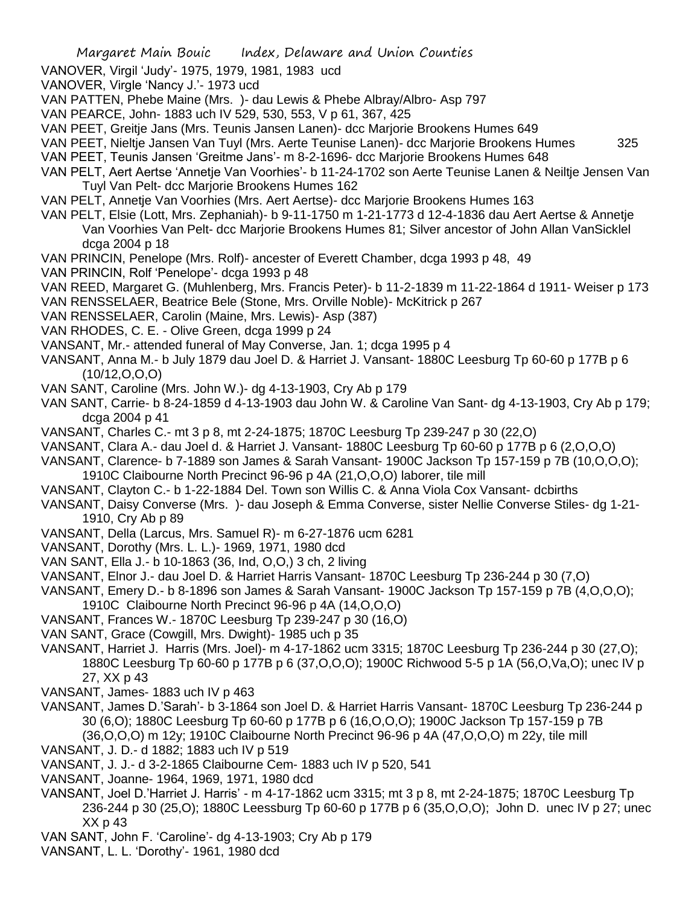- VANOVER, Virgil 'Judy'- 1975, 1979, 1981, 1983 ucd
- VANOVER, Virgle 'Nancy J.'- 1973 ucd
- VAN PATTEN, Phebe Maine (Mrs. )- dau Lewis & Phebe Albray/Albro- Asp 797
- VAN PEARCE, John- 1883 uch IV 529, 530, 553, V p 61, 367, 425
- VAN PEET, Greitje Jans (Mrs. Teunis Jansen Lanen)- dcc Marjorie Brookens Humes 649
- VAN PEET, Nieltje Jansen Van Tuyl (Mrs. Aerte Teunise Lanen)- dcc Marjorie Brookens Humes 325
- VAN PEET, Teunis Jansen 'Greitme Jans'- m 8-2-1696- dcc Marjorie Brookens Humes 648
- VAN PELT, Aert Aertse 'Annetje Van Voorhies'- b 11-24-1702 son Aerte Teunise Lanen & Neiltje Jensen Van Tuyl Van Pelt- dcc Marjorie Brookens Humes 162
- VAN PELT, Annetje Van Voorhies (Mrs. Aert Aertse)- dcc Marjorie Brookens Humes 163
- VAN PELT, Elsie (Lott, Mrs. Zephaniah)- b 9-11-1750 m 1-21-1773 d 12-4-1836 dau Aert Aertse & Annetje Van Voorhies Van Pelt- dcc Marjorie Brookens Humes 81; Silver ancestor of John Allan VanSicklel dcga 2004 p 18
- VAN PRINCIN, Penelope (Mrs. Rolf)- ancester of Everett Chamber, dcga 1993 p 48, 49
- VAN PRINCIN, Rolf 'Penelope'- dcga 1993 p 48
- VAN REED, Margaret G. (Muhlenberg, Mrs. Francis Peter)- b 11-2-1839 m 11-22-1864 d 1911- Weiser p 173
- VAN RENSSELAER, Beatrice Bele (Stone, Mrs. Orville Noble)- McKitrick p 267
- VAN RENSSELAER, Carolin (Maine, Mrs. Lewis)- Asp (387)
- VAN RHODES, C. E. Olive Green, dcga 1999 p 24
- VANSANT, Mr.- attended funeral of May Converse, Jan. 1; dcga 1995 p 4
- VANSANT, Anna M.- b July 1879 dau Joel D. & Harriet J. Vansant- 1880C Leesburg Tp 60-60 p 177B p 6  $(10/12, 0, 0, 0)$
- VAN SANT, Caroline (Mrs. John W.)- dg 4-13-1903, Cry Ab p 179
- VAN SANT, Carrie- b 8-24-1859 d 4-13-1903 dau John W. & Caroline Van Sant- dg 4-13-1903, Cry Ab p 179; dcga 2004 p 41
- VANSANT, Charles C.- mt 3 p 8, mt 2-24-1875; 1870C Leesburg Tp 239-247 p 30 (22,O)
- VANSANT, Clara A.- dau Joel d. & Harriet J. Vansant- 1880C Leesburg Tp 60-60 p 177B p 6 (2,O,O,O)
- VANSANT, Clarence- b 7-1889 son James & Sarah Vansant- 1900C Jackson Tp 157-159 p 7B (10,O,O,O); 1910C Claibourne North Precinct 96-96 p 4A (21,O,O,O) laborer, tile mill
- VANSANT, Clayton C.- b 1-22-1884 Del. Town son Willis C. & Anna Viola Cox Vansant- dcbirths
- VANSANT, Daisy Converse (Mrs. )- dau Joseph & Emma Converse, sister Nellie Converse Stiles- dg 1-21- 1910, Cry Ab p 89
- VANSANT, Della (Larcus, Mrs. Samuel R)- m 6-27-1876 ucm 6281
- VANSANT, Dorothy (Mrs. L. L.)- 1969, 1971, 1980 dcd
- VAN SANT, Ella J.- b 10-1863 (36, Ind, O,O,) 3 ch, 2 living
- VANSANT, Elnor J.- dau Joel D. & Harriet Harris Vansant- 1870C Leesburg Tp 236-244 p 30 (7,O)
- VANSANT, Emery D.- b 8-1896 son James & Sarah Vansant- 1900C Jackson Tp 157-159 p 7B (4,O,O,O);
- 1910C Claibourne North Precinct 96-96 p 4A (14,O,O,O)
- VANSANT, Frances W.- 1870C Leesburg Tp 239-247 p 30 (16,O)
- VAN SANT, Grace (Cowgill, Mrs. Dwight)- 1985 uch p 35
- VANSANT, Harriet J. Harris (Mrs. Joel)- m 4-17-1862 ucm 3315; 1870C Leesburg Tp 236-244 p 30 (27,O); 1880C Leesburg Tp 60-60 p 177B p 6 (37,O,O,O); 1900C Richwood 5-5 p 1A (56,O,Va,O); unec IV p 27, XX p 43
- VANSANT, James- 1883 uch IV p 463
- VANSANT, James D.'Sarah'- b 3-1864 son Joel D. & Harriet Harris Vansant- 1870C Leesburg Tp 236-244 p 30 (6,O); 1880C Leesburg Tp 60-60 p 177B p 6 (16,O,O,O); 1900C Jackson Tp 157-159 p 7B (36,O,O,O) m 12y; 1910C Claibourne North Precinct 96-96 p 4A (47,O,O,O) m 22y, tile mill
- VANSANT, J. D.- d 1882; 1883 uch IV p 519
- VANSANT, J. J.- d 3-2-1865 Claibourne Cem- 1883 uch IV p 520, 541
- VANSANT, Joanne- 1964, 1969, 1971, 1980 dcd
- VANSANT, Joel D.'Harriet J. Harris' m 4-17-1862 ucm 3315; mt 3 p 8, mt 2-24-1875; 1870C Leesburg Tp 236-244 p 30 (25,O); 1880C Leessburg Tp 60-60 p 177B p 6 (35,O,O,O); John D. unec IV p 27; unec XX p 43
- VAN SANT, John F. 'Caroline'- dg 4-13-1903; Cry Ab p 179
- VANSANT, L. L. 'Dorothy'- 1961, 1980 dcd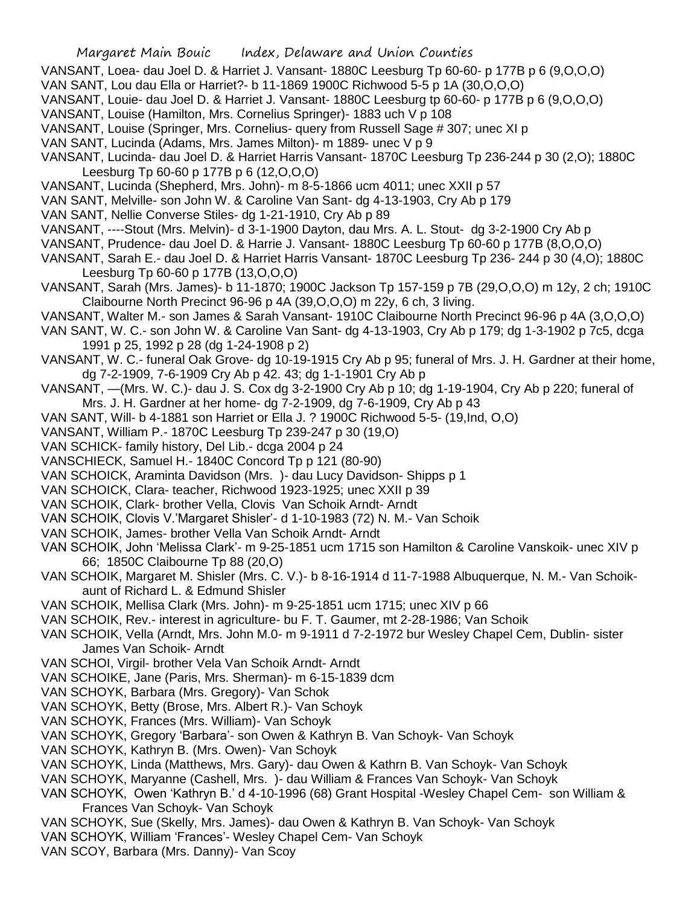- VANSANT, Loea- dau Joel D. & Harriet J. Vansant- 1880C Leesburg Tp 60-60- p 177B p 6 (9,O,O,O)
- VAN SANT, Lou dau Ella or Harriet?- b 11-1869 1900C Richwood 5-5 p 1A (30,O,O,O)
- VANSANT, Louie- dau Joel D. & Harriet J. Vansant- 1880C Leesburg tp 60-60- p 177B p 6 (9,O,O,O)
- VANSANT, Louise (Hamilton, Mrs. Cornelius Springer)- 1883 uch V p 108
- VANSANT, Louise (Springer, Mrs. Cornelius- query from Russell Sage # 307; unec XI p
- VAN SANT, Lucinda (Adams, Mrs. James Milton)- m 1889- unec V p 9
- VANSANT, Lucinda- dau Joel D. & Harriet Harris Vansant- 1870C Leesburg Tp 236-244 p 30 (2,O); 1880C Leesburg Tp 60-60 p 177B p 6 (12,O,O,O)
- VANSANT, Lucinda (Shepherd, Mrs. John)- m 8-5-1866 ucm 4011; unec XXII p 57
- VAN SANT, Melville- son John W. & Caroline Van Sant- dg 4-13-1903, Cry Ab p 179
- VAN SANT, Nellie Converse Stiles- dg 1-21-1910, Cry Ab p 89
- VANSANT, ----Stout (Mrs. Melvin)- d 3-1-1900 Dayton, dau Mrs. A. L. Stout- dg 3-2-1900 Cry Ab p
- VANSANT, Prudence- dau Joel D. & Harrie J. Vansant- 1880C Leesburg Tp 60-60 p 177B (8,O,O,O)
- VANSANT, Sarah E.- dau Joel D. & Harriet Harris Vansant- 1870C Leesburg Tp 236- 244 p 30 (4,O); 1880C Leesburg Tp 60-60 p 177B (13,O,O,O)
- VANSANT, Sarah (Mrs. James)- b 11-1870; 1900C Jackson Tp 157-159 p 7B (29,O,O,O) m 12y, 2 ch; 1910C Claibourne North Precinct 96-96 p 4A (39,O,O,O) m 22y, 6 ch, 3 living.
- VANSANT, Walter M.- son James & Sarah Vansant- 1910C Claibourne North Precinct 96-96 p 4A (3,O,O,O)
- VAN SANT, W. C.- son John W. & Caroline Van Sant- dg 4-13-1903, Cry Ab p 179; dg 1-3-1902 p 7c5, dcga 1991 p 25, 1992 p 28 (dg 1-24-1908 p 2)
- VANSANT, W. C.- funeral Oak Grove- dg 10-19-1915 Cry Ab p 95; funeral of Mrs. J. H. Gardner at their home, dg 7-2-1909, 7-6-1909 Cry Ab p 42. 43; dg 1-1-1901 Cry Ab p
- VANSANT, —(Mrs. W. C.)- dau J. S. Cox dg 3-2-1900 Cry Ab p 10; dg 1-19-1904, Cry Ab p 220; funeral of Mrs. J. H. Gardner at her home- dg 7-2-1909, dg 7-6-1909, Cry Ab p 43
- VAN SANT, Will- b 4-1881 son Harriet or Ella J. ? 1900C Richwood 5-5- (19,Ind, O,O)
- VANSANT, William P.- 1870C Leesburg Tp 239-247 p 30 (19,O)
- VAN SCHICK- family history, Del Lib.- dcga 2004 p 24
- VANSCHIECK, Samuel H.- 1840C Concord Tp p 121 (80-90)
- VAN SCHOICK, Araminta Davidson (Mrs. )- dau Lucy Davidson- Shipps p 1
- VAN SCHOICK, Clara- teacher, Richwood 1923-1925; unec XXII p 39
- VAN SCHOIK, Clark- brother Vella, Clovis Van Schoik Arndt- Arndt
- VAN SCHOIK, Clovis V.'Margaret Shisler'- d 1-10-1983 (72) N. M.- Van Schoik
- VAN SCHOIK, James- brother Vella Van Schoik Arndt- Arndt
- VAN SCHOIK, John 'Melissa Clark'- m 9-25-1851 ucm 1715 son Hamilton & Caroline Vanskoik- unec XIV p 66; 1850C Claibourne Tp 88 (20,O)
- VAN SCHOIK, Margaret M. Shisler (Mrs. C. V.)- b 8-16-1914 d 11-7-1988 Albuquerque, N. M.- Van Schoikaunt of Richard L. & Edmund Shisler
- VAN SCHOIK, Mellisa Clark (Mrs. John)- m 9-25-1851 ucm 1715; unec XIV p 66
- VAN SCHOIK, Rev.- interest in agriculture- bu F. T. Gaumer, mt 2-28-1986; Van Schoik
- VAN SCHOIK, Vella (Arndt, Mrs. John M.0- m 9-1911 d 7-2-1972 bur Wesley Chapel Cem, Dublin- sister James Van Schoik- Arndt
- VAN SCHOI, Virgil- brother Vela Van Schoik Arndt- Arndt
- VAN SCHOIKE, Jane (Paris, Mrs. Sherman)- m 6-15-1839 dcm
- VAN SCHOYK, Barbara (Mrs. Gregory)- Van Schok
- VAN SCHOYK, Betty (Brose, Mrs. Albert R.)- Van Schoyk
- VAN SCHOYK, Frances (Mrs. William)- Van Schoyk
- VAN SCHOYK, Gregory 'Barbara'- son Owen & Kathryn B. Van Schoyk- Van Schoyk
- VAN SCHOYK, Kathryn B. (Mrs. Owen)- Van Schoyk
- VAN SCHOYK, Linda (Matthews, Mrs. Gary)- dau Owen & Kathrn B. Van Schoyk- Van Schoyk
- VAN SCHOYK, Maryanne (Cashell, Mrs. )- dau William & Frances Van Schoyk- Van Schoyk
- VAN SCHOYK, Owen 'Kathryn B.' d 4-10-1996 (68) Grant Hospital -Wesley Chapel Cem- son William & Frances Van Schoyk- Van Schoyk
- VAN SCHOYK, Sue (Skelly, Mrs. James)- dau Owen & Kathryn B. Van Schoyk- Van Schoyk
- VAN SCHOYK, William 'Frances'- Wesley Chapel Cem- Van Schoyk
- VAN SCOY, Barbara (Mrs. Danny)- Van Scoy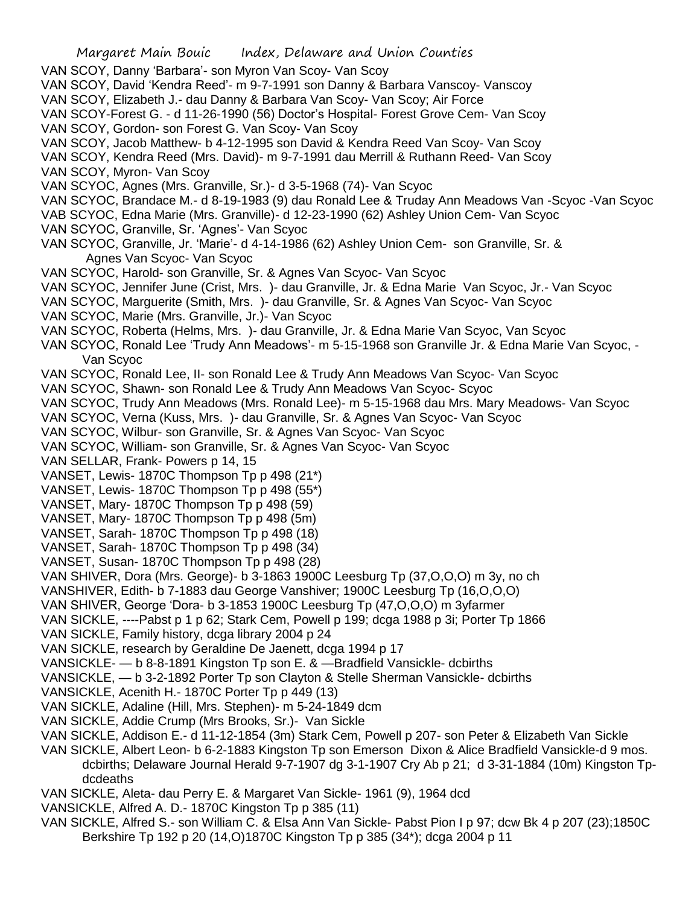- VAN SCOY, Danny 'Barbara'- son Myron Van Scoy- Van Scoy
- VAN SCOY, David 'Kendra Reed'- m 9-7-1991 son Danny & Barbara Vanscoy- Vanscoy
- VAN SCOY, Elizabeth J.- dau Danny & Barbara Van Scoy- Van Scoy; Air Force
- VAN SCOY-Forest G. d 11-26-1990 (56) Doctor's Hospital- Forest Grove Cem- Van Scoy
- VAN SCOY, Gordon- son Forest G. Van Scoy- Van Scoy
- VAN SCOY, Jacob Matthew- b 4-12-1995 son David & Kendra Reed Van Scoy- Van Scoy
- VAN SCOY, Kendra Reed (Mrs. David)- m 9-7-1991 dau Merrill & Ruthann Reed- Van Scoy

VAN SCOY, Myron- Van Scoy

- VAN SCYOC, Agnes (Mrs. Granville, Sr.)- d 3-5-1968 (74)- Van Scyoc
- VAN SCYOC, Brandace M.- d 8-19-1983 (9) dau Ronald Lee & Truday Ann Meadows Van -Scyoc -Van Scyoc
- VAB SCYOC, Edna Marie (Mrs. Granville)- d 12-23-1990 (62) Ashley Union Cem- Van Scyoc
- VAN SCYOC, Granville, Sr. 'Agnes'- Van Scyoc
- VAN SCYOC, Granville, Jr. 'Marie'- d 4-14-1986 (62) Ashley Union Cem- son Granville, Sr. & Agnes Van Scyoc- Van Scyoc
- VAN SCYOC, Harold- son Granville, Sr. & Agnes Van Scyoc- Van Scyoc
- VAN SCYOC, Jennifer June (Crist, Mrs. )- dau Granville, Jr. & Edna Marie Van Scyoc, Jr.- Van Scyoc
- VAN SCYOC, Marguerite (Smith, Mrs. )- dau Granville, Sr. & Agnes Van Scyoc- Van Scyoc
- VAN SCYOC, Marie (Mrs. Granville, Jr.)- Van Scyoc
- VAN SCYOC, Roberta (Helms, Mrs. )- dau Granville, Jr. & Edna Marie Van Scyoc, Van Scyoc
- VAN SCYOC, Ronald Lee 'Trudy Ann Meadows'- m 5-15-1968 son Granville Jr. & Edna Marie Van Scyoc, Van Scyoc
- VAN SCYOC, Ronald Lee, II- son Ronald Lee & Trudy Ann Meadows Van Scyoc- Van Scyoc
- VAN SCYOC, Shawn- son Ronald Lee & Trudy Ann Meadows Van Scyoc- Scyoc
- VAN SCYOC, Trudy Ann Meadows (Mrs. Ronald Lee)- m 5-15-1968 dau Mrs. Mary Meadows- Van Scyoc
- VAN SCYOC, Verna (Kuss, Mrs. )- dau Granville, Sr. & Agnes Van Scyoc- Van Scyoc
- VAN SCYOC, Wilbur- son Granville, Sr. & Agnes Van Scyoc- Van Scyoc
- VAN SCYOC, William- son Granville, Sr. & Agnes Van Scyoc- Van Scyoc
- VAN SELLAR, Frank- Powers p 14, 15
- VANSET, Lewis- 1870C Thompson Tp p 498 (21\*)
- VANSET, Lewis- 1870C Thompson Tp p 498 (55\*)
- VANSET, Mary- 1870C Thompson Tp p 498 (59)
- VANSET, Mary- 1870C Thompson Tp p 498 (5m)
- VANSET, Sarah- 1870C Thompson Tp p 498 (18)
- VANSET, Sarah- 1870C Thompson Tp p 498 (34)
- VANSET, Susan- 1870C Thompson Tp p 498 (28)
- VAN SHIVER, Dora (Mrs. George)- b 3-1863 1900C Leesburg Tp (37,O,O,O) m 3y, no ch
- VANSHIVER, Edith- b 7-1883 dau George Vanshiver; 1900C Leesburg Tp (16,O,O,O)
- VAN SHIVER, George 'Dora- b 3-1853 1900C Leesburg Tp (47,O,O,O) m 3yfarmer
- VAN SICKLE, ----Pabst p 1 p 62; Stark Cem, Powell p 199; dcga 1988 p 3i; Porter Tp 1866
- VAN SICKLE, Family history, dcga library 2004 p 24
- VAN SICKLE, research by Geraldine De Jaenett, dcga 1994 p 17
- VANSICKLE- b 8-8-1891 Kingston Tp son E. & —Bradfield Vansickle- dcbirths
- VANSICKLE, b 3-2-1892 Porter Tp son Clayton & Stelle Sherman Vansickle- dcbirths
- VANSICKLE, Acenith H.- 1870C Porter Tp p 449 (13)
- VAN SICKLE, Adaline (Hill, Mrs. Stephen)- m 5-24-1849 dcm
- VAN SICKLE, Addie Crump (Mrs Brooks, Sr.)- Van Sickle
- VAN SICKLE, Addison E.- d 11-12-1854 (3m) Stark Cem, Powell p 207- son Peter & Elizabeth Van Sickle
- VAN SICKLE, Albert Leon- b 6-2-1883 Kingston Tp son Emerson Dixon & Alice Bradfield Vansickle-d 9 mos. dcbirths; Delaware Journal Herald 9-7-1907 dg 3-1-1907 Cry Ab p 21; d 3-31-1884 (10m) Kingston Tpdcdeaths
- VAN SICKLE, Aleta- dau Perry E. & Margaret Van Sickle- 1961 (9), 1964 dcd
- VANSICKLE, Alfred A. D.- 1870C Kingston Tp p 385 (11)
- VAN SICKLE, Alfred S.- son William C. & Elsa Ann Van Sickle- Pabst Pion I p 97; dcw Bk 4 p 207 (23);1850C Berkshire Tp 192 p 20 (14,O)1870C Kingston Tp p 385 (34\*); dcga 2004 p 11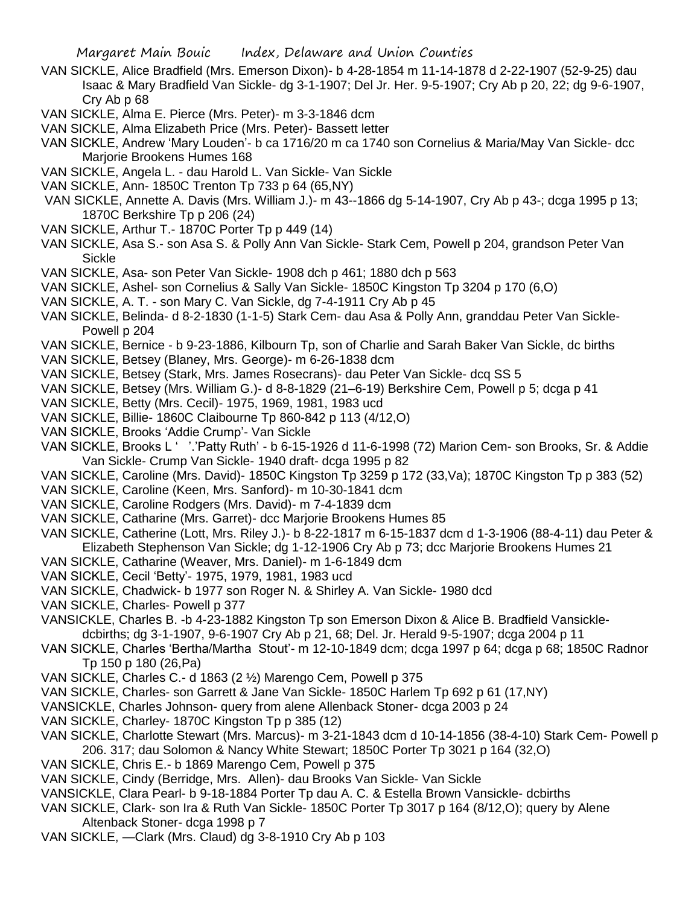- VAN SICKLE, Alice Bradfield (Mrs. Emerson Dixon)- b 4-28-1854 m 11-14-1878 d 2-22-1907 (52-9-25) dau Isaac & Mary Bradfield Van Sickle- dg 3-1-1907; Del Jr. Her. 9-5-1907; Cry Ab p 20, 22; dg 9-6-1907, Cry Ab p 68
- VAN SICKLE, Alma E. Pierce (Mrs. Peter)- m 3-3-1846 dcm
- VAN SICKLE, Alma Elizabeth Price (Mrs. Peter)- Bassett letter
- VAN SICKLE, Andrew 'Mary Louden'- b ca 1716/20 m ca 1740 son Cornelius & Maria/May Van Sickle- dcc Marjorie Brookens Humes 168
- VAN SICKLE, Angela L. dau Harold L. Van Sickle- Van Sickle
- VAN SICKLE, Ann- 1850C Trenton Tp 733 p 64 (65,NY)
- VAN SICKLE, Annette A. Davis (Mrs. William J.)- m 43--1866 dg 5-14-1907, Cry Ab p 43-; dcga 1995 p 13; 1870C Berkshire Tp p 206 (24)
- VAN SICKLE, Arthur T.- 1870C Porter Tp p 449 (14)
- VAN SICKLE, Asa S.- son Asa S. & Polly Ann Van Sickle- Stark Cem, Powell p 204, grandson Peter Van Sickle
- VAN SICKLE, Asa- son Peter Van Sickle- 1908 dch p 461; 1880 dch p 563
- VAN SICKLE, Ashel- son Cornelius & Sally Van Sickle- 1850C Kingston Tp 3204 p 170 (6,O)
- VAN SICKLE, A. T. son Mary C. Van Sickle, dg 7-4-1911 Cry Ab p 45
- VAN SICKLE, Belinda- d 8-2-1830 (1-1-5) Stark Cem- dau Asa & Polly Ann, granddau Peter Van Sickle-Powell p 204
- VAN SICKLE, Bernice b 9-23-1886, Kilbourn Tp, son of Charlie and Sarah Baker Van Sickle, dc births
- VAN SICKLE, Betsey (Blaney, Mrs. George)- m 6-26-1838 dcm
- VAN SICKLE, Betsey (Stark, Mrs. James Rosecrans)- dau Peter Van Sickle- dcq SS 5
- VAN SICKLE, Betsey (Mrs. William G.)- d 8-8-1829 (21–6-19) Berkshire Cem, Powell p 5; dcga p 41
- VAN SICKLE, Betty (Mrs. Cecil)- 1975, 1969, 1981, 1983 ucd
- VAN SICKLE, Billie- 1860C Claibourne Tp 860-842 p 113 (4/12,O)
- VAN SICKLE, Brooks 'Addie Crump'- Van Sickle
- VAN SICKLE, Brooks L ' '.'Patty Ruth' b 6-15-1926 d 11-6-1998 (72) Marion Cem- son Brooks, Sr. & Addie Van Sickle- Crump Van Sickle- 1940 draft- dcga 1995 p 82
- VAN SICKLE, Caroline (Mrs. David)- 1850C Kingston Tp 3259 p 172 (33,Va); 1870C Kingston Tp p 383 (52)
- VAN SICKLE, Caroline (Keen, Mrs. Sanford)- m 10-30-1841 dcm
- VAN SICKLE, Caroline Rodgers (Mrs. David)- m 7-4-1839 dcm
- VAN SICKLE, Catharine (Mrs. Garret)- dcc Marjorie Brookens Humes 85
- VAN SICKLE, Catherine (Lott, Mrs. Riley J.)- b 8-22-1817 m 6-15-1837 dcm d 1-3-1906 (88-4-11) dau Peter & Elizabeth Stephenson Van Sickle; dg 1-12-1906 Cry Ab p 73; dcc Marjorie Brookens Humes 21
- VAN SICKLE, Catharine (Weaver, Mrs. Daniel)- m 1-6-1849 dcm
- VAN SICKLE, Cecil 'Betty'- 1975, 1979, 1981, 1983 ucd
- VAN SICKLE, Chadwick- b 1977 son Roger N. & Shirley A. Van Sickle- 1980 dcd
- VAN SICKLE, Charles- Powell p 377
- VANSICKLE, Charles B. -b 4-23-1882 Kingston Tp son Emerson Dixon & Alice B. Bradfield Vansickledcbirths; dg 3-1-1907, 9-6-1907 Cry Ab p 21, 68; Del. Jr. Herald 9-5-1907; dcga 2004 p 11
- VAN SICKLE, Charles 'Bertha/Martha Stout'- m 12-10-1849 dcm; dcga 1997 p 64; dcga p 68; 1850C Radnor Tp 150 p 180 (26,Pa)
- VAN SICKLE, Charles C.- d 1863 (2 ½) Marengo Cem, Powell p 375
- VAN SICKLE, Charles- son Garrett & Jane Van Sickle- 1850C Harlem Tp 692 p 61 (17,NY)
- VANSICKLE, Charles Johnson- query from alene Allenback Stoner- dcga 2003 p 24
- VAN SICKLE, Charley- 1870C Kingston Tp p 385 (12)
- VAN SICKLE, Charlotte Stewart (Mrs. Marcus)- m 3-21-1843 dcm d 10-14-1856 (38-4-10) Stark Cem- Powell p 206. 317; dau Solomon & Nancy White Stewart; 1850C Porter Tp 3021 p 164 (32,O)
- VAN SICKLE, Chris E.- b 1869 Marengo Cem, Powell p 375
- VAN SICKLE, Cindy (Berridge, Mrs. Allen)- dau Brooks Van Sickle- Van Sickle
- VANSICKLE, Clara Pearl- b 9-18-1884 Porter Tp dau A. C. & Estella Brown Vansickle- dcbirths
- VAN SICKLE, Clark- son Ira & Ruth Van Sickle- 1850C Porter Tp 3017 p 164 (8/12,O); query by Alene Altenback Stoner- dcga 1998 p 7
- VAN SICKLE, —Clark (Mrs. Claud) dg 3-8-1910 Cry Ab p 103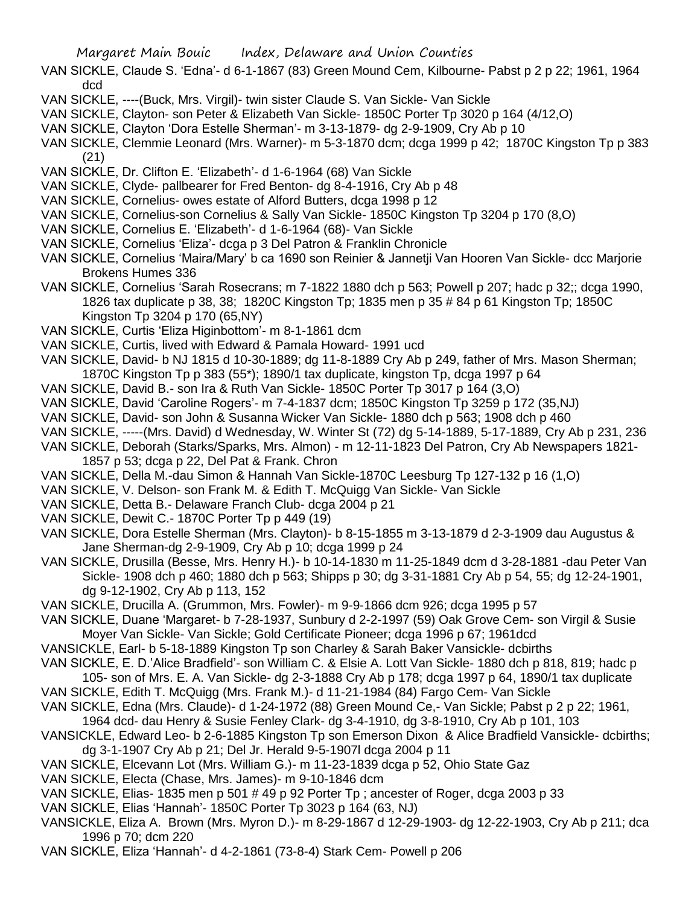- VAN SICKLE, Claude S. 'Edna'- d 6-1-1867 (83) Green Mound Cem, Kilbourne- Pabst p 2 p 22; 1961, 1964 dcd
- VAN SICKLE, ----(Buck, Mrs. Virgil)- twin sister Claude S. Van Sickle- Van Sickle
- VAN SICKLE, Clayton- son Peter & Elizabeth Van Sickle- 1850C Porter Tp 3020 p 164 (4/12,O)
- VAN SICKLE, Clayton 'Dora Estelle Sherman'- m 3-13-1879- dg 2-9-1909, Cry Ab p 10
- VAN SICKLE, Clemmie Leonard (Mrs. Warner)- m 5-3-1870 dcm; dcga 1999 p 42; 1870C Kingston Tp p 383 (21)
- VAN SICKLE, Dr. Clifton E. 'Elizabeth'- d 1-6-1964 (68) Van Sickle
- VAN SICKLE, Clyde- pallbearer for Fred Benton- dg 8-4-1916, Cry Ab p 48
- VAN SICKLE, Cornelius- owes estate of Alford Butters, dcga 1998 p 12
- VAN SICKLE, Cornelius-son Cornelius & Sally Van Sickle- 1850C Kingston Tp 3204 p 170 (8,O)
- VAN SICKLE, Cornelius E. 'Elizabeth'- d 1-6-1964 (68)- Van Sickle
- VAN SICKLE, Cornelius 'Eliza'- dcga p 3 Del Patron & Franklin Chronicle
- VAN SICKLE, Cornelius 'Maira/Mary' b ca 1690 son Reinier & Jannetji Van Hooren Van Sickle- dcc Marjorie Brokens Humes 336
- VAN SICKLE, Cornelius 'Sarah Rosecrans; m 7-1822 1880 dch p 563; Powell p 207; hadc p 32;; dcga 1990, 1826 tax duplicate p 38, 38; 1820C Kingston Tp; 1835 men p 35 # 84 p 61 Kingston Tp; 1850C Kingston Tp 3204 p 170 (65,NY)
- VAN SICKLE, Curtis 'Eliza Higinbottom'- m 8-1-1861 dcm
- VAN SICKLE, Curtis, lived with Edward & Pamala Howard- 1991 ucd
- VAN SICKLE, David- b NJ 1815 d 10-30-1889; dg 11-8-1889 Cry Ab p 249, father of Mrs. Mason Sherman; 1870C Kingston Tp p 383 (55\*); 1890/1 tax duplicate, kingston Tp, dcga 1997 p 64
- VAN SICKLE, David B.- son Ira & Ruth Van Sickle- 1850C Porter Tp 3017 p 164 (3,O)
- VAN SICKLE, David 'Caroline Rogers'- m 7-4-1837 dcm; 1850C Kingston Tp 3259 p 172 (35,NJ)
- VAN SICKLE, David- son John & Susanna Wicker Van Sickle- 1880 dch p 563; 1908 dch p 460
- VAN SICKLE, -----(Mrs. David) d Wednesday, W. Winter St (72) dg 5-14-1889, 5-17-1889, Cry Ab p 231, 236
- VAN SICKLE, Deborah (Starks/Sparks, Mrs. Almon) m 12-11-1823 Del Patron, Cry Ab Newspapers 1821- 1857 p 53; dcga p 22, Del Pat & Frank. Chron
- VAN SICKLE, Della M.-dau Simon & Hannah Van Sickle-1870C Leesburg Tp 127-132 p 16 (1,O)
- VAN SICKLE, V. Delson- son Frank M. & Edith T. McQuigg Van Sickle- Van Sickle
- VAN SICKLE, Detta B.- Delaware Franch Club- dcga 2004 p 21
- VAN SICKLE, Dewit C.- 1870C Porter Tp p 449 (19)
- VAN SICKLE, Dora Estelle Sherman (Mrs. Clayton)- b 8-15-1855 m 3-13-1879 d 2-3-1909 dau Augustus & Jane Sherman-dg 2-9-1909, Cry Ab p 10; dcga 1999 p 24
- VAN SICKLE, Drusilla (Besse, Mrs. Henry H.)- b 10-14-1830 m 11-25-1849 dcm d 3-28-1881 -dau Peter Van Sickle- 1908 dch p 460; 1880 dch p 563; Shipps p 30; dg 3-31-1881 Cry Ab p 54, 55; dg 12-24-1901, dg 9-12-1902, Cry Ab p 113, 152
- VAN SICKLE, Drucilla A. (Grummon, Mrs. Fowler)- m 9-9-1866 dcm 926; dcga 1995 p 57
- VAN SICKLE, Duane 'Margaret- b 7-28-1937, Sunbury d 2-2-1997 (59) Oak Grove Cem- son Virgil & Susie Moyer Van Sickle- Van Sickle; Gold Certificate Pioneer; dcga 1996 p 67; 1961dcd
- VANSICKLE, Earl- b 5-18-1889 Kingston Tp son Charley & Sarah Baker Vansickle- dcbirths
- VAN SICKLE, E. D.'Alice Bradfield'- son William C. & Elsie A. Lott Van Sickle- 1880 dch p 818, 819; hadc p 105- son of Mrs. E. A. Van Sickle- dg 2-3-1888 Cry Ab p 178; dcga 1997 p 64, 1890/1 tax duplicate
- VAN SICKLE, Edith T. McQuigg (Mrs. Frank M.)- d 11-21-1984 (84) Fargo Cem- Van Sickle
- VAN SICKLE, Edna (Mrs. Claude)- d 1-24-1972 (88) Green Mound Ce,- Van Sickle; Pabst p 2 p 22; 1961,
	- 1964 dcd- dau Henry & Susie Fenley Clark- dg 3-4-1910, dg 3-8-1910, Cry Ab p 101, 103
- VANSICKLE, Edward Leo- b 2-6-1885 Kingston Tp son Emerson Dixon & Alice Bradfield Vansickle- dcbirths; dg 3-1-1907 Cry Ab p 21; Del Jr. Herald 9-5-1907l dcga 2004 p 11
- VAN SICKLE, Elcevann Lot (Mrs. William G.)- m 11-23-1839 dcga p 52, Ohio State Gaz
- VAN SICKLE, Electa (Chase, Mrs. James)- m 9-10-1846 dcm
- VAN SICKLE, Elias- 1835 men p 501 # 49 p 92 Porter Tp ; ancester of Roger, dcga 2003 p 33
- VAN SICKLE, Elias 'Hannah'- 1850C Porter Tp 3023 p 164 (63, NJ)
- VANSICKLE, Eliza A. Brown (Mrs. Myron D.)- m 8-29-1867 d 12-29-1903- dg 12-22-1903, Cry Ab p 211; dca 1996 p 70; dcm 220
- VAN SICKLE, Eliza 'Hannah'- d 4-2-1861 (73-8-4) Stark Cem- Powell p 206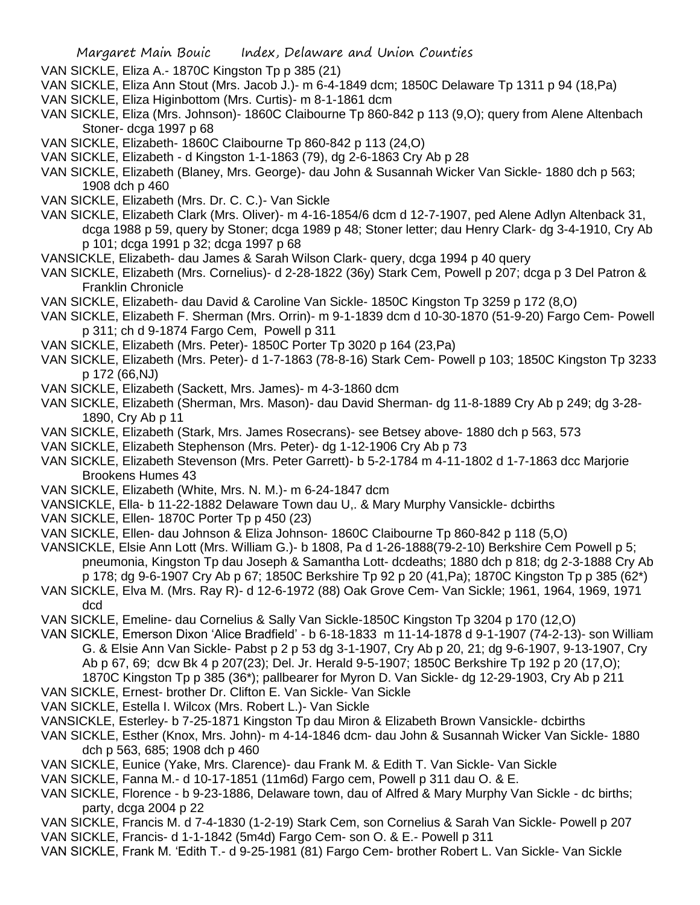VAN SICKLE, Eliza A.- 1870C Kingston Tp p 385 (21)

- VAN SICKLE, Eliza Ann Stout (Mrs. Jacob J.)- m 6-4-1849 dcm; 1850C Delaware Tp 1311 p 94 (18,Pa)
- VAN SICKLE, Eliza Higinbottom (Mrs. Curtis)- m 8-1-1861 dcm
- VAN SICKLE, Eliza (Mrs. Johnson)- 1860C Claibourne Tp 860-842 p 113 (9,O); query from Alene Altenbach Stoner- dcga 1997 p 68
- VAN SICKLE, Elizabeth- 1860C Claibourne Tp 860-842 p 113 (24,O)
- VAN SICKLE, Elizabeth d Kingston 1-1-1863 (79), dg 2-6-1863 Cry Ab p 28
- VAN SICKLE, Elizabeth (Blaney, Mrs. George)- dau John & Susannah Wicker Van Sickle- 1880 dch p 563; 1908 dch p 460
- VAN SICKLE, Elizabeth (Mrs. Dr. C. C.)- Van Sickle
- VAN SICKLE, Elizabeth Clark (Mrs. Oliver)- m 4-16-1854/6 dcm d 12-7-1907, ped Alene Adlyn Altenback 31, dcga 1988 p 59, query by Stoner; dcga 1989 p 48; Stoner letter; dau Henry Clark- dg 3-4-1910, Cry Ab p 101; dcga 1991 p 32; dcga 1997 p 68
- VANSICKLE, Elizabeth- dau James & Sarah Wilson Clark- query, dcga 1994 p 40 query
- VAN SICKLE, Elizabeth (Mrs. Cornelius)- d 2-28-1822 (36y) Stark Cem, Powell p 207; dcga p 3 Del Patron & Franklin Chronicle
- VAN SICKLE, Elizabeth- dau David & Caroline Van Sickle- 1850C Kingston Tp 3259 p 172 (8,O)
- VAN SICKLE, Elizabeth F. Sherman (Mrs. Orrin)- m 9-1-1839 dcm d 10-30-1870 (51-9-20) Fargo Cem- Powell p 311; ch d 9-1874 Fargo Cem, Powell p 311
- VAN SICKLE, Elizabeth (Mrs. Peter)- 1850C Porter Tp 3020 p 164 (23,Pa)
- VAN SICKLE, Elizabeth (Mrs. Peter)- d 1-7-1863 (78-8-16) Stark Cem- Powell p 103; 1850C Kingston Tp 3233 p 172 (66,NJ)
- VAN SICKLE, Elizabeth (Sackett, Mrs. James)- m 4-3-1860 dcm
- VAN SICKLE, Elizabeth (Sherman, Mrs. Mason)- dau David Sherman- dg 11-8-1889 Cry Ab p 249; dg 3-28- 1890, Cry Ab p 11
- VAN SICKLE, Elizabeth (Stark, Mrs. James Rosecrans)- see Betsey above- 1880 dch p 563, 573
- VAN SICKLE, Elizabeth Stephenson (Mrs. Peter)- dg 1-12-1906 Cry Ab p 73
- VAN SICKLE, Elizabeth Stevenson (Mrs. Peter Garrett)- b 5-2-1784 m 4-11-1802 d 1-7-1863 dcc Marjorie Brookens Humes 43
- VAN SICKLE, Elizabeth (White, Mrs. N. M.)- m 6-24-1847 dcm
- VANSICKLE, Ella- b 11-22-1882 Delaware Town dau U,. & Mary Murphy Vansickle- dcbirths
- VAN SICKLE, Ellen- 1870C Porter Tp p 450 (23)
- VAN SICKLE, Ellen- dau Johnson & Eliza Johnson- 1860C Claibourne Tp 860-842 p 118 (5,O)
- VANSICKLE, Elsie Ann Lott (Mrs. William G.)- b 1808, Pa d 1-26-1888(79-2-10) Berkshire Cem Powell p 5; pneumonia, Kingston Tp dau Joseph & Samantha Lott- dcdeaths; 1880 dch p 818; dg 2-3-1888 Cry Ab p 178; dg 9-6-1907 Cry Ab p 67; 1850C Berkshire Tp 92 p 20 (41,Pa); 1870C Kingston Tp p 385 (62\*)
- VAN SICKLE, Elva M. (Mrs. Ray R)- d 12-6-1972 (88) Oak Grove Cem- Van Sickle; 1961, 1964, 1969, 1971 dcd
- VAN SICKLE, Emeline- dau Cornelius & Sally Van Sickle-1850C Kingston Tp 3204 p 170 (12,O)
- VAN SICKLE, Emerson Dixon 'Alice Bradfield' b 6-18-1833 m 11-14-1878 d 9-1-1907 (74-2-13)- son William G. & Elsie Ann Van Sickle- Pabst p 2 p 53 dg 3-1-1907, Cry Ab p 20, 21; dg 9-6-1907, 9-13-1907, Cry Ab p 67, 69; dcw Bk 4 p 207(23); Del. Jr. Herald 9-5-1907; 1850C Berkshire Tp 192 p 20 (17,O); 1870C Kingston Tp p 385 (36\*); pallbearer for Myron D. Van Sickle- dg 12-29-1903, Cry Ab p 211
- VAN SICKLE, Ernest- brother Dr. Clifton E. Van Sickle- Van Sickle
- VAN SICKLE, Estella I. Wilcox (Mrs. Robert L.)- Van Sickle
- VANSICKLE, Esterley- b 7-25-1871 Kingston Tp dau Miron & Elizabeth Brown Vansickle- dcbirths
- VAN SICKLE, Esther (Knox, Mrs. John)- m 4-14-1846 dcm- dau John & Susannah Wicker Van Sickle- 1880 dch p 563, 685; 1908 dch p 460
- VAN SICKLE, Eunice (Yake, Mrs. Clarence)- dau Frank M. & Edith T. Van Sickle- Van Sickle
- VAN SICKLE, Fanna M.- d 10-17-1851 (11m6d) Fargo cem, Powell p 311 dau O. & E.
- VAN SICKLE, Florence b 9-23-1886, Delaware town, dau of Alfred & Mary Murphy Van Sickle dc births; party, dcga 2004 p 22
- VAN SICKLE, Francis M. d 7-4-1830 (1-2-19) Stark Cem, son Cornelius & Sarah Van Sickle- Powell p 207
- VAN SICKLE, Francis- d 1-1-1842 (5m4d) Fargo Cem- son O. & E.- Powell p 311
- VAN SICKLE, Frank M. 'Edith T.- d 9-25-1981 (81) Fargo Cem- brother Robert L. Van Sickle- Van Sickle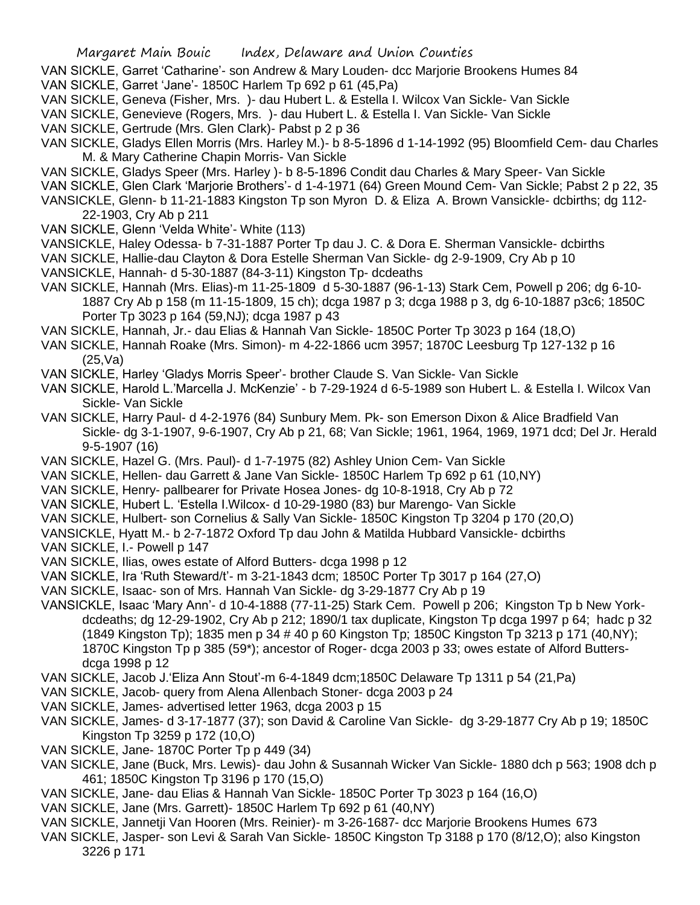- VAN SICKLE, Garret 'Catharine'- son Andrew & Mary Louden- dcc Marjorie Brookens Humes 84 VAN SICKLE, Garret 'Jane'- 1850C Harlem Tp 692 p 61 (45,Pa)
- VAN SICKLE, Geneva (Fisher, Mrs. )- dau Hubert L. & Estella I. Wilcox Van Sickle- Van Sickle
- VAN SICKLE, Genevieve (Rogers, Mrs. )- dau Hubert L. & Estella I. Van Sickle- Van Sickle
- VAN SICKLE, Gertrude (Mrs. Glen Clark)- Pabst p 2 p 36
- VAN SICKLE, Gladys Ellen Morris (Mrs. Harley M.)- b 8-5-1896 d 1-14-1992 (95) Bloomfield Cem- dau Charles M. & Mary Catherine Chapin Morris- Van Sickle
- VAN SICKLE, Gladys Speer (Mrs. Harley )- b 8-5-1896 Condit dau Charles & Mary Speer- Van Sickle
- VAN SICKLE, Glen Clark 'Marjorie Brothers'- d 1-4-1971 (64) Green Mound Cem- Van Sickle; Pabst 2 p 22, 35
- VANSICKLE, Glenn- b 11-21-1883 Kingston Tp son Myron D. & Eliza A. Brown Vansickle- dcbirths; dg 112- 22-1903, Cry Ab p 211
- VAN SICKLE, Glenn 'Velda White'- White (113)
- VANSICKLE, Haley Odessa- b 7-31-1887 Porter Tp dau J. C. & Dora E. Sherman Vansickle- dcbirths
- VAN SICKLE, Hallie-dau Clayton & Dora Estelle Sherman Van Sickle- dg 2-9-1909, Cry Ab p 10 VANSICKLE, Hannah- d 5-30-1887 (84-3-11) Kingston Tp- dcdeaths
- VAN SICKLE, Hannah (Mrs. Elias)-m 11-25-1809 d 5-30-1887 (96-1-13) Stark Cem, Powell p 206; dg 6-10- 1887 Cry Ab p 158 (m 11-15-1809, 15 ch); dcga 1987 p 3; dcga 1988 p 3, dg 6-10-1887 p3c6; 1850C Porter Tp 3023 p 164 (59.NJ); dcga 1987 p 43
- VAN SICKLE, Hannah, Jr.- dau Elias & Hannah Van Sickle- 1850C Porter Tp 3023 p 164 (18,O)
- VAN SICKLE, Hannah Roake (Mrs. Simon)- m 4-22-1866 ucm 3957; 1870C Leesburg Tp 127-132 p 16 (25,Va)
- VAN SICKLE, Harley 'Gladys Morris Speer'- brother Claude S. Van Sickle- Van Sickle
- VAN SICKLE, Harold L.'Marcella J. McKenzie' b 7-29-1924 d 6-5-1989 son Hubert L. & Estella I. Wilcox Van Sickle- Van Sickle
- VAN SICKLE, Harry Paul- d 4-2-1976 (84) Sunbury Mem. Pk- son Emerson Dixon & Alice Bradfield Van Sickle- dg 3-1-1907, 9-6-1907, Cry Ab p 21, 68; Van Sickle; 1961, 1964, 1969, 1971 dcd; Del Jr. Herald 9-5-1907 (16)
- VAN SICKLE, Hazel G. (Mrs. Paul)- d 1-7-1975 (82) Ashley Union Cem- Van Sickle
- VAN SICKLE, Hellen- dau Garrett & Jane Van Sickle- 1850C Harlem Tp 692 p 61 (10,NY)
- VAN SICKLE, Henry- pallbearer for Private Hosea Jones- dg 10-8-1918, Cry Ab p 72
- VAN SICKLE, Hubert L. 'Estella I.Wilcox- d 10-29-1980 (83) bur Marengo- Van Sickle
- VAN SICKLE, Hulbert- son Cornelius & Sally Van Sickle- 1850C Kingston Tp 3204 p 170 (20,O)
- VANSICKLE, Hyatt M.- b 2-7-1872 Oxford Tp dau John & Matilda Hubbard Vansickle- dcbirths

VAN SICKLE, I.- Powell p 147

- VAN SICKLE, Ilias, owes estate of Alford Butters- dcga 1998 p 12
- VAN SICKLE, Ira 'Ruth Steward/t'- m 3-21-1843 dcm; 1850C Porter Tp 3017 p 164 (27,O)
- VAN SICKLE, Isaac- son of Mrs. Hannah Van Sickle- dg 3-29-1877 Cry Ab p 19
- VANSICKLE, Isaac 'Mary Ann'- d 10-4-1888 (77-11-25) Stark Cem. Powell p 206; Kingston Tp b New Yorkdcdeaths; dg 12-29-1902, Cry Ab p 212; 1890/1 tax duplicate, Kingston Tp dcga 1997 p 64; hadc p 32 (1849 Kingston Tp); 1835 men p 34 # 40 p 60 Kingston Tp; 1850C Kingston Tp 3213 p 171 (40,NY); 1870C Kingston Tp p 385 (59\*); ancestor of Roger- dcga 2003 p 33; owes estate of Alford Buttersdcga 1998 p 12
- VAN SICKLE, Jacob J.'Eliza Ann Stout'-m 6-4-1849 dcm;1850C Delaware Tp 1311 p 54 (21,Pa)
- VAN SICKLE, Jacob- query from Alena Allenbach Stoner- dcga 2003 p 24
- VAN SICKLE, James- advertised letter 1963, dcga 2003 p 15
- VAN SICKLE, James- d 3-17-1877 (37); son David & Caroline Van Sickle- dg 3-29-1877 Cry Ab p 19; 1850C Kingston Tp 3259 p 172 (10,O)
- VAN SICKLE, Jane- 1870C Porter Tp p 449 (34)
- VAN SICKLE, Jane (Buck, Mrs. Lewis)- dau John & Susannah Wicker Van Sickle- 1880 dch p 563; 1908 dch p 461; 1850C Kingston Tp 3196 p 170 (15,O)
- VAN SICKLE, Jane- dau Elias & Hannah Van Sickle- 1850C Porter Tp 3023 p 164 (16,O)
- VAN SICKLE, Jane (Mrs. Garrett)- 1850C Harlem Tp 692 p 61 (40,NY)
- VAN SICKLE, Jannetji Van Hooren (Mrs. Reinier)- m 3-26-1687- dcc Marjorie Brookens Humes 673
- VAN SICKLE, Jasper- son Levi & Sarah Van Sickle- 1850C Kingston Tp 3188 p 170 (8/12,O); also Kingston 3226 p 171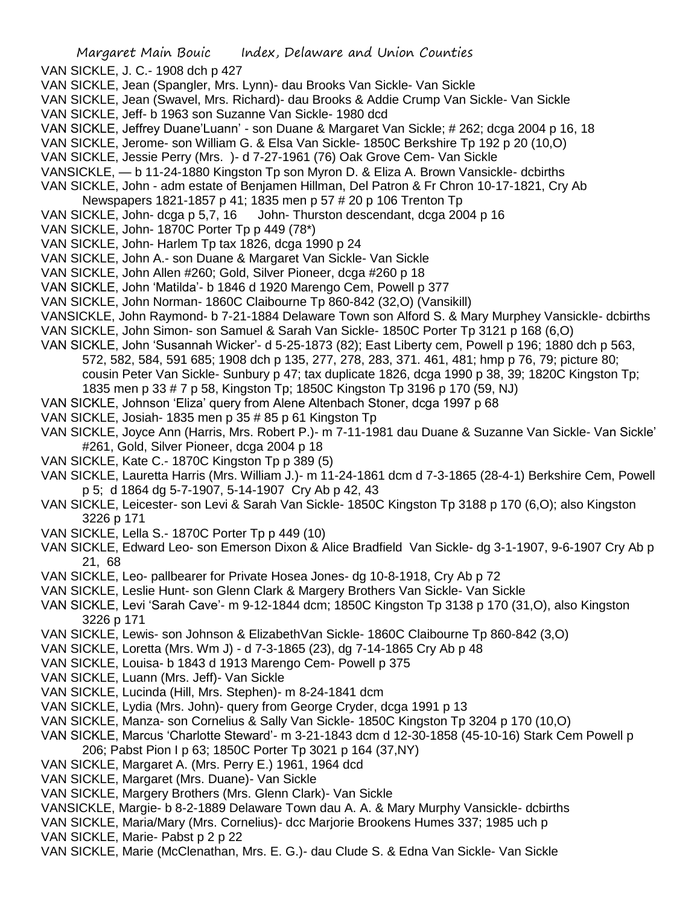VAN SICKLE, J. C.- 1908 dch p 427

- VAN SICKLE, Jean (Spangler, Mrs. Lynn)- dau Brooks Van Sickle- Van Sickle
- VAN SICKLE, Jean (Swavel, Mrs. Richard)- dau Brooks & Addie Crump Van Sickle- Van Sickle
- VAN SICKLE, Jeff- b 1963 son Suzanne Van Sickle- 1980 dcd
- VAN SICKLE, Jeffrey Duane'Luann' son Duane & Margaret Van Sickle; # 262; dcga 2004 p 16, 18
- VAN SICKLE, Jerome- son William G. & Elsa Van Sickle- 1850C Berkshire Tp 192 p 20 (10,O)
- VAN SICKLE, Jessie Perry (Mrs. )- d 7-27-1961 (76) Oak Grove Cem- Van Sickle
- VANSICKLE, b 11-24-1880 Kingston Tp son Myron D. & Eliza A. Brown Vansickle- dcbirths
- VAN SICKLE, John adm estate of Benjamen Hillman, Del Patron & Fr Chron 10-17-1821, Cry Ab
- Newspapers 1821-1857 p 41; 1835 men p 57 # 20 p 106 Trenton Tp
- VAN SICKLE, John- dcga p 5,7, 16 John- Thurston descendant, dcga 2004 p 16
- VAN SICKLE, John- 1870C Porter Tp p 449 (78\*)
- VAN SICKLE, John- Harlem Tp tax 1826, dcga 1990 p 24
- VAN SICKLE, John A.- son Duane & Margaret Van Sickle- Van Sickle
- VAN SICKLE, John Allen #260; Gold, Silver Pioneer, dcga #260 p 18
- VAN SICKLE, John 'Matilda'- b 1846 d 1920 Marengo Cem, Powell p 377
- VAN SICKLE, John Norman- 1860C Claibourne Tp 860-842 (32,O) (Vansikill)
- VANSICKLE, John Raymond- b 7-21-1884 Delaware Town son Alford S. & Mary Murphey Vansickle- dcbirths
- VAN SICKLE, John Simon- son Samuel & Sarah Van Sickle- 1850C Porter Tp 3121 p 168 (6,O)
- VAN SICKLE, John 'Susannah Wicker'- d 5-25-1873 (82); East Liberty cem, Powell p 196; 1880 dch p 563, 572, 582, 584, 591 685; 1908 dch p 135, 277, 278, 283, 371. 461, 481; hmp p 76, 79; picture 80; cousin Peter Van Sickle- Sunbury p 47; tax duplicate 1826, dcga 1990 p 38, 39; 1820C Kingston Tp; 1835 men p 33 # 7 p 58, Kingston Tp; 1850C Kingston Tp 3196 p 170 (59, NJ)
- VAN SICKLE, Johnson 'Eliza' query from Alene Altenbach Stoner, dcga 1997 p 68
- VAN SICKLE, Josiah- 1835 men p 35 # 85 p 61 Kingston Tp
- VAN SICKLE, Joyce Ann (Harris, Mrs. Robert P.)- m 7-11-1981 dau Duane & Suzanne Van Sickle- Van Sickle' #261, Gold, Silver Pioneer, dcga 2004 p 18
- VAN SICKLE, Kate C.- 1870C Kingston Tp p 389 (5)
- VAN SICKLE, Lauretta Harris (Mrs. William J.)- m 11-24-1861 dcm d 7-3-1865 (28-4-1) Berkshire Cem, Powell p 5; d 1864 dg 5-7-1907, 5-14-1907 Cry Ab p 42, 43
- VAN SICKLE, Leicester- son Levi & Sarah Van Sickle- 1850C Kingston Tp 3188 p 170 (6,O); also Kingston 3226 p 171
- VAN SICKLE, Lella S.- 1870C Porter Tp p 449 (10)
- VAN SICKLE, Edward Leo- son Emerson Dixon & Alice Bradfield Van Sickle- dg 3-1-1907, 9-6-1907 Cry Ab p 21, 68
- VAN SICKLE, Leo- pallbearer for Private Hosea Jones- dg 10-8-1918, Cry Ab p 72
- VAN SICKLE, Leslie Hunt- son Glenn Clark & Margery Brothers Van Sickle- Van Sickle
- VAN SICKLE, Levi 'Sarah Cave'- m 9-12-1844 dcm; 1850C Kingston Tp 3138 p 170 (31,O), also Kingston 3226 p 171
- VAN SICKLE, Lewis- son Johnson & ElizabethVan Sickle- 1860C Claibourne Tp 860-842 (3,O)
- VAN SICKLE, Loretta (Mrs. Wm J) d 7-3-1865 (23), dg 7-14-1865 Cry Ab p 48
- VAN SICKLE, Louisa- b 1843 d 1913 Marengo Cem- Powell p 375
- VAN SICKLE, Luann (Mrs. Jeff)- Van Sickle
- VAN SICKLE, Lucinda (Hill, Mrs. Stephen)- m 8-24-1841 dcm
- VAN SICKLE, Lydia (Mrs. John)- query from George Cryder, dcga 1991 p 13
- VAN SICKLE, Manza- son Cornelius & Sally Van Sickle- 1850C Kingston Tp 3204 p 170 (10,O)
- VAN SICKLE, Marcus 'Charlotte Steward'- m 3-21-1843 dcm d 12-30-1858 (45-10-16) Stark Cem Powell p 206; Pabst Pion I p 63; 1850C Porter Tp 3021 p 164 (37,NY)
- VAN SICKLE, Margaret A. (Mrs. Perry E.) 1961, 1964 dcd
- VAN SICKLE, Margaret (Mrs. Duane)- Van Sickle
- VAN SICKLE, Margery Brothers (Mrs. Glenn Clark)- Van Sickle
- VANSICKLE, Margie- b 8-2-1889 Delaware Town dau A. A. & Mary Murphy Vansickle- dcbirths
- VAN SICKLE, Maria/Mary (Mrs. Cornelius)- dcc Marjorie Brookens Humes 337; 1985 uch p
- VAN SICKLE, Marie- Pabst p 2 p 22
- VAN SICKLE, Marie (McClenathan, Mrs. E. G.)- dau Clude S. & Edna Van Sickle- Van Sickle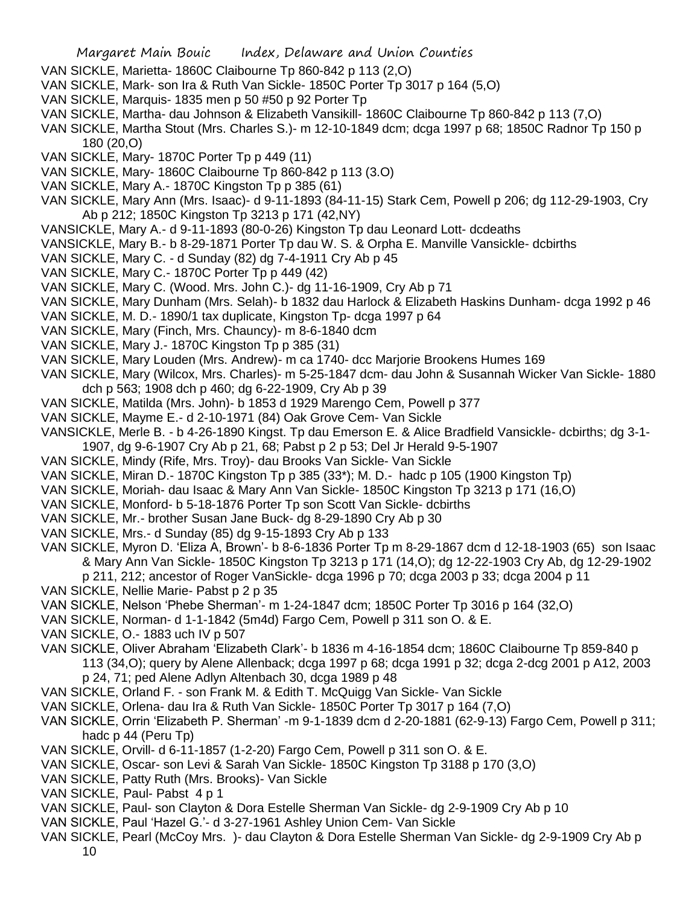- VAN SICKLE, Marietta- 1860C Claibourne Tp 860-842 p 113 (2,O)
- VAN SICKLE, Mark- son Ira & Ruth Van Sickle- 1850C Porter Tp 3017 p 164 (5,O)
- VAN SICKLE, Marquis- 1835 men p 50 #50 p 92 Porter Tp
- VAN SICKLE, Martha- dau Johnson & Elizabeth Vansikill- 1860C Claibourne Tp 860-842 p 113 (7,O)
- VAN SICKLE, Martha Stout (Mrs. Charles S.)- m 12-10-1849 dcm; dcga 1997 p 68; 1850C Radnor Tp 150 p 180 (20,O)
- VAN SICKLE, Mary- 1870C Porter Tp p 449 (11)
- VAN SICKLE, Mary- 1860C Claibourne Tp 860-842 p 113 (3.O)
- VAN SICKLE, Mary A.- 1870C Kingston Tp p 385 (61)
- VAN SICKLE, Mary Ann (Mrs. Isaac)- d 9-11-1893 (84-11-15) Stark Cem, Powell p 206; dg 112-29-1903, Cry Ab p 212; 1850C Kingston Tp 3213 p 171 (42,NY)
- VANSICKLE, Mary A.- d 9-11-1893 (80-0-26) Kingston Tp dau Leonard Lott- dcdeaths
- VANSICKLE, Mary B.- b 8-29-1871 Porter Tp dau W. S. & Orpha E. Manville Vansickle- dcbirths
- VAN SICKLE, Mary C. d Sunday (82) dg 7-4-1911 Cry Ab p 45
- VAN SICKLE, Mary C.- 1870C Porter Tp p 449 (42)
- VAN SICKLE, Mary C. (Wood. Mrs. John C.)- dg 11-16-1909, Cry Ab p 71
- VAN SICKLE, Mary Dunham (Mrs. Selah)- b 1832 dau Harlock & Elizabeth Haskins Dunham- dcga 1992 p 46
- VAN SICKLE, M. D.- 1890/1 tax duplicate, Kingston Tp- dcga 1997 p 64
- VAN SICKLE, Mary (Finch, Mrs. Chauncy)- m 8-6-1840 dcm
- VAN SICKLE, Mary J.- 1870C Kingston Tp p 385 (31)
- VAN SICKLE, Mary Louden (Mrs. Andrew)- m ca 1740- dcc Marjorie Brookens Humes 169
- VAN SICKLE, Mary (Wilcox, Mrs. Charles)- m 5-25-1847 dcm- dau John & Susannah Wicker Van Sickle- 1880 dch p 563; 1908 dch p 460; dg 6-22-1909, Cry Ab p 39
- VAN SICKLE, Matilda (Mrs. John)- b 1853 d 1929 Marengo Cem, Powell p 377
- VAN SICKLE, Mayme E.- d 2-10-1971 (84) Oak Grove Cem- Van Sickle
- VANSICKLE, Merle B. b 4-26-1890 Kingst. Tp dau Emerson E. & Alice Bradfield Vansickle- dcbirths; dg 3-1- 1907, dg 9-6-1907 Cry Ab p 21, 68; Pabst p 2 p 53; Del Jr Herald 9-5-1907
- VAN SICKLE, Mindy (Rife, Mrs. Troy)- dau Brooks Van Sickle- Van Sickle
- VAN SICKLE, Miran D.- 1870C Kingston Tp p 385 (33\*); M. D.- hadc p 105 (1900 Kingston Tp)
- VAN SICKLE, Moriah- dau Isaac & Mary Ann Van Sickle- 1850C Kingston Tp 3213 p 171 (16,O)
- VAN SICKLE, Monford- b 5-18-1876 Porter Tp son Scott Van Sickle- dcbirths
- VAN SICKLE, Mr.- brother Susan Jane Buck- dg 8-29-1890 Cry Ab p 30
- VAN SICKLE, Mrs.- d Sunday (85) dg 9-15-1893 Cry Ab p 133
- VAN SICKLE, Myron D. 'Eliza A, Brown'- b 8-6-1836 Porter Tp m 8-29-1867 dcm d 12-18-1903 (65) son Isaac & Mary Ann Van Sickle- 1850C Kingston Tp 3213 p 171 (14,O); dg 12-22-1903 Cry Ab, dg 12-29-1902 p 211, 212; ancestor of Roger VanSickle- dcga 1996 p 70; dcga 2003 p 33; dcga 2004 p 11
- VAN SICKLE, Nellie Marie- Pabst p 2 p 35
- VAN SICKLE, Nelson 'Phebe Sherman'- m 1-24-1847 dcm; 1850C Porter Tp 3016 p 164 (32,O)
- VAN SICKLE, Norman- d 1-1-1842 (5m4d) Fargo Cem, Powell p 311 son O. & E.
- VAN SICKLE, O.- 1883 uch IV p 507
- VAN SICKLE, Oliver Abraham 'Elizabeth Clark'- b 1836 m 4-16-1854 dcm; 1860C Claibourne Tp 859-840 p 113 (34,O); query by Alene Allenback; dcga 1997 p 68; dcga 1991 p 32; dcga 2-dcg 2001 p A12, 2003 p 24, 71; ped Alene Adlyn Altenbach 30, dcga 1989 p 48
- VAN SICKLE, Orland F. son Frank M. & Edith T. McQuigg Van Sickle- Van Sickle
- VAN SICKLE, Orlena- dau Ira & Ruth Van Sickle- 1850C Porter Tp 3017 p 164 (7,O)
- VAN SICKLE, Orrin 'Elizabeth P. Sherman' -m 9-1-1839 dcm d 2-20-1881 (62-9-13) Fargo Cem, Powell p 311; hadc p 44 (Peru Tp)
- VAN SICKLE, Orvill- d 6-11-1857 (1-2-20) Fargo Cem, Powell p 311 son O. & E.
- VAN SICKLE, Oscar- son Levi & Sarah Van Sickle- 1850C Kingston Tp 3188 p 170 (3,O)
- VAN SICKLE, Patty Ruth (Mrs. Brooks)- Van Sickle
- VAN SICKLE, Paul- Pabst 4 p 1
- VAN SICKLE, Paul- son Clayton & Dora Estelle Sherman Van Sickle- dg 2-9-1909 Cry Ab p 10
- VAN SICKLE, Paul 'Hazel G.'- d 3-27-1961 Ashley Union Cem- Van Sickle
- VAN SICKLE, Pearl (McCoy Mrs. )- dau Clayton & Dora Estelle Sherman Van Sickle- dg 2-9-1909 Cry Ab p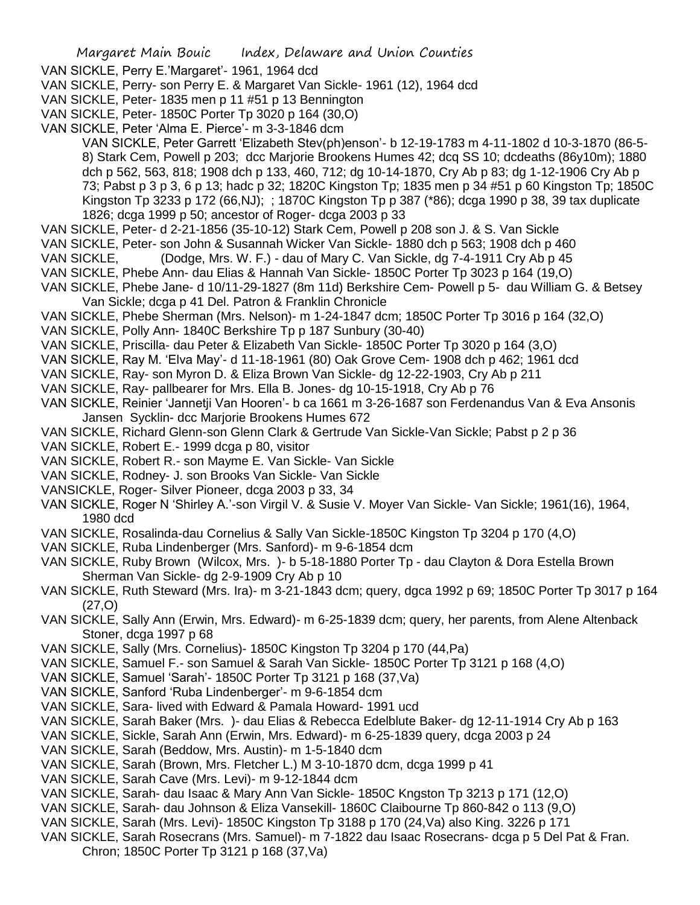- VAN SICKLE, Perry- son Perry E. & Margaret Van Sickle- 1961 (12), 1964 dcd
- VAN SICKLE, Peter- 1835 men p 11 #51 p 13 Bennington
- VAN SICKLE, Peter- 1850C Porter Tp 3020 p 164 (30,O)
- VAN SICKLE, Peter 'Alma E. Pierce'- m 3-3-1846 dcm

VAN SICKLE, Peter Garrett 'Elizabeth Stev(ph)enson'- b 12-19-1783 m 4-11-1802 d 10-3-1870 (86-5- 8) Stark Cem, Powell p 203; dcc Marjorie Brookens Humes 42; dcq SS 10; dcdeaths (86y10m); 1880 dch p 562, 563, 818; 1908 dch p 133, 460, 712; dg 10-14-1870, Cry Ab p 83; dg 1-12-1906 Cry Ab p 73; Pabst p 3 p 3, 6 p 13; hadc p 32; 1820C Kingston Tp; 1835 men p 34 #51 p 60 Kingston Tp; 1850C Kingston Tp 3233 p 172 (66,NJ); ; 1870C Kingston Tp p 387 (\*86); dcga 1990 p 38, 39 tax duplicate 1826; dcga 1999 p 50; ancestor of Roger- dcga 2003 p 33

- VAN SICKLE, Peter- d 2-21-1856 (35-10-12) Stark Cem, Powell p 208 son J. & S. Van Sickle
- VAN SICKLE, Peter- son John & Susannah Wicker Van Sickle- 1880 dch p 563; 1908 dch p 460
- VAN SICKLE, (Dodge, Mrs. W. F.) dau of Mary C. Van Sickle, dg 7-4-1911 Cry Ab p 45
- VAN SICKLE, Phebe Ann- dau Elias & Hannah Van Sickle- 1850C Porter Tp 3023 p 164 (19,O)
- VAN SICKLE, Phebe Jane- d 10/11-29-1827 (8m 11d) Berkshire Cem- Powell p 5- dau William G. & Betsey Van Sickle; dcga p 41 Del. Patron & Franklin Chronicle
- VAN SICKLE, Phebe Sherman (Mrs. Nelson)- m 1-24-1847 dcm; 1850C Porter Tp 3016 p 164 (32,O)
- VAN SICKLE, Polly Ann- 1840C Berkshire Tp p 187 Sunbury (30-40)
- VAN SICKLE, Priscilla- dau Peter & Elizabeth Van Sickle- 1850C Porter Tp 3020 p 164 (3,O)
- VAN SICKLE, Ray M. 'Elva May'- d 11-18-1961 (80) Oak Grove Cem- 1908 dch p 462; 1961 dcd
- VAN SICKLE, Ray- son Myron D. & Eliza Brown Van Sickle- dg 12-22-1903, Cry Ab p 211
- VAN SICKLE, Ray- pallbearer for Mrs. Ella B. Jones- dg 10-15-1918, Cry Ab p 76
- VAN SICKLE, Reinier 'Jannetji Van Hooren'- b ca 1661 m 3-26-1687 son Ferdenandus Van & Eva Ansonis Jansen Sycklin- dcc Marjorie Brookens Humes 672
- VAN SICKLE, Richard Glenn-son Glenn Clark & Gertrude Van Sickle-Van Sickle; Pabst p 2 p 36
- VAN SICKLE, Robert E.- 1999 dcga p 80, visitor
- VAN SICKLE, Robert R.- son Mayme E. Van Sickle- Van Sickle
- VAN SICKLE, Rodney- J. son Brooks Van Sickle- Van Sickle
- VANSICKLE, Roger- Silver Pioneer, dcga 2003 p 33, 34
- VAN SICKLE, Roger N 'Shirley A.'-son Virgil V. & Susie V. Moyer Van Sickle- Van Sickle; 1961(16), 1964, 1980 dcd
- VAN SICKLE, Rosalinda-dau Cornelius & Sally Van Sickle-1850C Kingston Tp 3204 p 170 (4,O)
- VAN SICKLE, Ruba Lindenberger (Mrs. Sanford)- m 9-6-1854 dcm
- VAN SICKLE, Ruby Brown (Wilcox, Mrs. )- b 5-18-1880 Porter Tp dau Clayton & Dora Estella Brown Sherman Van Sickle- dg 2-9-1909 Cry Ab p 10
- VAN SICKLE, Ruth Steward (Mrs. Ira)- m 3-21-1843 dcm; query, dgca 1992 p 69; 1850C Porter Tp 3017 p 164 (27,O)
- VAN SICKLE, Sally Ann (Erwin, Mrs. Edward)- m 6-25-1839 dcm; query, her parents, from Alene Altenback Stoner, dcga 1997 p 68
- VAN SICKLE, Sally (Mrs. Cornelius)- 1850C Kingston Tp 3204 p 170 (44,Pa)
- VAN SICKLE, Samuel F.- son Samuel & Sarah Van Sickle- 1850C Porter Tp 3121 p 168 (4,O)
- VAN SICKLE, Samuel 'Sarah'- 1850C Porter Tp 3121 p 168 (37,Va)
- VAN SICKLE, Sanford 'Ruba Lindenberger'- m 9-6-1854 dcm
- VAN SICKLE, Sara- lived with Edward & Pamala Howard- 1991 ucd
- VAN SICKLE, Sarah Baker (Mrs. )- dau Elias & Rebecca Edelblute Baker- dg 12-11-1914 Cry Ab p 163
- VAN SICKLE, Sickle, Sarah Ann (Erwin, Mrs. Edward)- m 6-25-1839 query, dcga 2003 p 24
- VAN SICKLE, Sarah (Beddow, Mrs. Austin)- m 1-5-1840 dcm
- VAN SICKLE, Sarah (Brown, Mrs. Fletcher L.) M 3-10-1870 dcm, dcga 1999 p 41
- VAN SICKLE, Sarah Cave (Mrs. Levi)- m 9-12-1844 dcm
- VAN SICKLE, Sarah- dau Isaac & Mary Ann Van Sickle- 1850C Kngston Tp 3213 p 171 (12,O)
- VAN SICKLE, Sarah- dau Johnson & Eliza Vansekill- 1860C Claibourne Tp 860-842 o 113 (9,O)
- VAN SICKLE, Sarah (Mrs. Levi)- 1850C Kingston Tp 3188 p 170 (24,Va) also King. 3226 p 171
- VAN SICKLE, Sarah Rosecrans (Mrs. Samuel)- m 7-1822 dau Isaac Rosecrans- dcga p 5 Del Pat & Fran. Chron; 1850C Porter Tp 3121 p 168 (37,Va)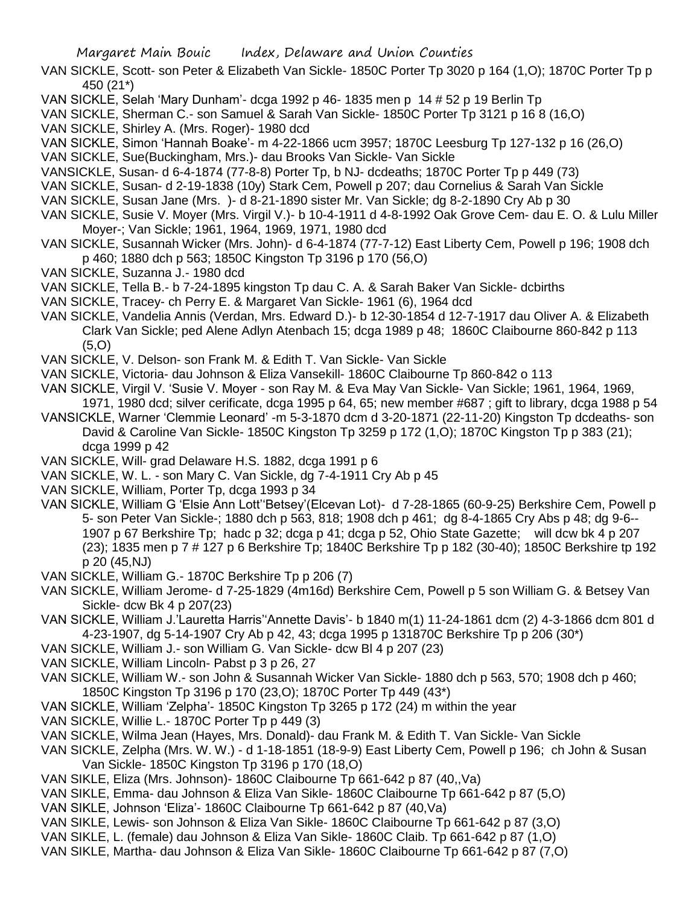- VAN SICKLE, Scott- son Peter & Elizabeth Van Sickle- 1850C Porter Tp 3020 p 164 (1,O); 1870C Porter Tp p 450 (21\*)
- VAN SICKLE, Selah 'Mary Dunham'- dcga 1992 p 46- 1835 men p 14 # 52 p 19 Berlin Tp
- VAN SICKLE, Sherman C.- son Samuel & Sarah Van Sickle- 1850C Porter Tp 3121 p 16 8 (16,O)
- VAN SICKLE, Shirley A. (Mrs. Roger)- 1980 dcd
- VAN SICKLE, Simon 'Hannah Boake'- m 4-22-1866 ucm 3957; 1870C Leesburg Tp 127-132 p 16 (26,O)
- VAN SICKLE, Sue(Buckingham, Mrs.)- dau Brooks Van Sickle- Van Sickle
- VANSICKLE, Susan- d 6-4-1874 (77-8-8) Porter Tp, b NJ- dcdeaths; 1870C Porter Tp p 449 (73)
- VAN SICKLE, Susan- d 2-19-1838 (10y) Stark Cem, Powell p 207; dau Cornelius & Sarah Van Sickle
- VAN SICKLE, Susan Jane (Mrs. )- d 8-21-1890 sister Mr. Van Sickle; dg 8-2-1890 Cry Ab p 30
- VAN SICKLE, Susie V. Moyer (Mrs. Virgil V.)- b 10-4-1911 d 4-8-1992 Oak Grove Cem- dau E. O. & Lulu Miller Moyer-; Van Sickle; 1961, 1964, 1969, 1971, 1980 dcd
- VAN SICKLE, Susannah Wicker (Mrs. John)- d 6-4-1874 (77-7-12) East Liberty Cem, Powell p 196; 1908 dch p 460; 1880 dch p 563; 1850C Kingston Tp 3196 p 170 (56,O)
- VAN SICKLE, Suzanna J.- 1980 dcd
- VAN SICKLE, Tella B.- b 7-24-1895 kingston Tp dau C. A. & Sarah Baker Van Sickle- dcbirths
- VAN SICKLE, Tracey- ch Perry E. & Margaret Van Sickle- 1961 (6), 1964 dcd
- VAN SICKLE, Vandelia Annis (Verdan, Mrs. Edward D.)- b 12-30-1854 d 12-7-1917 dau Oliver A. & Elizabeth Clark Van Sickle; ped Alene Adlyn Atenbach 15; dcga 1989 p 48; 1860C Claibourne 860-842 p 113 (5,O)
- VAN SICKLE, V. Delson- son Frank M. & Edith T. Van Sickle- Van Sickle
- VAN SICKLE, Victoria- dau Johnson & Eliza Vansekill- 1860C Claibourne Tp 860-842 o 113
- VAN SICKLE, Virgil V. 'Susie V. Moyer son Ray M. & Eva May Van Sickle- Van Sickle; 1961, 1964, 1969, 1971, 1980 dcd; silver cerificate, dcga 1995 p 64, 65; new member #687 ; gift to library, dcga 1988 p 54
- VANSICKLE, Warner 'Clemmie Leonard' -m 5-3-1870 dcm d 3-20-1871 (22-11-20) Kingston Tp dcdeaths- son David & Caroline Van Sickle- 1850C Kingston Tp 3259 p 172 (1,O); 1870C Kingston Tp p 383 (21); dcga 1999 p 42
- VAN SICKLE, Will- grad Delaware H.S. 1882, dcga 1991 p 6
- VAN SICKLE, W. L. son Mary C. Van Sickle, dg 7-4-1911 Cry Ab p 45
- VAN SICKLE, William, Porter Tp, dcga 1993 p 34
- VAN SICKLE, William G 'Elsie Ann Lott''Betsey'(Elcevan Lot)- d 7-28-1865 (60-9-25) Berkshire Cem, Powell p 5- son Peter Van Sickle-; 1880 dch p 563, 818; 1908 dch p 461; dg 8-4-1865 Cry Abs p 48; dg 9-6-- 1907 p 67 Berkshire Tp; hadc p 32; dcga p 41; dcga p 52, Ohio State Gazette; will dcw bk 4 p 207 (23); 1835 men p 7 # 127 p 6 Berkshire Tp; 1840C Berkshire Tp p 182 (30-40); 1850C Berkshire tp 192 p 20 (45,NJ)
- VAN SICKLE, William G.- 1870C Berkshire Tp p 206 (7)
- VAN SICKLE, William Jerome- d 7-25-1829 (4m16d) Berkshire Cem, Powell p 5 son William G. & Betsey Van Sickle- dcw Bk 4 p 207(23)
- VAN SICKLE, William J.'Lauretta Harris''Annette Davis'- b 1840 m(1) 11-24-1861 dcm (2) 4-3-1866 dcm 801 d 4-23-1907, dg 5-14-1907 Cry Ab p 42, 43; dcga 1995 p 131870C Berkshire Tp p 206 (30\*)
- VAN SICKLE, William J.- son William G. Van Sickle- dcw Bl 4 p 207 (23)
- VAN SICKLE, William Lincoln- Pabst p 3 p 26, 27
- VAN SICKLE, William W.- son John & Susannah Wicker Van Sickle- 1880 dch p 563, 570; 1908 dch p 460; 1850C Kingston Tp 3196 p 170 (23,O); 1870C Porter Tp 449 (43\*)
- VAN SICKLE, William 'Zelpha'- 1850C Kingston Tp 3265 p 172 (24) m within the year
- VAN SICKLE, Willie L.- 1870C Porter Tp p 449 (3)
- VAN SICKLE, Wilma Jean (Hayes, Mrs. Donald)- dau Frank M. & Edith T. Van Sickle- Van Sickle
- VAN SICKLE, Zelpha (Mrs. W. W.) d 1-18-1851 (18-9-9) East Liberty Cem, Powell p 196; ch John & Susan Van Sickle- 1850C Kingston Tp 3196 p 170 (18,O)
- VAN SIKLE, Eliza (Mrs. Johnson)- 1860C Claibourne Tp 661-642 p 87 (40,,Va)
- VAN SIKLE, Emma- dau Johnson & Eliza Van Sikle- 1860C Claibourne Tp 661-642 p 87 (5,O)
- VAN SIKLE, Johnson 'Eliza'- 1860C Claibourne Tp 661-642 p 87 (40,Va)
- VAN SIKLE, Lewis- son Johnson & Eliza Van Sikle- 1860C Claibourne Tp 661-642 p 87 (3,O)
- VAN SIKLE, L. (female) dau Johnson & Eliza Van Sikle- 1860C Claib. Tp 661-642 p 87 (1,O)
- VAN SIKLE, Martha- dau Johnson & Eliza Van Sikle- 1860C Claibourne Tp 661-642 p 87 (7,O)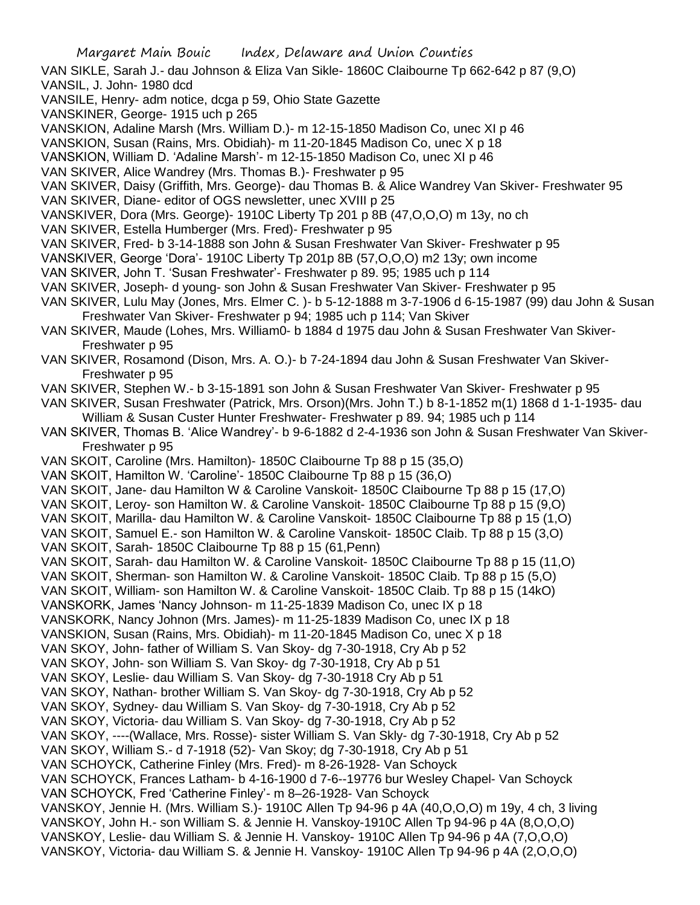- VAN SIKLE, Sarah J.- dau Johnson & Eliza Van Sikle- 1860C Claibourne Tp 662-642 p 87 (9,O) VANSIL, J. John- 1980 dcd
- VANSILE, Henry- adm notice, dcga p 59, Ohio State Gazette
- VANSKINER, George- 1915 uch p 265
- VANSKION, Adaline Marsh (Mrs. William D.)- m 12-15-1850 Madison Co, unec XI p 46

VANSKION, Susan (Rains, Mrs. Obidiah)- m 11-20-1845 Madison Co, unec X p 18

- VANSKION, William D. 'Adaline Marsh'- m 12-15-1850 Madison Co, unec XI p 46
- VAN SKIVER, Alice Wandrey (Mrs. Thomas B.)- Freshwater p 95
- VAN SKIVER, Daisy (Griffith, Mrs. George)- dau Thomas B. & Alice Wandrey Van Skiver- Freshwater 95
- VAN SKIVER, Diane- editor of OGS newsletter, unec XVIII p 25
- VANSKIVER, Dora (Mrs. George)- 1910C Liberty Tp 201 p 8B (47,O,O,O) m 13y, no ch
- VAN SKIVER, Estella Humberger (Mrs. Fred)- Freshwater p 95
- VAN SKIVER, Fred- b 3-14-1888 son John & Susan Freshwater Van Skiver- Freshwater p 95
- VANSKIVER, George 'Dora'- 1910C Liberty Tp 201p 8B (57,O,O,O) m2 13y; own income
- VAN SKIVER, John T. 'Susan Freshwater'- Freshwater p 89. 95; 1985 uch p 114
- VAN SKIVER, Joseph- d young- son John & Susan Freshwater Van Skiver- Freshwater p 95
- VAN SKIVER, Lulu May (Jones, Mrs. Elmer C. )- b 5-12-1888 m 3-7-1906 d 6-15-1987 (99) dau John & Susan Freshwater Van Skiver- Freshwater p 94; 1985 uch p 114; Van Skiver
- VAN SKIVER, Maude (Lohes, Mrs. William0- b 1884 d 1975 dau John & Susan Freshwater Van Skiver-Freshwater p 95
- VAN SKIVER, Rosamond (Dison, Mrs. A. O.)- b 7-24-1894 dau John & Susan Freshwater Van Skiver-Freshwater p 95
- VAN SKIVER, Stephen W.- b 3-15-1891 son John & Susan Freshwater Van Skiver- Freshwater p 95
- VAN SKIVER, Susan Freshwater (Patrick, Mrs. Orson)(Mrs. John T.) b 8-1-1852 m(1) 1868 d 1-1-1935- dau William & Susan Custer Hunter Freshwater- Freshwater p 89. 94; 1985 uch p 114
- VAN SKIVER, Thomas B. 'Alice Wandrey'- b 9-6-1882 d 2-4-1936 son John & Susan Freshwater Van Skiver-Freshwater p 95
- VAN SKOIT, Caroline (Mrs. Hamilton)- 1850C Claibourne Tp 88 p 15 (35,O)
- VAN SKOIT, Hamilton W. 'Caroline'- 1850C Claibourne Tp 88 p 15 (36,O)
- VAN SKOIT, Jane- dau Hamilton W & Caroline Vanskoit- 1850C Claibourne Tp 88 p 15 (17,O)
- VAN SKOIT, Leroy- son Hamilton W. & Caroline Vanskoit- 1850C Claibourne Tp 88 p 15 (9,O)
- VAN SKOIT, Marilla- dau Hamilton W. & Caroline Vanskoit- 1850C Claibourne Tp 88 p 15 (1,O)
- VAN SKOIT, Samuel E.- son Hamilton W. & Caroline Vanskoit- 1850C Claib. Tp 88 p 15 (3,O)
- VAN SKOIT, Sarah- 1850C Claibourne Tp 88 p 15 (61,Penn)
- VAN SKOIT, Sarah- dau Hamilton W. & Caroline Vanskoit- 1850C Claibourne Tp 88 p 15 (11,O)
- VAN SKOIT, Sherman- son Hamilton W. & Caroline Vanskoit- 1850C Claib. Tp 88 p 15 (5,O)
- VAN SKOIT, William- son Hamilton W. & Caroline Vanskoit- 1850C Claib. Tp 88 p 15 (14kO)
- VANSKORK, James 'Nancy Johnson- m 11-25-1839 Madison Co, unec IX p 18
- VANSKORK, Nancy Johnon (Mrs. James)- m 11-25-1839 Madison Co, unec IX p 18
- VANSKION, Susan (Rains, Mrs. Obidiah)- m 11-20-1845 Madison Co, unec X p 18
- VAN SKOY, John- father of William S. Van Skoy- dg 7-30-1918, Cry Ab p 52
- VAN SKOY, John- son William S. Van Skoy- dg 7-30-1918, Cry Ab p 51
- VAN SKOY, Leslie- dau William S. Van Skoy- dg 7-30-1918 Cry Ab p 51
- VAN SKOY, Nathan- brother William S. Van Skoy- dg 7-30-1918, Cry Ab p 52
- VAN SKOY, Sydney- dau William S. Van Skoy- dg 7-30-1918, Cry Ab p 52
- VAN SKOY, Victoria- dau William S. Van Skoy- dg 7-30-1918, Cry Ab p 52
- VAN SKOY, ----(Wallace, Mrs. Rosse)- sister William S. Van Skly- dg 7-30-1918, Cry Ab p 52
- VAN SKOY, William S.- d 7-1918 (52)- Van Skoy; dg 7-30-1918, Cry Ab p 51
- VAN SCHOYCK, Catherine Finley (Mrs. Fred)- m 8-26-1928- Van Schoyck
- VAN SCHOYCK, Frances Latham- b 4-16-1900 d 7-6--19776 bur Wesley Chapel- Van Schoyck VAN SCHOYCK, Fred 'Catherine Finley'- m 8–26-1928- Van Schoyck
- VANSKOY, Jennie H. (Mrs. William S.)- 1910C Allen Tp 94-96 p 4A (40,O,O,O) m 19y, 4 ch, 3 living
- VANSKOY, John H.- son William S. & Jennie H. Vanskoy-1910C Allen Tp 94-96 p 4A (8,O,O,O)
- VANSKOY, Leslie- dau William S. & Jennie H. Vanskoy- 1910C Allen Tp 94-96 p 4A (7,O,O,O)
- VANSKOY, Victoria- dau William S. & Jennie H. Vanskoy- 1910C Allen Tp 94-96 p 4A (2,O,O,O)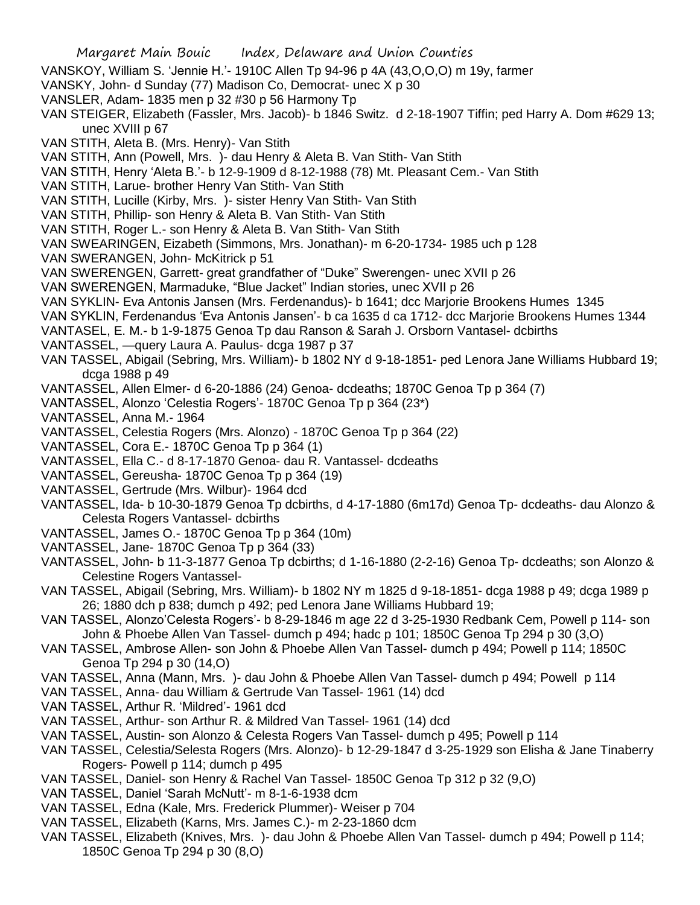- VANSKOY, William S. 'Jennie H.'- 1910C Allen Tp 94-96 p 4A (43,O,O,O) m 19y, farmer
- VANSKY, John- d Sunday (77) Madison Co, Democrat- unec X p 30
- VANSLER, Adam- 1835 men p 32 #30 p 56 Harmony Tp
- VAN STEIGER, Elizabeth (Fassler, Mrs. Jacob)- b 1846 Switz. d 2-18-1907 Tiffin; ped Harry A. Dom #629 13; unec XVIII p 67
- VAN STITH, Aleta B. (Mrs. Henry)- Van Stith
- VAN STITH, Ann (Powell, Mrs. )- dau Henry & Aleta B. Van Stith- Van Stith
- VAN STITH, Henry 'Aleta B.'- b 12-9-1909 d 8-12-1988 (78) Mt. Pleasant Cem.- Van Stith
- VAN STITH, Larue- brother Henry Van Stith- Van Stith
- VAN STITH, Lucille (Kirby, Mrs. )- sister Henry Van Stith- Van Stith
- VAN STITH, Phillip- son Henry & Aleta B. Van Stith- Van Stith
- VAN STITH, Roger L.- son Henry & Aleta B. Van Stith- Van Stith
- VAN SWEARINGEN, Eizabeth (Simmons, Mrs. Jonathan)- m 6-20-1734- 1985 uch p 128
- VAN SWERANGEN, John- McKitrick p 51
- VAN SWERENGEN, Garrett- great grandfather of "Duke" Swerengen- unec XVII p 26
- VAN SWERENGEN, Marmaduke, "Blue Jacket" Indian stories, unec XVII p 26
- VAN SYKLIN- Eva Antonis Jansen (Mrs. Ferdenandus)- b 1641; dcc Marjorie Brookens Humes 1345
- VAN SYKLIN, Ferdenandus 'Eva Antonis Jansen'- b ca 1635 d ca 1712- dcc Marjorie Brookens Humes 1344
- VANTASEL, E. M.- b 1-9-1875 Genoa Tp dau Ranson & Sarah J. Orsborn Vantasel- dcbirths
- VANTASSEL, —query Laura A. Paulus- dcga 1987 p 37
- VAN TASSEL, Abigail (Sebring, Mrs. William)- b 1802 NY d 9-18-1851- ped Lenora Jane Williams Hubbard 19; dcga 1988 p 49
- VANTASSEL, Allen Elmer- d 6-20-1886 (24) Genoa- dcdeaths; 1870C Genoa Tp p 364 (7)
- VANTASSEL, Alonzo 'Celestia Rogers'- 1870C Genoa Tp p 364 (23\*)
- VANTASSEL, Anna M.- 1964
- VANTASSEL, Celestia Rogers (Mrs. Alonzo) 1870C Genoa Tp p 364 (22)
- VANTASSEL, Cora E.- 1870C Genoa Tp p 364 (1)
- VANTASSEL, Ella C.- d 8-17-1870 Genoa- dau R. Vantassel- dcdeaths
- VANTASSEL, Gereusha- 1870C Genoa Tp p 364 (19)
- VANTASSEL, Gertrude (Mrs. Wilbur)- 1964 dcd
- VANTASSEL, Ida- b 10-30-1879 Genoa Tp dcbirths, d 4-17-1880 (6m17d) Genoa Tp- dcdeaths- dau Alonzo & Celesta Rogers Vantassel- dcbirths
- VANTASSEL, James O.- 1870C Genoa Tp p 364 (10m)
- VANTASSEL, Jane- 1870C Genoa Tp p 364 (33)
- VANTASSEL, John- b 11-3-1877 Genoa Tp dcbirths; d 1-16-1880 (2-2-16) Genoa Tp- dcdeaths; son Alonzo & Celestine Rogers Vantassel-
- VAN TASSEL, Abigail (Sebring, Mrs. William)- b 1802 NY m 1825 d 9-18-1851- dcga 1988 p 49; dcga 1989 p 26; 1880 dch p 838; dumch p 492; ped Lenora Jane Williams Hubbard 19;
- VAN TASSEL, Alonzo'Celesta Rogers'- b 8-29-1846 m age 22 d 3-25-1930 Redbank Cem, Powell p 114- son John & Phoebe Allen Van Tassel- dumch p 494; hadc p 101; 1850C Genoa Tp 294 p 30 (3,O)
- VAN TASSEL, Ambrose Allen- son John & Phoebe Allen Van Tassel- dumch p 494; Powell p 114; 1850C Genoa Tp 294 p 30 (14,O)
- VAN TASSEL, Anna (Mann, Mrs. )- dau John & Phoebe Allen Van Tassel- dumch p 494; Powell p 114
- VAN TASSEL, Anna- dau William & Gertrude Van Tassel- 1961 (14) dcd
- VAN TASSEL, Arthur R. 'Mildred'- 1961 dcd
- VAN TASSEL, Arthur- son Arthur R. & Mildred Van Tassel- 1961 (14) dcd
- VAN TASSEL, Austin- son Alonzo & Celesta Rogers Van Tassel- dumch p 495; Powell p 114
- VAN TASSEL, Celestia/Selesta Rogers (Mrs. Alonzo)- b 12-29-1847 d 3-25-1929 son Elisha & Jane Tinaberry Rogers- Powell p 114; dumch p 495
- VAN TASSEL, Daniel- son Henry & Rachel Van Tassel- 1850C Genoa Tp 312 p 32 (9,O)
- VAN TASSEL, Daniel 'Sarah McNutt'- m 8-1-6-1938 dcm
- VAN TASSEL, Edna (Kale, Mrs. Frederick Plummer)- Weiser p 704
- VAN TASSEL, Elizabeth (Karns, Mrs. James C.)- m 2-23-1860 dcm
- VAN TASSEL, Elizabeth (Knives, Mrs. )- dau John & Phoebe Allen Van Tassel- dumch p 494; Powell p 114; 1850C Genoa Tp 294 p 30 (8,O)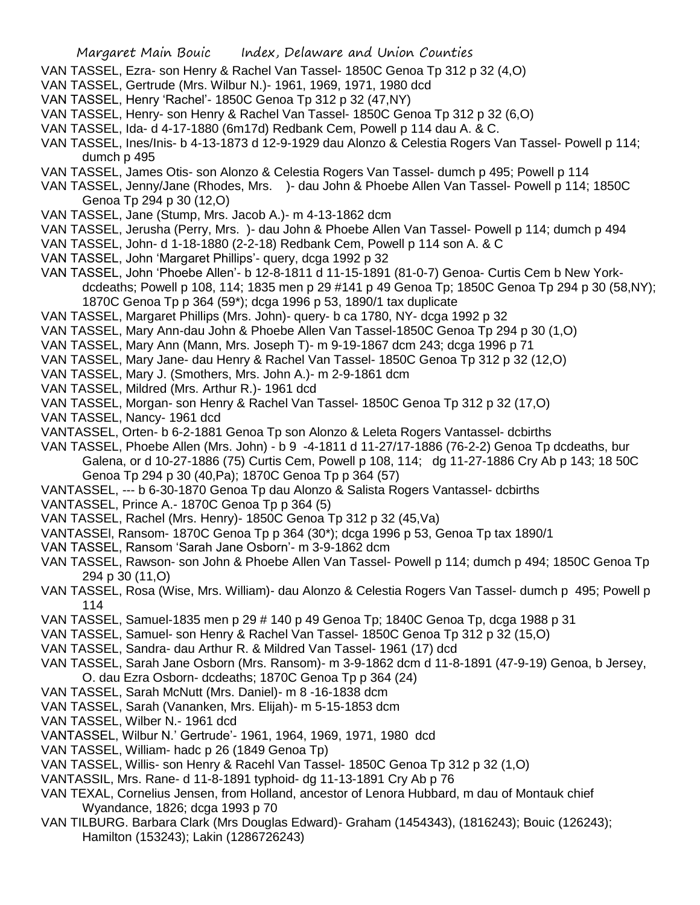- VAN TASSEL, Ezra- son Henry & Rachel Van Tassel- 1850C Genoa Tp 312 p 32 (4,O)
- VAN TASSEL, Gertrude (Mrs. Wilbur N.)- 1961, 1969, 1971, 1980 dcd
- VAN TASSEL, Henry 'Rachel'- 1850C Genoa Tp 312 p 32 (47,NY)
- VAN TASSEL, Henry- son Henry & Rachel Van Tassel- 1850C Genoa Tp 312 p 32 (6,O)
- VAN TASSEL, Ida- d 4-17-1880 (6m17d) Redbank Cem, Powell p 114 dau A. & C.
- VAN TASSEL, Ines/Inis- b 4-13-1873 d 12-9-1929 dau Alonzo & Celestia Rogers Van Tassel- Powell p 114; dumch p 495
- VAN TASSEL, James Otis- son Alonzo & Celestia Rogers Van Tassel- dumch p 495; Powell p 114
- VAN TASSEL, Jenny/Jane (Rhodes, Mrs. )- dau John & Phoebe Allen Van Tassel- Powell p 114; 1850C Genoa Tp 294 p 30 (12,O)
- VAN TASSEL, Jane (Stump, Mrs. Jacob A.)- m 4-13-1862 dcm
- VAN TASSEL, Jerusha (Perry, Mrs. )- dau John & Phoebe Allen Van Tassel- Powell p 114; dumch p 494
- VAN TASSEL, John- d 1-18-1880 (2-2-18) Redbank Cem, Powell p 114 son A. & C
- VAN TASSEL, John 'Margaret Phillips'- query, dcga 1992 p 32
- VAN TASSEL, John 'Phoebe Allen'- b 12-8-1811 d 11-15-1891 (81-0-7) Genoa- Curtis Cem b New Yorkdcdeaths; Powell p 108, 114; 1835 men p 29 #141 p 49 Genoa Tp; 1850C Genoa Tp 294 p 30 (58,NY); 1870C Genoa Tp p 364 (59\*); dcga 1996 p 53, 1890/1 tax duplicate
- VAN TASSEL, Margaret Phillips (Mrs. John)- query- b ca 1780, NY- dcga 1992 p 32
- VAN TASSEL, Mary Ann-dau John & Phoebe Allen Van Tassel-1850C Genoa Tp 294 p 30 (1,O)
- VAN TASSEL, Mary Ann (Mann, Mrs. Joseph T)- m 9-19-1867 dcm 243; dcga 1996 p 71
- VAN TASSEL, Mary Jane- dau Henry & Rachel Van Tassel- 1850C Genoa Tp 312 p 32 (12,O)
- VAN TASSEL, Mary J. (Smothers, Mrs. John A.)- m 2-9-1861 dcm
- VAN TASSEL, Mildred (Mrs. Arthur R.)- 1961 dcd
- VAN TASSEL, Morgan- son Henry & Rachel Van Tassel- 1850C Genoa Tp 312 p 32 (17,O)
- VAN TASSEL, Nancy- 1961 dcd
- VANTASSEL, Orten- b 6-2-1881 Genoa Tp son Alonzo & Leleta Rogers Vantassel- dcbirths
- VAN TASSEL, Phoebe Allen (Mrs. John) b 9 -4-1811 d 11-27/17-1886 (76-2-2) Genoa Tp dcdeaths, bur Galena, or d 10-27-1886 (75) Curtis Cem, Powell p 108, 114; dg 11-27-1886 Cry Ab p 143; 18 50C Genoa Tp 294 p 30 (40,Pa); 1870C Genoa Tp p 364 (57)
- VANTASSEL, --- b 6-30-1870 Genoa Tp dau Alonzo & Salista Rogers Vantassel- dcbirths
- VANTASSEL, Prince A.- 1870C Genoa Tp p 364 (5)
- VAN TASSEL, Rachel (Mrs. Henry)- 1850C Genoa Tp 312 p 32 (45,Va)
- VANTASSEl, Ransom- 1870C Genoa Tp p 364 (30\*); dcga 1996 p 53, Genoa Tp tax 1890/1
- VAN TASSEL, Ransom 'Sarah Jane Osborn'- m 3-9-1862 dcm
- VAN TASSEL, Rawson- son John & Phoebe Allen Van Tassel- Powell p 114; dumch p 494; 1850C Genoa Tp 294 p 30 (11,O)
- VAN TASSEL, Rosa (Wise, Mrs. William)- dau Alonzo & Celestia Rogers Van Tassel- dumch p 495; Powell p 114
- VAN TASSEL, Samuel-1835 men p 29 # 140 p 49 Genoa Tp; 1840C Genoa Tp, dcga 1988 p 31
- VAN TASSEL, Samuel- son Henry & Rachel Van Tassel- 1850C Genoa Tp 312 p 32 (15,O)
- VAN TASSEL, Sandra- dau Arthur R. & Mildred Van Tassel- 1961 (17) dcd
- VAN TASSEL, Sarah Jane Osborn (Mrs. Ransom)- m 3-9-1862 dcm d 11-8-1891 (47-9-19) Genoa, b Jersey, O. dau Ezra Osborn- dcdeaths; 1870C Genoa Tp p 364 (24)
- VAN TASSEL, Sarah McNutt (Mrs. Daniel)- m 8 -16-1838 dcm
- VAN TASSEL, Sarah (Vananken, Mrs. Elijah)- m 5-15-1853 dcm
- VAN TASSEL, Wilber N.- 1961 dcd
- VANTASSEL, Wilbur N.' Gertrude'- 1961, 1964, 1969, 1971, 1980 dcd
- VAN TASSEL, William- hadc p 26 (1849 Genoa Tp)
- VAN TASSEL, Willis- son Henry & Racehl Van Tassel- 1850C Genoa Tp 312 p 32 (1,O)
- VANTASSIL, Mrs. Rane- d 11-8-1891 typhoid- dg 11-13-1891 Cry Ab p 76
- VAN TEXAL, Cornelius Jensen, from Holland, ancestor of Lenora Hubbard, m dau of Montauk chief Wyandance, 1826; dcga 1993 p 70
- VAN TILBURG. Barbara Clark (Mrs Douglas Edward)- Graham (1454343), (1816243); Bouic (126243); Hamilton (153243); Lakin (1286726243)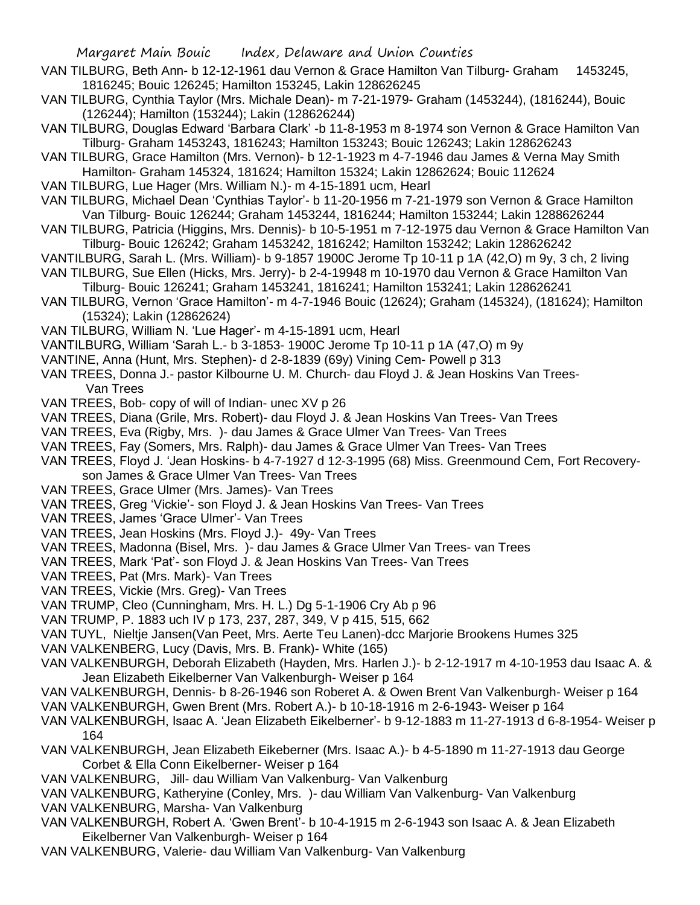- VAN TILBURG, Beth Ann- b 12-12-1961 dau Vernon & Grace Hamilton Van Tilburg- Graham 1453245, 1816245; Bouic 126245; Hamilton 153245, Lakin 128626245
- VAN TILBURG, Cynthia Taylor (Mrs. Michale Dean)- m 7-21-1979- Graham (1453244), (1816244), Bouic (126244); Hamilton (153244); Lakin (128626244)
- VAN TILBURG, Douglas Edward 'Barbara Clark' -b 11-8-1953 m 8-1974 son Vernon & Grace Hamilton Van Tilburg- Graham 1453243, 1816243; Hamilton 153243; Bouic 126243; Lakin 128626243
- VAN TILBURG, Grace Hamilton (Mrs. Vernon)- b 12-1-1923 m 4-7-1946 dau James & Verna May Smith Hamilton- Graham 145324, 181624; Hamilton 15324; Lakin 12862624; Bouic 112624
- VAN TILBURG, Lue Hager (Mrs. William N.)- m 4-15-1891 ucm, Hearl
- VAN TILBURG, Michael Dean 'Cynthias Taylor'- b 11-20-1956 m 7-21-1979 son Vernon & Grace Hamilton Van Tilburg- Bouic 126244; Graham 1453244, 1816244; Hamilton 153244; Lakin 1288626244
- VAN TILBURG, Patricia (Higgins, Mrs. Dennis)- b 10-5-1951 m 7-12-1975 dau Vernon & Grace Hamilton Van Tilburg- Bouic 126242; Graham 1453242, 1816242; Hamilton 153242; Lakin 128626242
- VANTILBURG, Sarah L. (Mrs. William)- b 9-1857 1900C Jerome Tp 10-11 p 1A (42,O) m 9y, 3 ch, 2 living
- VAN TILBURG, Sue Ellen (Hicks, Mrs. Jerry)- b 2-4-19948 m 10-1970 dau Vernon & Grace Hamilton Van Tilburg- Bouic 126241; Graham 1453241, 1816241; Hamilton 153241; Lakin 128626241
- VAN TILBURG, Vernon 'Grace Hamilton'- m 4-7-1946 Bouic (12624); Graham (145324), (181624); Hamilton (15324); Lakin (12862624)
- VAN TILBURG, William N. 'Lue Hager'- m 4-15-1891 ucm, Hearl
- VANTILBURG, William 'Sarah L.- b 3-1853- 1900C Jerome Tp 10-11 p 1A (47,O) m 9y
- VANTINE, Anna (Hunt, Mrs. Stephen)- d 2-8-1839 (69y) Vining Cem- Powell p 313
- VAN TREES, Donna J.- pastor Kilbourne U. M. Church- dau Floyd J. & Jean Hoskins Van Trees-Van Trees
- VAN TREES, Bob- copy of will of Indian- unec XV p 26
- VAN TREES, Diana (Grile, Mrs. Robert)- dau Floyd J. & Jean Hoskins Van Trees- Van Trees
- VAN TREES, Eva (Rigby, Mrs. )- dau James & Grace Ulmer Van Trees- Van Trees
- VAN TREES, Fay (Somers, Mrs. Ralph)- dau James & Grace Ulmer Van Trees- Van Trees
- VAN TREES, Floyd J. 'Jean Hoskins- b 4-7-1927 d 12-3-1995 (68) Miss. Greenmound Cem, Fort Recoveryson James & Grace Ulmer Van Trees- Van Trees
- VAN TREES, Grace Ulmer (Mrs. James)- Van Trees
- VAN TREES, Greg 'Vickie'- son Floyd J. & Jean Hoskins Van Trees- Van Trees
- VAN TREES, James 'Grace Ulmer'- Van Trees
- VAN TREES, Jean Hoskins (Mrs. Floyd J.)- 49y- Van Trees
- VAN TREES, Madonna (Bisel, Mrs. )- dau James & Grace Ulmer Van Trees- van Trees
- VAN TREES, Mark 'Pat'- son Floyd J. & Jean Hoskins Van Trees- Van Trees
- VAN TREES, Pat (Mrs. Mark)- Van Trees
- VAN TREES, Vickie (Mrs. Greg)- Van Trees
- VAN TRUMP, Cleo (Cunningham, Mrs. H. L.) Dg 5-1-1906 Cry Ab p 96
- VAN TRUMP, P. 1883 uch IV p 173, 237, 287, 349, V p 415, 515, 662
- VAN TUYL, Nieltje Jansen(Van Peet, Mrs. Aerte Teu Lanen)-dcc Marjorie Brookens Humes 325
- VAN VALKENBERG, Lucy (Davis, Mrs. B. Frank)- White (165)
- VAN VALKENBURGH, Deborah Elizabeth (Hayden, Mrs. Harlen J.)- b 2-12-1917 m 4-10-1953 dau Isaac A. & Jean Elizabeth Eikelberner Van Valkenburgh- Weiser p 164
- VAN VALKENBURGH, Dennis- b 8-26-1946 son Roberet A. & Owen Brent Van Valkenburgh- Weiser p 164
- VAN VALKENBURGH, Gwen Brent (Mrs. Robert A.)- b 10-18-1916 m 2-6-1943- Weiser p 164
- VAN VALKENBURGH, Isaac A. 'Jean Elizabeth Eikelberner'- b 9-12-1883 m 11-27-1913 d 6-8-1954- Weiser p 164
- VAN VALKENBURGH, Jean Elizabeth Eikeberner (Mrs. Isaac A.)- b 4-5-1890 m 11-27-1913 dau George Corbet & Ella Conn Eikelberner- Weiser p 164
- VAN VALKENBURG, Jill- dau William Van Valkenburg- Van Valkenburg
- VAN VALKENBURG, Katheryine (Conley, Mrs. )- dau William Van Valkenburg- Van Valkenburg VAN VALKENBURG, Marsha- Van Valkenburg
- VAN VALKENBURGH, Robert A. 'Gwen Brent'- b 10-4-1915 m 2-6-1943 son Isaac A. & Jean Elizabeth Eikelberner Van Valkenburgh- Weiser p 164
- VAN VALKENBURG, Valerie- dau William Van Valkenburg- Van Valkenburg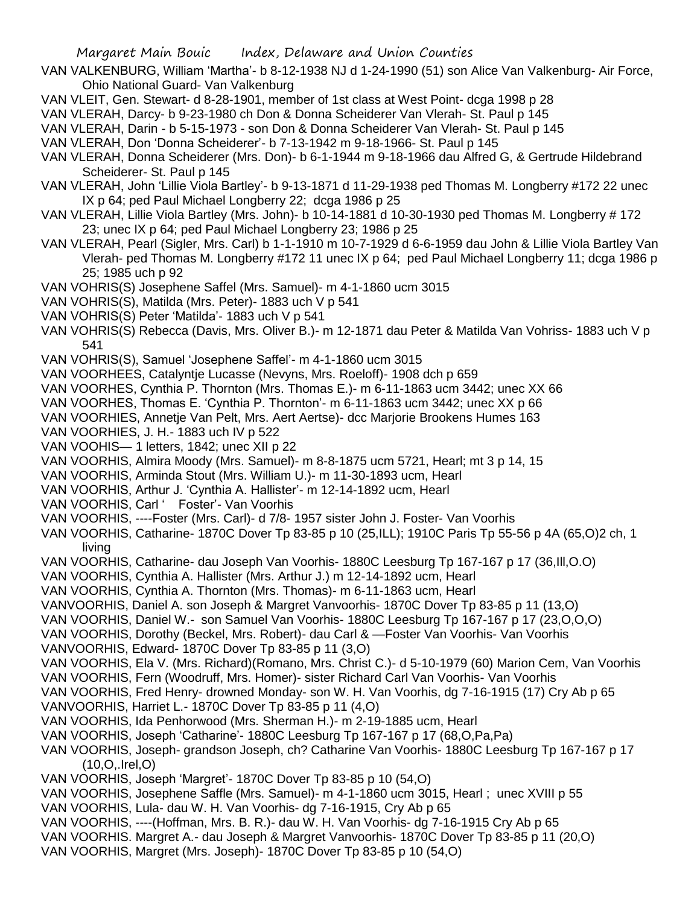- VAN VALKENBURG, William 'Martha'- b 8-12-1938 NJ d 1-24-1990 (51) son Alice Van Valkenburg- Air Force, Ohio National Guard- Van Valkenburg
- VAN VLEIT, Gen. Stewart- d 8-28-1901, member of 1st class at West Point- dcga 1998 p 28

VAN VLERAH, Darcy- b 9-23-1980 ch Don & Donna Scheiderer Van Vlerah- St. Paul p 145

VAN VLERAH, Darin - b 5-15-1973 - son Don & Donna Scheiderer Van Vlerah- St. Paul p 145

VAN VLERAH, Don 'Donna Scheiderer'- b 7-13-1942 m 9-18-1966- St. Paul p 145

- VAN VLERAH, Donna Scheiderer (Mrs. Don)- b 6-1-1944 m 9-18-1966 dau Alfred G, & Gertrude Hildebrand Scheiderer- St. Paul p 145
- VAN VLERAH, John 'Lillie Viola Bartley'- b 9-13-1871 d 11-29-1938 ped Thomas M. Longberry #172 22 unec IX p 64; ped Paul Michael Longberry 22; dcga 1986 p 25
- VAN VLERAH, Lillie Viola Bartley (Mrs. John)- b 10-14-1881 d 10-30-1930 ped Thomas M. Longberry # 172 23; unec IX p 64; ped Paul Michael Longberry 23; 1986 p 25
- VAN VLERAH, Pearl (Sigler, Mrs. Carl) b 1-1-1910 m 10-7-1929 d 6-6-1959 dau John & Lillie Viola Bartley Van Vlerah- ped Thomas M. Longberry #172 11 unec IX p 64; ped Paul Michael Longberry 11; dcga 1986 p 25; 1985 uch p 92
- VAN VOHRIS(S) Josephene Saffel (Mrs. Samuel)- m 4-1-1860 ucm 3015
- VAN VOHRIS(S), Matilda (Mrs. Peter)- 1883 uch V p 541
- VAN VOHRIS(S) Peter 'Matilda'- 1883 uch V p 541
- VAN VOHRIS(S) Rebecca (Davis, Mrs. Oliver B.)- m 12-1871 dau Peter & Matilda Van Vohriss- 1883 uch V p 541
- VAN VOHRIS(S), Samuel 'Josephene Saffel'- m 4-1-1860 ucm 3015
- VAN VOORHEES, Catalyntje Lucasse (Nevyns, Mrs. Roeloff)- 1908 dch p 659
- VAN VOORHES, Cynthia P. Thornton (Mrs. Thomas E.)- m 6-11-1863 ucm 3442; unec XX 66
- VAN VOORHES, Thomas E. 'Cynthia P. Thornton'- m 6-11-1863 ucm 3442; unec XX p 66
- VAN VOORHIES, Annetje Van Pelt, Mrs. Aert Aertse)- dcc Marjorie Brookens Humes 163
- VAN VOORHIES, J. H.- 1883 uch IV p 522
- VAN VOOHIS— 1 letters, 1842; unec XII p 22
- VAN VOORHIS, Almira Moody (Mrs. Samuel)- m 8-8-1875 ucm 5721, Hearl; mt 3 p 14, 15
- VAN VOORHIS, Arminda Stout (Mrs. William U.)- m 11-30-1893 ucm, Hearl
- VAN VOORHIS, Arthur J. 'Cynthia A. Hallister'- m 12-14-1892 ucm, Hearl
- VAN VOORHIS, Carl ' Foster'- Van Voorhis
- VAN VOORHIS, ----Foster (Mrs. Carl)- d 7/8- 1957 sister John J. Foster- Van Voorhis
- VAN VOORHIS, Catharine- 1870C Dover Tp 83-85 p 10 (25,ILL); 1910C Paris Tp 55-56 p 4A (65,O)2 ch, 1 living
- VAN VOORHIS, Catharine- dau Joseph Van Voorhis- 1880C Leesburg Tp 167-167 p 17 (36,Ill,O.O)
- VAN VOORHIS, Cynthia A. Hallister (Mrs. Arthur J.) m 12-14-1892 ucm, Hearl
- VAN VOORHIS, Cynthia A. Thornton (Mrs. Thomas)- m 6-11-1863 ucm, Hearl
- VANVOORHIS, Daniel A. son Joseph & Margret Vanvoorhis- 1870C Dover Tp 83-85 p 11 (13,O)
- VAN VOORHIS, Daniel W.- son Samuel Van Voorhis- 1880C Leesburg Tp 167-167 p 17 (23,O,O,O)
- VAN VOORHIS, Dorothy (Beckel, Mrs. Robert)- dau Carl & —Foster Van Voorhis- Van Voorhis
- VANVOORHIS, Edward- 1870C Dover Tp 83-85 p 11 (3,O)
- VAN VOORHIS, Ela V. (Mrs. Richard)(Romano, Mrs. Christ C.)- d 5-10-1979 (60) Marion Cem, Van Voorhis
- VAN VOORHIS, Fern (Woodruff, Mrs. Homer)- sister Richard Carl Van Voorhis- Van Voorhis
- VAN VOORHIS, Fred Henry- drowned Monday- son W. H. Van Voorhis, dg 7-16-1915 (17) Cry Ab p 65
- VANVOORHIS, Harriet L.- 1870C Dover Tp 83-85 p 11 (4,O)
- VAN VOORHIS, Ida Penhorwood (Mrs. Sherman H.)- m 2-19-1885 ucm, Hearl
- VAN VOORHIS, Joseph 'Catharine'- 1880C Leesburg Tp 167-167 p 17 (68,O,Pa,Pa)
- VAN VOORHIS, Joseph- grandson Joseph, ch? Catharine Van Voorhis- 1880C Leesburg Tp 167-167 p 17 (10,O,.Irel,O)
- VAN VOORHIS, Joseph 'Margret'- 1870C Dover Tp 83-85 p 10 (54,O)
- VAN VOORHIS, Josephene Saffle (Mrs. Samuel)- m 4-1-1860 ucm 3015, Hearl ; unec XVIII p 55
- VAN VOORHIS, Lula- dau W. H. Van Voorhis- dg 7-16-1915, Cry Ab p 65
- VAN VOORHIS, ----(Hoffman, Mrs. B. R.)- dau W. H. Van Voorhis- dg 7-16-1915 Cry Ab p 65
- VAN VOORHIS. Margret A.- dau Joseph & Margret Vanvoorhis- 1870C Dover Tp 83-85 p 11 (20,O)
- VAN VOORHIS, Margret (Mrs. Joseph)- 1870C Dover Tp 83-85 p 10 (54,O)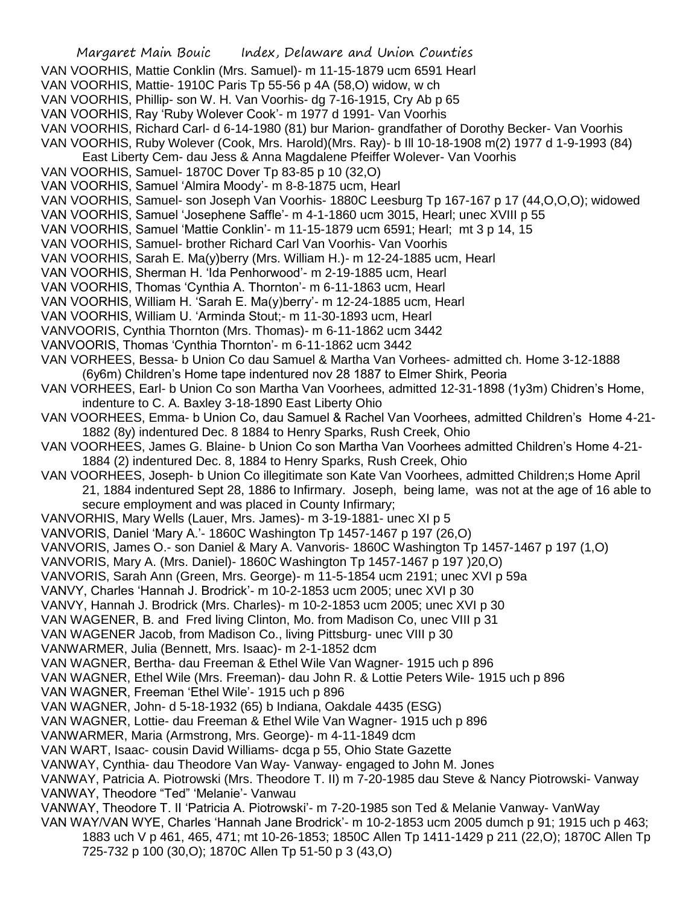Margaret Main Bouic Index, Delaware and Union Counties VAN VOORHIS, Mattie Conklin (Mrs. Samuel)- m 11-15-1879 ucm 6591 Hearl VAN VOORHIS, Mattie- 1910C Paris Tp 55-56 p 4A (58,O) widow, w ch VAN VOORHIS, Phillip- son W. H. Van Voorhis- dg 7-16-1915, Cry Ab p 65 VAN VOORHIS, Ray 'Ruby Wolever Cook'- m 1977 d 1991- Van Voorhis VAN VOORHIS, Richard Carl- d 6-14-1980 (81) bur Marion- grandfather of Dorothy Becker- Van Voorhis VAN VOORHIS, Ruby Wolever (Cook, Mrs. Harold)(Mrs. Ray)- b Ill 10-18-1908 m(2) 1977 d 1-9-1993 (84) East Liberty Cem- dau Jess & Anna Magdalene Pfeiffer Wolever- Van Voorhis VAN VOORHIS, Samuel- 1870C Dover Tp 83-85 p 10 (32,O) VAN VOORHIS, Samuel 'Almira Moody'- m 8-8-1875 ucm, Hearl VAN VOORHIS, Samuel- son Joseph Van Voorhis- 1880C Leesburg Tp 167-167 p 17 (44,O,O,O); widowed VAN VOORHIS, Samuel 'Josephene Saffle'- m 4-1-1860 ucm 3015, Hearl; unec XVIII p 55 VAN VOORHIS, Samuel 'Mattie Conklin'- m 11-15-1879 ucm 6591; Hearl; mt 3 p 14, 15 VAN VOORHIS, Samuel- brother Richard Carl Van Voorhis- Van Voorhis VAN VOORHIS, Sarah E. Ma(y)berry (Mrs. William H.)- m 12-24-1885 ucm, Hearl VAN VOORHIS, Sherman H. 'Ida Penhorwood'- m 2-19-1885 ucm, Hearl VAN VOORHIS, Thomas 'Cynthia A. Thornton'- m 6-11-1863 ucm, Hearl VAN VOORHIS, William H. 'Sarah E. Ma(y)berry'- m 12-24-1885 ucm, Hearl VAN VOORHIS, William U. 'Arminda Stout;- m 11-30-1893 ucm, Hearl VANVOORIS, Cynthia Thornton (Mrs. Thomas)- m 6-11-1862 ucm 3442 VANVOORIS, Thomas 'Cynthia Thornton'- m 6-11-1862 ucm 3442 VAN VORHEES, Bessa- b Union Co dau Samuel & Martha Van Vorhees- admitted ch. Home 3-12-1888 (6y6m) Children's Home tape indentured nov 28 1887 to Elmer Shirk, Peoria VAN VORHEES, Earl- b Union Co son Martha Van Voorhees, admitted 12-31-1898 (1y3m) Chidren's Home, indenture to C. A. Baxley 3-18-1890 East Liberty Ohio VAN VOORHEES, Emma- b Union Co, dau Samuel & Rachel Van Voorhees, admitted Children's Home 4-21- 1882 (8y) indentured Dec. 8 1884 to Henry Sparks, Rush Creek, Ohio VAN VOORHEES, James G. Blaine- b Union Co son Martha Van Voorhees admitted Children's Home 4-21- 1884 (2) indentured Dec. 8, 1884 to Henry Sparks, Rush Creek, Ohio VAN VOORHEES, Joseph- b Union Co illegitimate son Kate Van Voorhees, admitted Children;s Home April 21, 1884 indentured Sept 28, 1886 to Infirmary. Joseph, being lame, was not at the age of 16 able to secure employment and was placed in County Infirmary; VANVORHIS, Mary Wells (Lauer, Mrs. James)- m 3-19-1881- unec XI p 5 VANVORIS, Daniel 'Mary A.'- 1860C Washington Tp 1457-1467 p 197 (26,O) VANVORIS, James O.- son Daniel & Mary A. Vanvoris- 1860C Washington Tp 1457-1467 p 197 (1,O) VANVORIS, Mary A. (Mrs. Daniel)- 1860C Washington Tp 1457-1467 p 197 )20,O) VANVORIS, Sarah Ann (Green, Mrs. George)- m 11-5-1854 ucm 2191; unec XVI p 59a VANVY, Charles 'Hannah J. Brodrick'- m 10-2-1853 ucm 2005; unec XVI p 30 VANVY, Hannah J. Brodrick (Mrs. Charles)- m 10-2-1853 ucm 2005; unec XVI p 30 VAN WAGENER, B. and Fred living Clinton, Mo. from Madison Co, unec VIII p 31 VAN WAGENER Jacob, from Madison Co., living Pittsburg- unec VIII p 30 VANWARMER, Julia (Bennett, Mrs. Isaac)- m 2-1-1852 dcm VAN WAGNER, Bertha- dau Freeman & Ethel Wile Van Wagner- 1915 uch p 896 VAN WAGNER, Ethel Wile (Mrs. Freeman)- dau John R. & Lottie Peters Wile- 1915 uch p 896 VAN WAGNER, Freeman 'Ethel Wile'- 1915 uch p 896 VAN WAGNER, John- d 5-18-1932 (65) b Indiana, Oakdale 4435 (ESG) VAN WAGNER, Lottie- dau Freeman & Ethel Wile Van Wagner- 1915 uch p 896 VANWARMER, Maria (Armstrong, Mrs. George)- m 4-11-1849 dcm VAN WART, Isaac- cousin David Williams- dcga p 55, Ohio State Gazette VANWAY, Cynthia- dau Theodore Van Way- Vanway- engaged to John M. Jones VANWAY, Patricia A. Piotrowski (Mrs. Theodore T. II) m 7-20-1985 dau Steve & Nancy Piotrowski- Vanway VANWAY, Theodore "Ted" 'Melanie'- Vanwau VANWAY, Theodore T. II 'Patricia A. Piotrowski'- m 7-20-1985 son Ted & Melanie Vanway- VanWay VAN WAY/VAN WYE, Charles 'Hannah Jane Brodrick'- m 10-2-1853 ucm 2005 dumch p 91; 1915 uch p 463; 1883 uch V p 461, 465, 471; mt 10-26-1853; 1850C Allen Tp 1411-1429 p 211 (22,O); 1870C Allen Tp 725-732 p 100 (30,O); 1870C Allen Tp 51-50 p 3 (43,O)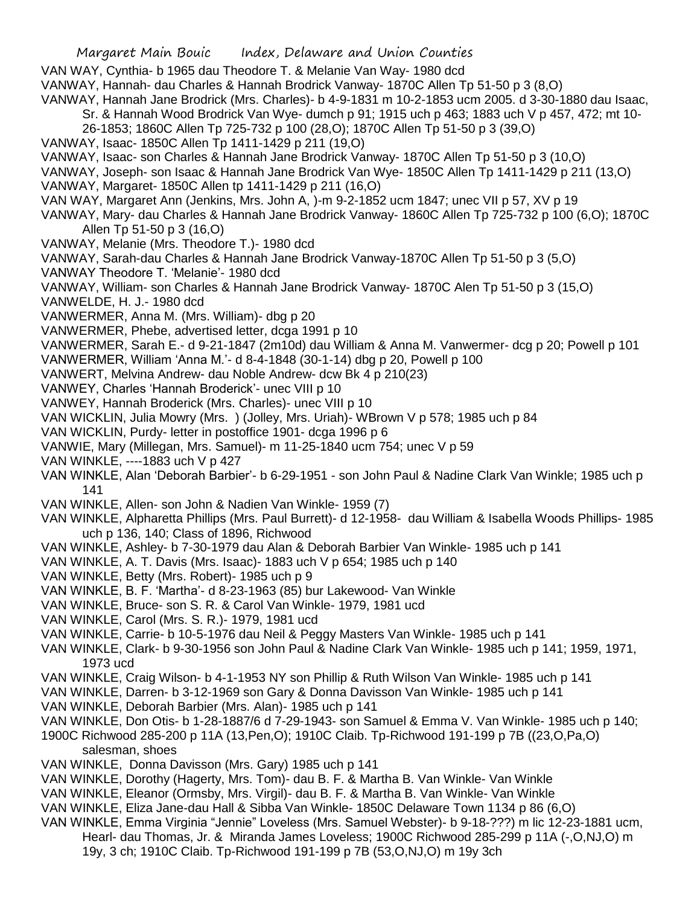Margaret Main Bouic Index, Delaware and Union Counties VAN WAY, Cynthia- b 1965 dau Theodore T. & Melanie Van Way- 1980 dcd VANWAY, Hannah- dau Charles & Hannah Brodrick Vanway- 1870C Allen Tp 51-50 p 3 (8,O) VANWAY, Hannah Jane Brodrick (Mrs. Charles)- b 4-9-1831 m 10-2-1853 ucm 2005. d 3-30-1880 dau Isaac, Sr. & Hannah Wood Brodrick Van Wye- dumch p 91; 1915 uch p 463; 1883 uch V p 457, 472; mt 10- 26-1853; 1860C Allen Tp 725-732 p 100 (28,O); 1870C Allen Tp 51-50 p 3 (39,O) VANWAY, Isaac- 1850C Allen Tp 1411-1429 p 211 (19,O) VANWAY, Isaac- son Charles & Hannah Jane Brodrick Vanway- 1870C Allen Tp 51-50 p 3 (10,O) VANWAY, Joseph- son Isaac & Hannah Jane Brodrick Van Wye- 1850C Allen Tp 1411-1429 p 211 (13,O) VANWAY, Margaret- 1850C Allen tp 1411-1429 p 211 (16,O) VAN WAY, Margaret Ann (Jenkins, Mrs. John A, )-m 9-2-1852 ucm 1847; unec VII p 57, XV p 19 VANWAY, Mary- dau Charles & Hannah Jane Brodrick Vanway- 1860C Allen Tp 725-732 p 100 (6,O); 1870C Allen Tp 51-50 p 3 (16,O) VANWAY, Melanie (Mrs. Theodore T.)- 1980 dcd VANWAY, Sarah-dau Charles & Hannah Jane Brodrick Vanway-1870C Allen Tp 51-50 p 3 (5,O) VANWAY Theodore T. 'Melanie'- 1980 dcd VANWAY, William- son Charles & Hannah Jane Brodrick Vanway- 1870C Alen Tp 51-50 p 3 (15,O) VANWELDE, H. J.- 1980 dcd VANWERMER, Anna M. (Mrs. William)- dbg p 20 VANWERMER, Phebe, advertised letter, dcga 1991 p 10 VANWERMER, Sarah E.- d 9-21-1847 (2m10d) dau William & Anna M. Vanwermer- dcg p 20; Powell p 101 VANWERMER, William 'Anna M.'- d 8-4-1848 (30-1-14) dbg p 20, Powell p 100 VANWERT, Melvina Andrew- dau Noble Andrew- dcw Bk 4 p 210(23) VANWEY, Charles 'Hannah Broderick'- unec VIII p 10 VANWEY, Hannah Broderick (Mrs. Charles)- unec VIII p 10 VAN WICKLIN, Julia Mowry (Mrs. ) (Jolley, Mrs. Uriah)- WBrown V p 578; 1985 uch p 84 VAN WICKLIN, Purdy- letter in postoffice 1901- dcga 1996 p 6 VANWIE, Mary (Millegan, Mrs. Samuel)- m 11-25-1840 ucm 754; unec V p 59 VAN WINKLE, ----1883 uch V p 427 VAN WINKLE, Alan 'Deborah Barbier'- b 6-29-1951 - son John Paul & Nadine Clark Van Winkle; 1985 uch p 141 VAN WINKLE, Allen- son John & Nadien Van Winkle- 1959 (7) VAN WINKLE, Alpharetta Phillips (Mrs. Paul Burrett)- d 12-1958- dau William & Isabella Woods Phillips- 1985 uch p 136, 140; Class of 1896, Richwood VAN WINKLE, Ashley- b 7-30-1979 dau Alan & Deborah Barbier Van Winkle- 1985 uch p 141 VAN WINKLE, A. T. Davis (Mrs. Isaac)- 1883 uch V p 654; 1985 uch p 140 VAN WINKLE, Betty (Mrs. Robert)- 1985 uch p 9 VAN WINKLE, B. F. 'Martha'- d 8-23-1963 (85) bur Lakewood- Van Winkle VAN WINKLE, Bruce- son S. R. & Carol Van Winkle- 1979, 1981 ucd VAN WINKLE, Carol (Mrs. S. R.)- 1979, 1981 ucd VAN WINKLE, Carrie- b 10-5-1976 dau Neil & Peggy Masters Van Winkle- 1985 uch p 141 VAN WINKLE, Clark- b 9-30-1956 son John Paul & Nadine Clark Van Winkle- 1985 uch p 141; 1959, 1971, 1973 ucd VAN WINKLE, Craig Wilson- b 4-1-1953 NY son Phillip & Ruth Wilson Van Winkle- 1985 uch p 141 VAN WINKLE, Darren- b 3-12-1969 son Gary & Donna Davisson Van Winkle- 1985 uch p 141 VAN WINKLE, Deborah Barbier (Mrs. Alan)- 1985 uch p 141 VAN WINKLE, Don Otis- b 1-28-1887/6 d 7-29-1943- son Samuel & Emma V. Van Winkle- 1985 uch p 140; 1900C Richwood 285-200 p 11A (13,Pen,O); 1910C Claib. Tp-Richwood 191-199 p 7B ((23,O,Pa,O) salesman, shoes VAN WINKLE, Donna Davisson (Mrs. Gary) 1985 uch p 141 VAN WINKLE, Dorothy (Hagerty, Mrs. Tom)- dau B. F. & Martha B. Van Winkle- Van Winkle VAN WINKLE, Eleanor (Ormsby, Mrs. Virgil)- dau B. F. & Martha B. Van Winkle- Van Winkle

- VAN WINKLE, Eliza Jane-dau Hall & Sibba Van Winkle- 1850C Delaware Town 1134 p 86 (6,O)
- VAN WINKLE, Emma Virginia "Jennie" Loveless (Mrs. Samuel Webster)- b 9-18-???) m lic 12-23-1881 ucm, Hearl- dau Thomas, Jr. & Miranda James Loveless; 1900C Richwood 285-299 p 11A (-,O,NJ,O) m 19y, 3 ch; 1910C Claib. Tp-Richwood 191-199 p 7B (53,O,NJ,O) m 19y 3ch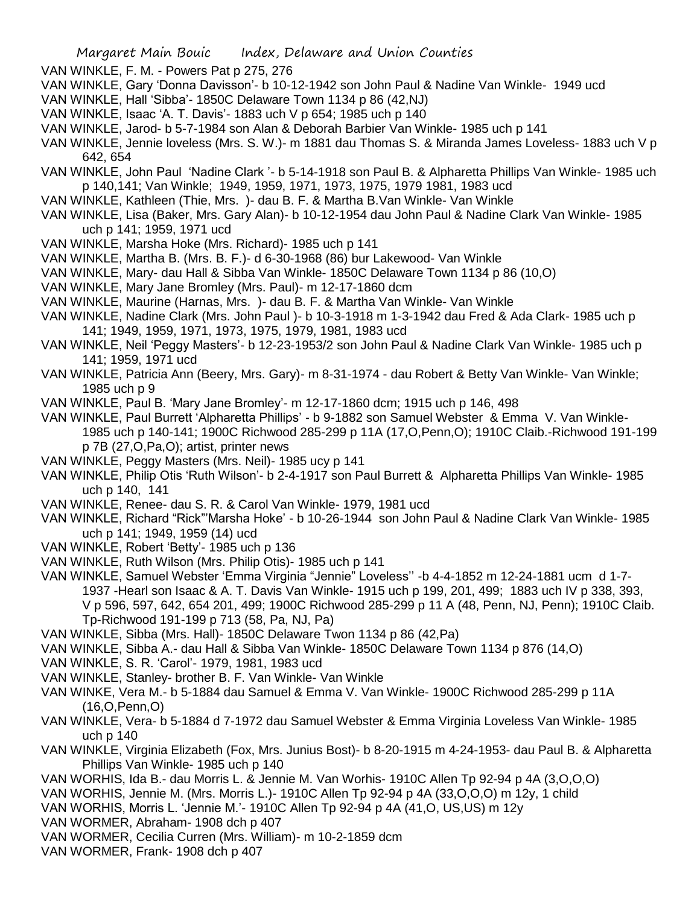VAN WINKLE, F. M. - Powers Pat p 275, 276

- VAN WINKLE, Gary 'Donna Davisson'- b 10-12-1942 son John Paul & Nadine Van Winkle- 1949 ucd
- VAN WINKLE, Hall 'Sibba'- 1850C Delaware Town 1134 p 86 (42,NJ)
- VAN WINKLE, Isaac 'A. T. Davis'- 1883 uch V p 654; 1985 uch p 140
- VAN WINKLE, Jarod- b 5-7-1984 son Alan & Deborah Barbier Van Winkle- 1985 uch p 141
- VAN WINKLE, Jennie loveless (Mrs. S. W.)- m 1881 dau Thomas S. & Miranda James Loveless- 1883 uch V p 642, 654
- VAN WINKLE, John Paul 'Nadine Clark '- b 5-14-1918 son Paul B. & Alpharetta Phillips Van Winkle- 1985 uch p 140,141; Van Winkle; 1949, 1959, 1971, 1973, 1975, 1979 1981, 1983 ucd
- VAN WINKLE, Kathleen (Thie, Mrs. )- dau B. F. & Martha B.Van Winkle- Van Winkle
- VAN WINKLE, Lisa (Baker, Mrs. Gary Alan)- b 10-12-1954 dau John Paul & Nadine Clark Van Winkle- 1985 uch p 141; 1959, 1971 ucd
- VAN WINKLE, Marsha Hoke (Mrs. Richard)- 1985 uch p 141
- VAN WINKLE, Martha B. (Mrs. B. F.)- d 6-30-1968 (86) bur Lakewood- Van Winkle
- VAN WINKLE, Mary- dau Hall & Sibba Van Winkle- 1850C Delaware Town 1134 p 86 (10,O)
- VAN WINKLE, Mary Jane Bromley (Mrs. Paul)- m 12-17-1860 dcm
- VAN WINKLE, Maurine (Harnas, Mrs. )- dau B. F. & Martha Van Winkle- Van Winkle
- VAN WINKLE, Nadine Clark (Mrs. John Paul )- b 10-3-1918 m 1-3-1942 dau Fred & Ada Clark- 1985 uch p 141; 1949, 1959, 1971, 1973, 1975, 1979, 1981, 1983 ucd
- VAN WINKLE, Neil 'Peggy Masters'- b 12-23-1953/2 son John Paul & Nadine Clark Van Winkle- 1985 uch p 141; 1959, 1971 ucd
- VAN WINKLE, Patricia Ann (Beery, Mrs. Gary)- m 8-31-1974 dau Robert & Betty Van Winkle- Van Winkle; 1985 uch p 9
- VAN WINKLE, Paul B. 'Mary Jane Bromley'- m 12-17-1860 dcm; 1915 uch p 146, 498
- VAN WINKLE, Paul Burrett 'Alpharetta Phillips' b 9-1882 son Samuel Webster & Emma V. Van Winkle-1985 uch p 140-141; 1900C Richwood 285-299 p 11A (17,O,Penn,O); 1910C Claib.-Richwood 191-199 p 7B (27,O,Pa,O); artist, printer news
- VAN WINKLE, Peggy Masters (Mrs. Neil)- 1985 ucy p 141
- VAN WINKLE, Philip Otis 'Ruth Wilson'- b 2-4-1917 son Paul Burrett & Alpharetta Phillips Van Winkle- 1985 uch p 140, 141
- VAN WINKLE, Renee- dau S. R. & Carol Van Winkle- 1979, 1981 ucd
- VAN WINKLE, Richard "Rick"'Marsha Hoke' b 10-26-1944 son John Paul & Nadine Clark Van Winkle- 1985 uch p 141; 1949, 1959 (14) ucd
- VAN WINKLE, Robert 'Betty'- 1985 uch p 136
- VAN WINKLE, Ruth Wilson (Mrs. Philip Otis)- 1985 uch p 141
- VAN WINKLE, Samuel Webster 'Emma Virginia "Jennie" Loveless'' -b 4-4-1852 m 12-24-1881 ucm d 1-7- 1937 -Hearl son Isaac & A. T. Davis Van Winkle- 1915 uch p 199, 201, 499; 1883 uch IV p 338, 393, V p 596, 597, 642, 654 201, 499; 1900C Richwood 285-299 p 11 A (48, Penn, NJ, Penn); 1910C Claib. Tp-Richwood 191-199 p 713 (58, Pa, NJ, Pa)
- VAN WINKLE, Sibba (Mrs. Hall)- 1850C Delaware Twon 1134 p 86 (42,Pa)
- VAN WINKLE, Sibba A.- dau Hall & Sibba Van Winkle- 1850C Delaware Town 1134 p 876 (14,O)
- VAN WINKLE, S. R. 'Carol'- 1979, 1981, 1983 ucd
- VAN WINKLE, Stanley- brother B. F. Van Winkle- Van Winkle
- VAN WINKE, Vera M.- b 5-1884 dau Samuel & Emma V. Van Winkle- 1900C Richwood 285-299 p 11A (16,O,Penn,O)
- VAN WINKLE, Vera- b 5-1884 d 7-1972 dau Samuel Webster & Emma Virginia Loveless Van Winkle- 1985 uch p 140
- VAN WINKLE, Virginia Elizabeth (Fox, Mrs. Junius Bost)- b 8-20-1915 m 4-24-1953- dau Paul B. & Alpharetta Phillips Van Winkle- 1985 uch p 140
- VAN WORHIS, Ida B.- dau Morris L. & Jennie M. Van Worhis- 1910C Allen Tp 92-94 p 4A (3,O,O,O)
- VAN WORHIS, Jennie M. (Mrs. Morris L.)- 1910C Allen Tp 92-94 p 4A (33,O,O,O) m 12y, 1 child
- VAN WORHIS, Morris L. 'Jennie M.'- 1910C Allen Tp 92-94 p 4A (41,O, US,US) m 12y
- VAN WORMER, Abraham- 1908 dch p 407
- VAN WORMER, Cecilia Curren (Mrs. William)- m 10-2-1859 dcm
- VAN WORMER, Frank- 1908 dch p 407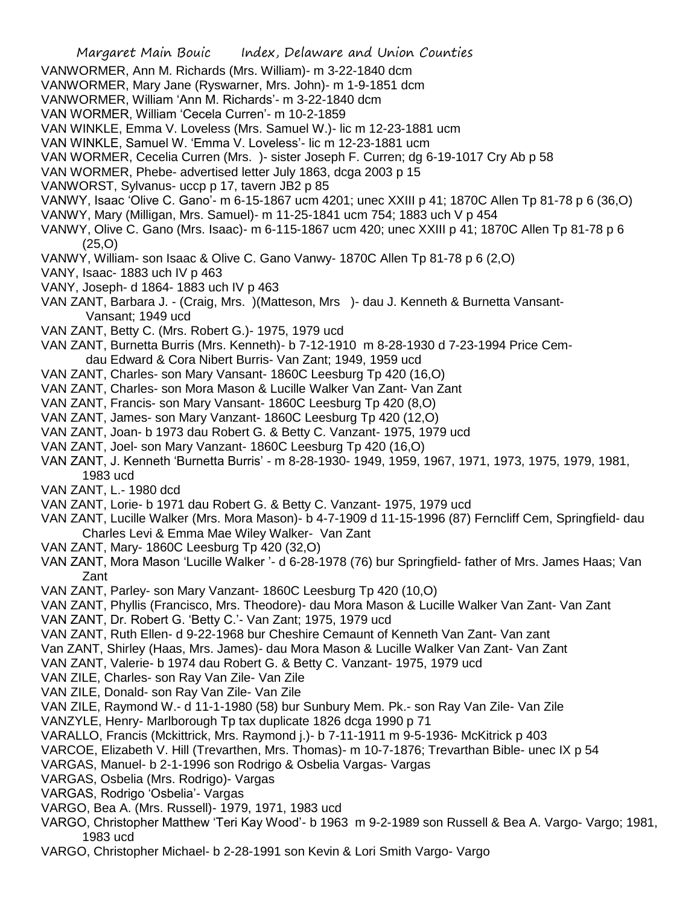Margaret Main Bouic Index, Delaware and Union Counties VANWORMER, Ann M. Richards (Mrs. William)- m 3-22-1840 dcm VANWORMER, Mary Jane (Ryswarner, Mrs. John)- m 1-9-1851 dcm VANWORMER, William 'Ann M. Richards'- m 3-22-1840 dcm VAN WORMER, William 'Cecela Curren'- m 10-2-1859 VAN WINKLE, Emma V. Loveless (Mrs. Samuel W.)- lic m 12-23-1881 ucm VAN WINKLE, Samuel W. 'Emma V. Loveless'- lic m 12-23-1881 ucm VAN WORMER, Cecelia Curren (Mrs. )- sister Joseph F. Curren; dg 6-19-1017 Cry Ab p 58 VAN WORMER, Phebe- advertised letter July 1863, dcga 2003 p 15 VANWORST, Sylvanus- uccp p 17, tavern JB2 p 85 VANWY, Isaac 'Olive C. Gano'- m 6-15-1867 ucm 4201; unec XXIII p 41; 1870C Allen Tp 81-78 p 6 (36,O) VANWY, Mary (Milligan, Mrs. Samuel)- m 11-25-1841 ucm 754; 1883 uch V p 454 VANWY, Olive C. Gano (Mrs. Isaac)- m 6-115-1867 ucm 420; unec XXIII p 41; 1870C Allen Tp 81-78 p 6 (25,O) VANWY, William- son Isaac & Olive C. Gano Vanwy- 1870C Allen Tp 81-78 p 6 (2,O) VANY, Isaac- 1883 uch IV p 463 VANY, Joseph- d 1864- 1883 uch IV p 463 VAN ZANT, Barbara J. - (Craig, Mrs. )(Matteson, Mrs )- dau J. Kenneth & Burnetta Vansant-Vansant; 1949 ucd VAN ZANT, Betty C. (Mrs. Robert G.)- 1975, 1979 ucd VAN ZANT, Burnetta Burris (Mrs. Kenneth)- b 7-12-1910 m 8-28-1930 d 7-23-1994 Price Cemdau Edward & Cora Nibert Burris- Van Zant; 1949, 1959 ucd VAN ZANT, Charles- son Mary Vansant- 1860C Leesburg Tp 420 (16,O) VAN ZANT, Charles- son Mora Mason & Lucille Walker Van Zant- Van Zant VAN ZANT, Francis- son Mary Vansant- 1860C Leesburg Tp 420 (8,O) VAN ZANT, James- son Mary Vanzant- 1860C Leesburg Tp 420 (12,O) VAN ZANT, Joan- b 1973 dau Robert G. & Betty C. Vanzant- 1975, 1979 ucd VAN ZANT, Joel- son Mary Vanzant- 1860C Leesburg Tp 420 (16,O) VAN ZANT, J. Kenneth 'Burnetta Burris' - m 8-28-1930- 1949, 1959, 1967, 1971, 1973, 1975, 1979, 1981, 1983 ucd VAN ZANT, L.- 1980 dcd VAN ZANT, Lorie- b 1971 dau Robert G. & Betty C. Vanzant- 1975, 1979 ucd VAN ZANT, Lucille Walker (Mrs. Mora Mason)- b 4-7-1909 d 11-15-1996 (87) Ferncliff Cem, Springfield- dau Charles Levi & Emma Mae Wiley Walker- Van Zant VAN ZANT, Mary- 1860C Leesburg Tp 420 (32,O) VAN ZANT, Mora Mason 'Lucille Walker '- d 6-28-1978 (76) bur Springfield- father of Mrs. James Haas; Van Zant VAN ZANT, Parley- son Mary Vanzant- 1860C Leesburg Tp 420 (10,O) VAN ZANT, Phyllis (Francisco, Mrs. Theodore)- dau Mora Mason & Lucille Walker Van Zant- Van Zant VAN ZANT, Dr. Robert G. 'Betty C.'- Van Zant; 1975, 1979 ucd VAN ZANT, Ruth Ellen- d 9-22-1968 bur Cheshire Cemaunt of Kenneth Van Zant- Van zant Van ZANT, Shirley (Haas, Mrs. James)- dau Mora Mason & Lucille Walker Van Zant- Van Zant VAN ZANT, Valerie- b 1974 dau Robert G. & Betty C. Vanzant- 1975, 1979 ucd VAN ZILE, Charles- son Ray Van Zile- Van Zile VAN ZILE, Donald- son Ray Van Zile- Van Zile VAN ZILE, Raymond W.- d 11-1-1980 (58) bur Sunbury Mem. Pk.- son Ray Van Zile- Van Zile VANZYLE, Henry- Marlborough Tp tax duplicate 1826 dcga 1990 p 71 VARALLO, Francis (Mckittrick, Mrs. Raymond j.)- b 7-11-1911 m 9-5-1936- McKitrick p 403 VARCOE, Elizabeth V. Hill (Trevarthen, Mrs. Thomas)- m 10-7-1876; Trevarthan Bible- unec IX p 54 VARGAS, Manuel- b 2-1-1996 son Rodrigo & Osbelia Vargas- Vargas VARGAS, Osbelia (Mrs. Rodrigo)- Vargas VARGAS, Rodrigo 'Osbelia'- Vargas

- VARGO, Bea A. (Mrs. Russell)- 1979, 1971, 1983 ucd
- VARGO, Christopher Matthew 'Teri Kay Wood'- b 1963 m 9-2-1989 son Russell & Bea A. Vargo- Vargo; 1981, 1983 ucd
- VARGO, Christopher Michael- b 2-28-1991 son Kevin & Lori Smith Vargo- Vargo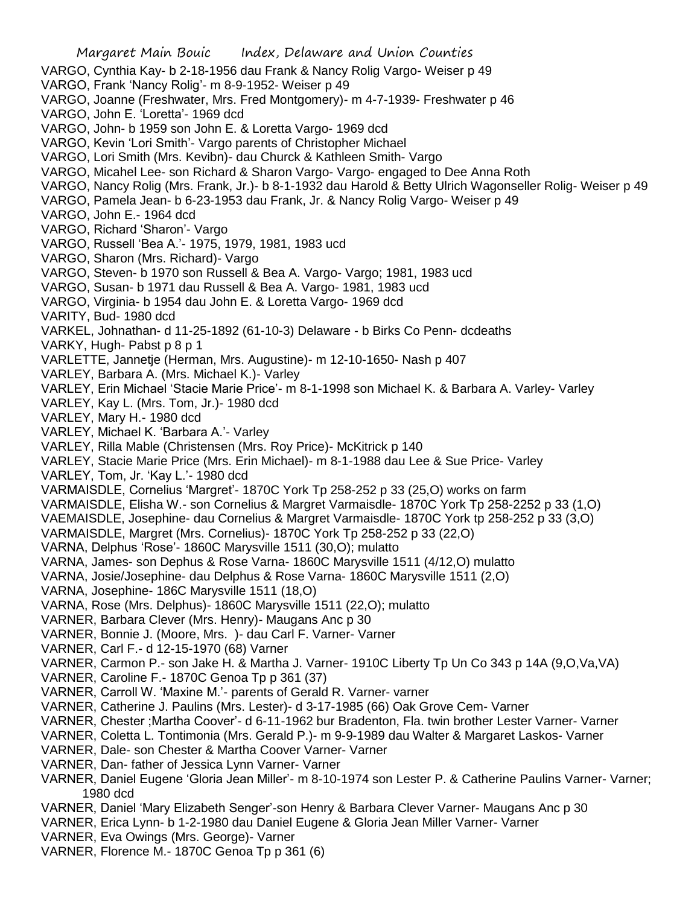Margaret Main Bouic Index, Delaware and Union Counties VARGO, Cynthia Kay- b 2-18-1956 dau Frank & Nancy Rolig Vargo- Weiser p 49 VARGO, Frank 'Nancy Rolig'- m 8-9-1952- Weiser p 49 VARGO, Joanne (Freshwater, Mrs. Fred Montgomery)- m 4-7-1939- Freshwater p 46 VARGO, John E. 'Loretta'- 1969 dcd VARGO, John- b 1959 son John E. & Loretta Vargo- 1969 dcd VARGO, Kevin 'Lori Smith'- Vargo parents of Christopher Michael VARGO, Lori Smith (Mrs. Kevibn)- dau Churck & Kathleen Smith- Vargo VARGO, Micahel Lee- son Richard & Sharon Vargo- Vargo- engaged to Dee Anna Roth VARGO, Nancy Rolig (Mrs. Frank, Jr.)- b 8-1-1932 dau Harold & Betty Ulrich Wagonseller Rolig- Weiser p 49 VARGO, Pamela Jean- b 6-23-1953 dau Frank, Jr. & Nancy Rolig Vargo- Weiser p 49 VARGO, John E.- 1964 dcd VARGO, Richard 'Sharon'- Vargo VARGO, Russell 'Bea A.'- 1975, 1979, 1981, 1983 ucd VARGO, Sharon (Mrs. Richard)- Vargo VARGO, Steven- b 1970 son Russell & Bea A. Vargo- Vargo; 1981, 1983 ucd VARGO, Susan- b 1971 dau Russell & Bea A. Vargo- 1981, 1983 ucd VARGO, Virginia- b 1954 dau John E. & Loretta Vargo- 1969 dcd VARITY, Bud- 1980 dcd VARKEL, Johnathan- d 11-25-1892 (61-10-3) Delaware - b Birks Co Penn- dcdeaths VARKY, Hugh- Pabst p 8 p 1 VARLETTE, Jannetje (Herman, Mrs. Augustine)- m 12-10-1650- Nash p 407 VARLEY, Barbara A. (Mrs. Michael K.)- Varley VARLEY, Erin Michael 'Stacie Marie Price'- m 8-1-1998 son Michael K. & Barbara A. Varley- Varley VARLEY, Kay L. (Mrs. Tom, Jr.)- 1980 dcd VARLEY, Mary H.- 1980 dcd VARLEY, Michael K. 'Barbara A.'- Varley VARLEY, Rilla Mable (Christensen (Mrs. Roy Price)- McKitrick p 140 VARLEY, Stacie Marie Price (Mrs. Erin Michael)- m 8-1-1988 dau Lee & Sue Price- Varley VARLEY, Tom, Jr. 'Kay L.'- 1980 dcd VARMAISDLE, Cornelius 'Margret'- 1870C York Tp 258-252 p 33 (25,O) works on farm VARMAISDLE, Elisha W.- son Cornelius & Margret Varmaisdle- 1870C York Tp 258-2252 p 33 (1,O) VAEMAISDLE, Josephine- dau Cornelius & Margret Varmaisdle- 1870C York tp 258-252 p 33 (3,O) VARMAISDLE, Margret (Mrs. Cornelius)- 1870C York Tp 258-252 p 33 (22,O) VARNA, Delphus 'Rose'- 1860C Marysville 1511 (30,O); mulatto VARNA, James- son Dephus & Rose Varna- 1860C Marysville 1511 (4/12,O) mulatto VARNA, Josie/Josephine- dau Delphus & Rose Varna- 1860C Marysville 1511 (2,O) VARNA, Josephine- 186C Marysville 1511 (18,O) VARNA, Rose (Mrs. Delphus)- 1860C Marysville 1511 (22,O); mulatto VARNER, Barbara Clever (Mrs. Henry)- Maugans Anc p 30 VARNER, Bonnie J. (Moore, Mrs. )- dau Carl F. Varner- Varner VARNER, Carl F.- d 12-15-1970 (68) Varner VARNER, Carmon P.- son Jake H. & Martha J. Varner- 1910C Liberty Tp Un Co 343 p 14A (9,O,Va,VA) VARNER, Caroline F.- 1870C Genoa Tp p 361 (37) VARNER, Carroll W. 'Maxine M.'- parents of Gerald R. Varner- varner VARNER, Catherine J. Paulins (Mrs. Lester)- d 3-17-1985 (66) Oak Grove Cem- Varner VARNER, Chester ;Martha Coover'- d 6-11-1962 bur Bradenton, Fla. twin brother Lester Varner- Varner VARNER, Coletta L. Tontimonia (Mrs. Gerald P.)- m 9-9-1989 dau Walter & Margaret Laskos- Varner VARNER, Dale- son Chester & Martha Coover Varner- Varner VARNER, Dan- father of Jessica Lynn Varner- Varner VARNER, Daniel Eugene 'Gloria Jean Miller'- m 8-10-1974 son Lester P. & Catherine Paulins Varner- Varner; 1980 dcd VARNER, Daniel 'Mary Elizabeth Senger'-son Henry & Barbara Clever Varner- Maugans Anc p 30 VARNER, Erica Lynn- b 1-2-1980 dau Daniel Eugene & Gloria Jean Miller Varner- Varner VARNER, Eva Owings (Mrs. George)- Varner VARNER, Florence M.- 1870C Genoa Tp p 361 (6)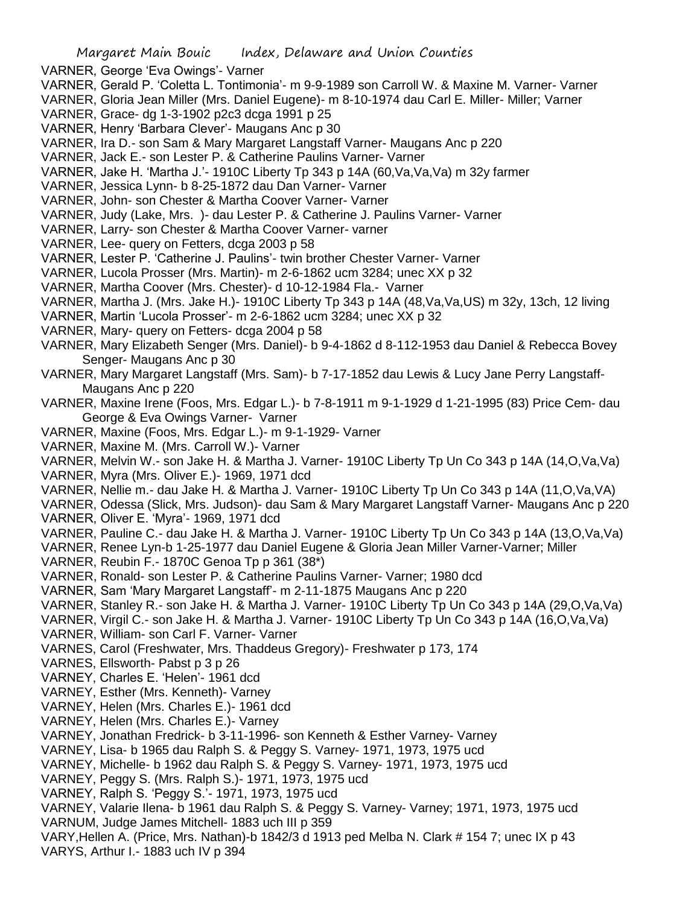- VARNER, George 'Eva Owings'- Varner
- VARNER, Gerald P. 'Coletta L. Tontimonia'- m 9-9-1989 son Carroll W. & Maxine M. Varner- Varner
- VARNER, Gloria Jean Miller (Mrs. Daniel Eugene)- m 8-10-1974 dau Carl E. Miller- Miller; Varner
- VARNER, Grace- dg 1-3-1902 p2c3 dcga 1991 p 25
- VARNER, Henry 'Barbara Clever'- Maugans Anc p 30
- VARNER, Ira D.- son Sam & Mary Margaret Langstaff Varner- Maugans Anc p 220
- VARNER, Jack E.- son Lester P. & Catherine Paulins Varner- Varner
- VARNER, Jake H. 'Martha J.'- 1910C Liberty Tp 343 p 14A (60,Va,Va,Va) m 32y farmer
- VARNER, Jessica Lynn- b 8-25-1872 dau Dan Varner- Varner
- VARNER, John- son Chester & Martha Coover Varner- Varner
- VARNER, Judy (Lake, Mrs. )- dau Lester P. & Catherine J. Paulins Varner- Varner
- VARNER, Larry- son Chester & Martha Coover Varner- varner
- VARNER, Lee- query on Fetters, dcga 2003 p 58
- VARNER, Lester P. 'Catherine J. Paulins'- twin brother Chester Varner- Varner
- VARNER, Lucola Prosser (Mrs. Martin)- m 2-6-1862 ucm 3284; unec XX p 32
- VARNER, Martha Coover (Mrs. Chester)- d 10-12-1984 Fla.- Varner
- VARNER, Martha J. (Mrs. Jake H.)- 1910C Liberty Tp 343 p 14A (48,Va,Va,US) m 32y, 13ch, 12 living
- VARNER, Martin 'Lucola Prosser'- m 2-6-1862 ucm 3284; unec XX p 32
- VARNER, Mary- query on Fetters- dcga 2004 p 58
- VARNER, Mary Elizabeth Senger (Mrs. Daniel)- b 9-4-1862 d 8-112-1953 dau Daniel & Rebecca Bovey Senger- Maugans Anc p 30
- VARNER, Mary Margaret Langstaff (Mrs. Sam)- b 7-17-1852 dau Lewis & Lucy Jane Perry Langstaff-Maugans Anc p 220
- VARNER, Maxine Irene (Foos, Mrs. Edgar L.)- b 7-8-1911 m 9-1-1929 d 1-21-1995 (83) Price Cem- dau George & Eva Owings Varner- Varner
- VARNER, Maxine (Foos, Mrs. Edgar L.)- m 9-1-1929- Varner
- VARNER, Maxine M. (Mrs. Carroll W.)- Varner
- VARNER, Melvin W.- son Jake H. & Martha J. Varner- 1910C Liberty Tp Un Co 343 p 14A (14,O,Va,Va)
- VARNER, Myra (Mrs. Oliver E.)- 1969, 1971 dcd
- VARNER, Nellie m.- dau Jake H. & Martha J. Varner- 1910C Liberty Tp Un Co 343 p 14A (11,O,Va,VA)
- VARNER, Odessa (Slick, Mrs. Judson)- dau Sam & Mary Margaret Langstaff Varner- Maugans Anc p 220 VARNER, Oliver E. 'Myra'- 1969, 1971 dcd
- 
- VARNER, Pauline C.- dau Jake H. & Martha J. Varner- 1910C Liberty Tp Un Co 343 p 14A (13,O,Va,Va)
- VARNER, Renee Lyn-b 1-25-1977 dau Daniel Eugene & Gloria Jean Miller Varner-Varner; Miller
- VARNER, Reubin F.- 1870C Genoa Tp p 361 (38\*)
- VARNER, Ronald- son Lester P. & Catherine Paulins Varner- Varner; 1980 dcd
- VARNER, Sam 'Mary Margaret Langstaff'- m 2-11-1875 Maugans Anc p 220
- VARNER, Stanley R.- son Jake H. & Martha J. Varner- 1910C Liberty Tp Un Co 343 p 14A (29,O,Va,Va)
- VARNER, Virgil C.- son Jake H. & Martha J. Varner- 1910C Liberty Tp Un Co 343 p 14A (16,O,Va,Va)
- VARNER, William- son Carl F. Varner- Varner
- VARNES, Carol (Freshwater, Mrs. Thaddeus Gregory)- Freshwater p 173, 174
- VARNES, Ellsworth- Pabst p 3 p 26
- VARNEY, Esther (Mrs. Kenneth)- Varney
- VARNEY, Helen (Mrs. Charles E.)- 1961 dcd
- VARNEY, Helen (Mrs. Charles E.)- Varney
- VARNEY, Jonathan Fredrick- b 3-11-1996- son Kenneth & Esther Varney- Varney
- VARNEY, Lisa- b 1965 dau Ralph S. & Peggy S. Varney- 1971, 1973, 1975 ucd
- VARNEY, Michelle- b 1962 dau Ralph S. & Peggy S. Varney- 1971, 1973, 1975 ucd
- VARNEY, Peggy S. (Mrs. Ralph S.)- 1971, 1973, 1975 ucd
- VARNEY, Ralph S. 'Peggy S.'- 1971, 1973, 1975 ucd
- VARNEY, Valarie Ilena- b 1961 dau Ralph S. & Peggy S. Varney- Varney; 1971, 1973, 1975 ucd VARNUM, Judge James Mitchell- 1883 uch III p 359
- VARY,Hellen A. (Price, Mrs. Nathan)-b 1842/3 d 1913 ped Melba N. Clark # 154 7; unec IX p 43 VARYS, Arthur I.- 1883 uch IV p 394
- 
- VARNEY, Charles E. 'Helen'- 1961 dcd
- 
-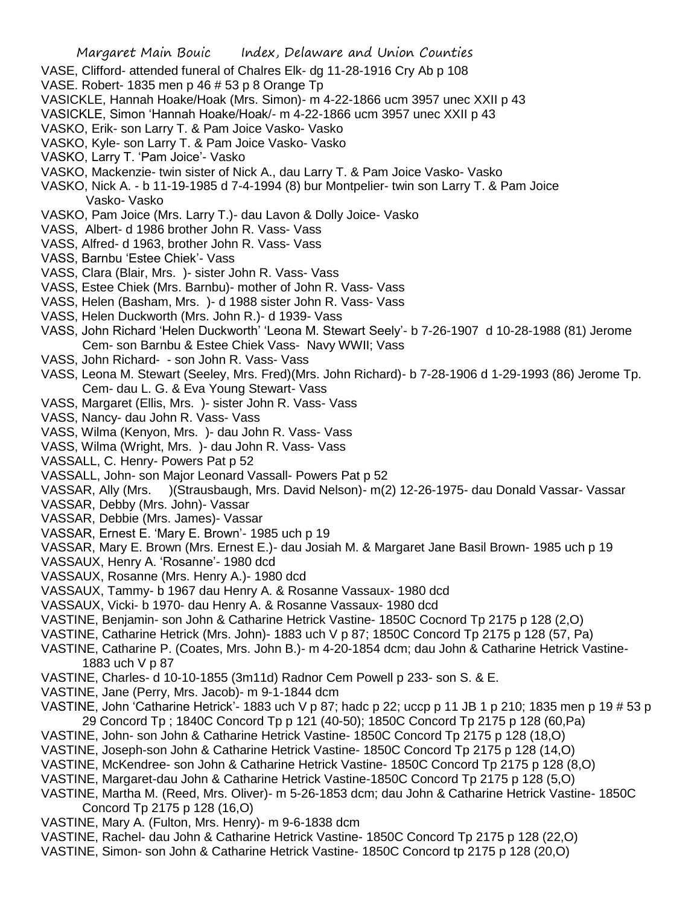- VASE, Clifford- attended funeral of Chalres Elk- dg 11-28-1916 Cry Ab p 108
- VASE. Robert- 1835 men p 46 # 53 p 8 Orange Tp
- VASICKLE, Hannah Hoake/Hoak (Mrs. Simon)- m 4-22-1866 ucm 3957 unec XXII p 43
- VASICKLE, Simon 'Hannah Hoake/Hoak/- m 4-22-1866 ucm 3957 unec XXII p 43
- VASKO, Erik- son Larry T. & Pam Joice Vasko- Vasko
- VASKO, Kyle- son Larry T. & Pam Joice Vasko- Vasko
- VASKO, Larry T. 'Pam Joice'- Vasko
- VASKO, Mackenzie- twin sister of Nick A., dau Larry T. & Pam Joice Vasko- Vasko
- VASKO, Nick A. b 11-19-1985 d 7-4-1994 (8) bur Montpelier- twin son Larry T. & Pam Joice Vasko- Vasko
- VASKO, Pam Joice (Mrs. Larry T.)- dau Lavon & Dolly Joice- Vasko
- VASS, Albert- d 1986 brother John R. Vass- Vass
- VASS, Alfred- d 1963, brother John R. Vass- Vass
- VASS, Barnbu 'Estee Chiek'- Vass
- VASS, Clara (Blair, Mrs. )- sister John R. Vass- Vass
- VASS, Estee Chiek (Mrs. Barnbu)- mother of John R. Vass- Vass
- VASS, Helen (Basham, Mrs. )- d 1988 sister John R. Vass- Vass
- VASS, Helen Duckworth (Mrs. John R.)- d 1939- Vass
- VASS, John Richard 'Helen Duckworth' 'Leona M. Stewart Seely'- b 7-26-1907 d 10-28-1988 (81) Jerome Cem- son Barnbu & Estee Chiek Vass- Navy WWII; Vass
- VASS, John Richard- son John R. Vass- Vass
- VASS, Leona M. Stewart (Seeley, Mrs. Fred)(Mrs. John Richard)- b 7-28-1906 d 1-29-1993 (86) Jerome Tp. Cem- dau L. G. & Eva Young Stewart- Vass
- VASS, Margaret (Ellis, Mrs. )- sister John R. Vass- Vass
- VASS, Nancy- dau John R. Vass- Vass
- VASS, Wilma (Kenyon, Mrs. )- dau John R. Vass- Vass
- VASS, Wilma (Wright, Mrs. )- dau John R. Vass- Vass
- VASSALL, C. Henry- Powers Pat p 52
- VASSALL, John- son Major Leonard Vassall- Powers Pat p 52
- VASSAR, Ally (Mrs. )(Strausbaugh, Mrs. David Nelson)- m(2) 12-26-1975- dau Donald Vassar- Vassar
- VASSAR, Debby (Mrs. John)- Vassar
- VASSAR, Debbie (Mrs. James)- Vassar
- VASSAR, Ernest E. 'Mary E. Brown'- 1985 uch p 19
- VASSAR, Mary E. Brown (Mrs. Ernest E.)- dau Josiah M. & Margaret Jane Basil Brown- 1985 uch p 19
- VASSAUX, Henry A. 'Rosanne'- 1980 dcd
- VASSAUX, Rosanne (Mrs. Henry A.)- 1980 dcd
- VASSAUX, Tammy- b 1967 dau Henry A. & Rosanne Vassaux- 1980 dcd
- VASSAUX, Vicki- b 1970- dau Henry A. & Rosanne Vassaux- 1980 dcd
- VASTINE, Benjamin- son John & Catharine Hetrick Vastine- 1850C Cocnord Tp 2175 p 128 (2,O)
- VASTINE, Catharine Hetrick (Mrs. John)- 1883 uch V p 87; 1850C Concord Tp 2175 p 128 (57, Pa)
- VASTINE, Catharine P. (Coates, Mrs. John B.)- m 4-20-1854 dcm; dau John & Catharine Hetrick Vastine-1883 uch V p 87
- VASTINE, Charles- d 10-10-1855 (3m11d) Radnor Cem Powell p 233- son S. & E.
- VASTINE, Jane (Perry, Mrs. Jacob)- m 9-1-1844 dcm
- VASTINE, John 'Catharine Hetrick'- 1883 uch V p 87; hadc p 22; uccp p 11 JB 1 p 210; 1835 men p 19 # 53 p 29 Concord Tp ; 1840C Concord Tp p 121 (40-50); 1850C Concord Tp 2175 p 128 (60,Pa)
- VASTINE, John- son John & Catharine Hetrick Vastine- 1850C Concord Tp 2175 p 128 (18,O)
- VASTINE, Joseph-son John & Catharine Hetrick Vastine- 1850C Concord Tp 2175 p 128 (14,O)
- VASTINE, McKendree- son John & Catharine Hetrick Vastine- 1850C Concord Tp 2175 p 128 (8,O)
- VASTINE, Margaret-dau John & Catharine Hetrick Vastine-1850C Concord Tp 2175 p 128 (5,O)
- VASTINE, Martha M. (Reed, Mrs. Oliver)- m 5-26-1853 dcm; dau John & Catharine Hetrick Vastine- 1850C Concord Tp 2175 p 128 (16,O)
- VASTINE, Mary A. (Fulton, Mrs. Henry)- m 9-6-1838 dcm
- VASTINE, Rachel- dau John & Catharine Hetrick Vastine- 1850C Concord Tp 2175 p 128 (22,O)
- VASTINE, Simon- son John & Catharine Hetrick Vastine- 1850C Concord tp 2175 p 128 (20,O)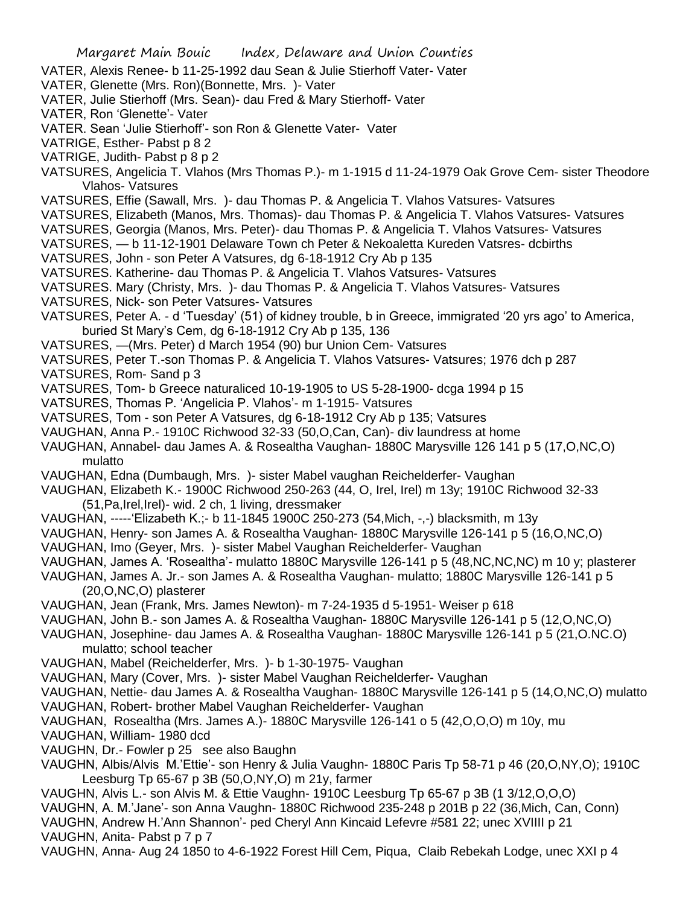- VATER, Alexis Renee- b 11-25-1992 dau Sean & Julie Stierhoff Vater- Vater
- VATER, Glenette (Mrs. Ron)(Bonnette, Mrs. )- Vater
- VATER, Julie Stierhoff (Mrs. Sean)- dau Fred & Mary Stierhoff- Vater
- VATER, Ron 'Glenette'- Vater
- VATER. Sean 'Julie Stierhoff'- son Ron & Glenette Vater- Vater
- VATRIGE, Esther- Pabst p 8 2
- VATRIGE, Judith- Pabst p 8 p 2
- VATSURES, Angelicia T. Vlahos (Mrs Thomas P.)- m 1-1915 d 11-24-1979 Oak Grove Cem- sister Theodore Vlahos- Vatsures
- VATSURES, Effie (Sawall, Mrs. )- dau Thomas P. & Angelicia T. Vlahos Vatsures- Vatsures
- VATSURES, Elizabeth (Manos, Mrs. Thomas)- dau Thomas P. & Angelicia T. Vlahos Vatsures- Vatsures
- VATSURES, Georgia (Manos, Mrs. Peter)- dau Thomas P. & Angelicia T. Vlahos Vatsures- Vatsures
- VATSURES, b 11-12-1901 Delaware Town ch Peter & Nekoaletta Kureden Vatsres- dcbirths
- VATSURES, John son Peter A Vatsures, dg 6-18-1912 Cry Ab p 135
- VATSURES. Katherine- dau Thomas P. & Angelicia T. Vlahos Vatsures- Vatsures
- VATSURES. Mary (Christy, Mrs. )- dau Thomas P. & Angelicia T. Vlahos Vatsures- Vatsures
- VATSURES, Nick- son Peter Vatsures- Vatsures
- VATSURES, Peter A. d 'Tuesday' (51) of kidney trouble, b in Greece, immigrated '20 yrs ago' to America, buried St Mary's Cem, dg 6-18-1912 Cry Ab p 135, 136
- VATSURES, —(Mrs. Peter) d March 1954 (90) bur Union Cem- Vatsures
- VATSURES, Peter T.-son Thomas P. & Angelicia T. Vlahos Vatsures- Vatsures; 1976 dch p 287
- VATSURES, Rom- Sand p 3
- VATSURES, Tom- b Greece naturaliced 10-19-1905 to US 5-28-1900- dcga 1994 p 15
- VATSURES, Thomas P. 'Angelicia P. Vlahos'- m 1-1915- Vatsures
- VATSURES, Tom son Peter A Vatsures, dg 6-18-1912 Cry Ab p 135; Vatsures
- VAUGHAN, Anna P.- 1910C Richwood 32-33 (50,O,Can, Can)- div laundress at home
- VAUGHAN, Annabel- dau James A. & Rosealtha Vaughan- 1880C Marysville 126 141 p 5 (17,O,NC,O) mulatto
- VAUGHAN, Edna (Dumbaugh, Mrs. )- sister Mabel vaughan Reichelderfer- Vaughan
- VAUGHAN, Elizabeth K.- 1900C Richwood 250-263 (44, O, Irel, Irel) m 13y; 1910C Richwood 32-33 (51,Pa,Irel,Irel)- wid. 2 ch, 1 living, dressmaker
- VAUGHAN, -----'Elizabeth K.;- b 11-1845 1900C 250-273 (54,Mich, -,-) blacksmith, m 13y
- VAUGHAN, Henry- son James A. & Rosealtha Vaughan- 1880C Marysville 126-141 p 5 (16,O,NC,O)
- VAUGHAN, Imo (Geyer, Mrs. )- sister Mabel Vaughan Reichelderfer- Vaughan
- VAUGHAN, James A. 'Rosealtha'- mulatto 1880C Marysville 126-141 p 5 (48,NC,NC,NC) m 10 y; plasterer
- VAUGHAN, James A. Jr.- son James A. & Rosealtha Vaughan- mulatto; 1880C Marysville 126-141 p 5 (20,O,NC,O) plasterer
- VAUGHAN, Jean (Frank, Mrs. James Newton)- m 7-24-1935 d 5-1951- Weiser p 618
- VAUGHAN, John B.- son James A. & Rosealtha Vaughan- 1880C Marysville 126-141 p 5 (12,O,NC,O)

VAUGHAN, Josephine- dau James A. & Rosealtha Vaughan- 1880C Marysville 126-141 p 5 (21,O.NC.O) mulatto; school teacher

- VAUGHAN, Mabel (Reichelderfer, Mrs. )- b 1-30-1975- Vaughan
- VAUGHAN, Mary (Cover, Mrs. )- sister Mabel Vaughan Reichelderfer- Vaughan
- VAUGHAN, Nettie- dau James A. & Rosealtha Vaughan- 1880C Marysville 126-141 p 5 (14,O,NC,O) mulatto VAUGHAN, Robert- brother Mabel Vaughan Reichelderfer- Vaughan
- VAUGHAN, Rosealtha (Mrs. James A.)- 1880C Marysville 126-141 o 5 (42,O,O,O) m 10y, mu
- VAUGHAN, William- 1980 dcd
- VAUGHN, Dr.- Fowler p 25 see also Baughn
- VAUGHN, Albis/Alvis M.'Ettie'- son Henry & Julia Vaughn- 1880C Paris Tp 58-71 p 46 (20,O,NY,O); 1910C Leesburg Tp 65-67 p 3B (50,O,NY,O) m 21y, farmer
- VAUGHN, Alvis L.- son Alvis M. & Ettie Vaughn- 1910C Leesburg Tp 65-67 p 3B (1 3/12,O,O,O)
- VAUGHN, A. M.'Jane'- son Anna Vaughn- 1880C Richwood 235-248 p 201B p 22 (36,Mich, Can, Conn)
- VAUGHN, Andrew H.'Ann Shannon'- ped Cheryl Ann Kincaid Lefevre #581 22; unec XVIIII p 21

VAUGHN, Anita- Pabst p 7 p 7

VAUGHN, Anna- Aug 24 1850 to 4-6-1922 Forest Hill Cem, Piqua, Claib Rebekah Lodge, unec XXI p 4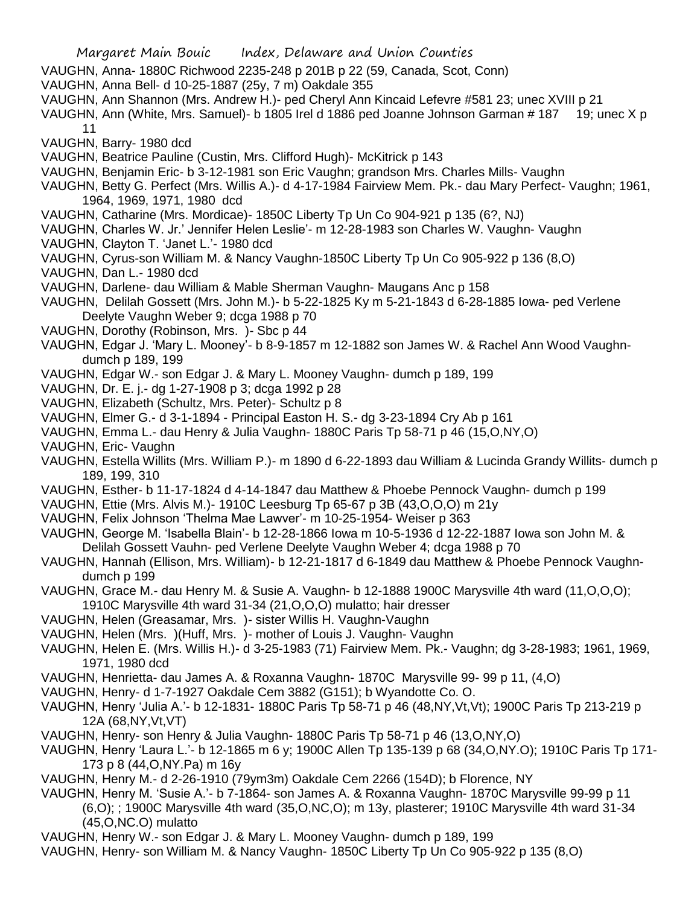- VAUGHN, Anna- 1880C Richwood 2235-248 p 201B p 22 (59, Canada, Scot, Conn)
- VAUGHN, Anna Bell- d 10-25-1887 (25y, 7 m) Oakdale 355
- VAUGHN, Ann Shannon (Mrs. Andrew H.)- ped Cheryl Ann Kincaid Lefevre #581 23; unec XVIII p 21
- VAUGHN, Ann (White, Mrs. Samuel)- b 1805 Irel d 1886 ped Joanne Johnson Garman # 187 19; unec X p 11
- VAUGHN, Barry- 1980 dcd
- VAUGHN, Beatrice Pauline (Custin, Mrs. Clifford Hugh)- McKitrick p 143
- VAUGHN, Benjamin Eric- b 3-12-1981 son Eric Vaughn; grandson Mrs. Charles Mills- Vaughn
- VAUGHN, Betty G. Perfect (Mrs. Willis A.)- d 4-17-1984 Fairview Mem. Pk.- dau Mary Perfect- Vaughn; 1961, 1964, 1969, 1971, 1980 dcd
- VAUGHN, Catharine (Mrs. Mordicae)- 1850C Liberty Tp Un Co 904-921 p 135 (6?, NJ)
- VAUGHN, Charles W. Jr.' Jennifer Helen Leslie'- m 12-28-1983 son Charles W. Vaughn- Vaughn
- VAUGHN, Clayton T. 'Janet L.'- 1980 dcd
- VAUGHN, Cyrus-son William M. & Nancy Vaughn-1850C Liberty Tp Un Co 905-922 p 136 (8,O)
- VAUGHN, Dan L.- 1980 dcd
- VAUGHN, Darlene- dau William & Mable Sherman Vaughn- Maugans Anc p 158
- VAUGHN, Delilah Gossett (Mrs. John M.)- b 5-22-1825 Ky m 5-21-1843 d 6-28-1885 Iowa- ped Verlene Deelyte Vaughn Weber 9: dcga 1988 p 70
- VAUGHN, Dorothy (Robinson, Mrs. )- Sbc p 44
- VAUGHN, Edgar J. 'Mary L. Mooney'- b 8-9-1857 m 12-1882 son James W. & Rachel Ann Wood Vaughndumch p 189, 199
- VAUGHN, Edgar W.- son Edgar J. & Mary L. Mooney Vaughn- dumch p 189, 199
- VAUGHN, Dr. E. j.- dg 1-27-1908 p 3; dcga 1992 p 28
- VAUGHN, Elizabeth (Schultz, Mrs. Peter)- Schultz p 8
- VAUGHN, Elmer G.- d 3-1-1894 Principal Easton H. S.- dg 3-23-1894 Cry Ab p 161
- VAUGHN, Emma L.- dau Henry & Julia Vaughn- 1880C Paris Tp 58-71 p 46 (15,O,NY,O)
- VAUGHN, Eric- Vaughn
- VAUGHN, Estella Willits (Mrs. William P.)- m 1890 d 6-22-1893 dau William & Lucinda Grandy Willits- dumch p 189, 199, 310
- VAUGHN, Esther- b 11-17-1824 d 4-14-1847 dau Matthew & Phoebe Pennock Vaughn- dumch p 199
- VAUGHN, Ettie (Mrs. Alvis M.)- 1910C Leesburg Tp 65-67 p 3B (43,O,O,O) m 21y
- VAUGHN, Felix Johnson 'Thelma Mae Lawver'- m 10-25-1954- Weiser p 363
- VAUGHN, George M. 'Isabella Blain'- b 12-28-1866 Iowa m 10-5-1936 d 12-22-1887 Iowa son John M. & Delilah Gossett Vauhn- ped Verlene Deelyte Vaughn Weber 4; dcga 1988 p 70
- VAUGHN, Hannah (Ellison, Mrs. William)- b 12-21-1817 d 6-1849 dau Matthew & Phoebe Pennock Vaughndumch p 199
- VAUGHN, Grace M.- dau Henry M. & Susie A. Vaughn- b 12-1888 1900C Marysville 4th ward (11,O,O,O);
- 1910C Marysville 4th ward 31-34 (21,O,O,O) mulatto; hair dresser
- VAUGHN, Helen (Greasamar, Mrs. )- sister Willis H. Vaughn-Vaughn
- VAUGHN, Helen (Mrs. )(Huff, Mrs. )- mother of Louis J. Vaughn- Vaughn
- VAUGHN, Helen E. (Mrs. Willis H.)- d 3-25-1983 (71) Fairview Mem. Pk.- Vaughn; dg 3-28-1983; 1961, 1969, 1971, 1980 dcd
- VAUGHN, Henrietta- dau James A. & Roxanna Vaughn- 1870C Marysville 99- 99 p 11, (4,O)
- VAUGHN, Henry- d 1-7-1927 Oakdale Cem 3882 (G151); b Wyandotte Co. O.
- VAUGHN, Henry 'Julia A.'- b 12-1831- 1880C Paris Tp 58-71 p 46 (48,NY,Vt,Vt); 1900C Paris Tp 213-219 p 12A (68,NY,Vt,VT)
- VAUGHN, Henry- son Henry & Julia Vaughn- 1880C Paris Tp 58-71 p 46 (13,O,NY,O)
- VAUGHN, Henry 'Laura L.'- b 12-1865 m 6 y; 1900C Allen Tp 135-139 p 68 (34,O,NY.O); 1910C Paris Tp 171- 173 p 8 (44,O,NY.Pa) m 16y
- VAUGHN, Henry M.- d 2-26-1910 (79ym3m) Oakdale Cem 2266 (154D); b Florence, NY
- VAUGHN, Henry M. 'Susie A.'- b 7-1864- son James A. & Roxanna Vaughn- 1870C Marysville 99-99 p 11 (6,O); ; 1900C Marysville 4th ward (35,O,NC,O); m 13y, plasterer; 1910C Marysville 4th ward 31-34 (45,O,NC.O) mulatto
- VAUGHN, Henry W.- son Edgar J. & Mary L. Mooney Vaughn- dumch p 189, 199
- VAUGHN, Henry- son William M. & Nancy Vaughn- 1850C Liberty Tp Un Co 905-922 p 135 (8,O)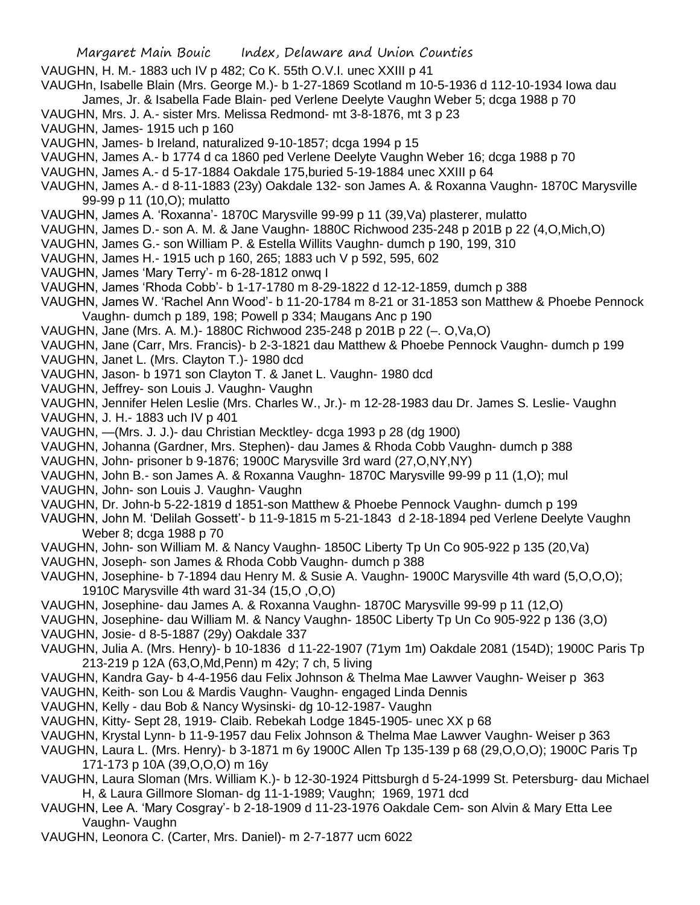- VAUGHN, H. M.- 1883 uch IV p 482; Co K. 55th O.V.I. unec XXIII p 41
- VAUGHn, Isabelle Blain (Mrs. George M.)- b 1-27-1869 Scotland m 10-5-1936 d 112-10-1934 Iowa dau James, Jr. & Isabella Fade Blain- ped Verlene Deelyte Vaughn Weber 5; dcga 1988 p 70
- VAUGHN, Mrs. J. A.- sister Mrs. Melissa Redmond- mt 3-8-1876, mt 3 p 23
- VAUGHN, James- 1915 uch p 160
- VAUGHN, James- b Ireland, naturalized 9-10-1857; dcga 1994 p 15
- VAUGHN, James A.- b 1774 d ca 1860 ped Verlene Deelyte Vaughn Weber 16; dcga 1988 p 70
- VAUGHN, James A.- d 5-17-1884 Oakdale 175,buried 5-19-1884 unec XXIII p 64
- VAUGHN, James A.- d 8-11-1883 (23y) Oakdale 132- son James A. & Roxanna Vaughn- 1870C Marysville 99-99 p 11 (10,O); mulatto
- VAUGHN, James A. 'Roxanna'- 1870C Marysville 99-99 p 11 (39,Va) plasterer, mulatto
- VAUGHN, James D.- son A. M. & Jane Vaughn- 1880C Richwood 235-248 p 201B p 22 (4,O,Mich,O)
- VAUGHN, James G.- son William P. & Estella Willits Vaughn- dumch p 190, 199, 310
- VAUGHN, James H.- 1915 uch p 160, 265; 1883 uch V p 592, 595, 602
- VAUGHN, James 'Mary Terry'- m 6-28-1812 onwq I
- VAUGHN, James 'Rhoda Cobb'- b 1-17-1780 m 8-29-1822 d 12-12-1859, dumch p 388
- VAUGHN, James W. 'Rachel Ann Wood'- b 11-20-1784 m 8-21 or 31-1853 son Matthew & Phoebe Pennock Vaughn- dumch p 189, 198; Powell p 334; Maugans Anc p 190
- VAUGHN, Jane (Mrs. A. M.)- 1880C Richwood 235-248 p 201B p 22 (–. O,Va,O)
- VAUGHN, Jane (Carr, Mrs. Francis)- b 2-3-1821 dau Matthew & Phoebe Pennock Vaughn- dumch p 199
- VAUGHN, Janet L. (Mrs. Clayton T.)- 1980 dcd
- VAUGHN, Jason- b 1971 son Clayton T. & Janet L. Vaughn- 1980 dcd
- VAUGHN, Jeffrey- son Louis J. Vaughn- Vaughn
- VAUGHN, Jennifer Helen Leslie (Mrs. Charles W., Jr.)- m 12-28-1983 dau Dr. James S. Leslie- Vaughn
- VAUGHN, J. H.- 1883 uch IV p 401
- VAUGHN, —(Mrs. J. J.)- dau Christian Mecktley- dcga 1993 p 28 (dg 1900)
- VAUGHN, Johanna (Gardner, Mrs. Stephen)- dau James & Rhoda Cobb Vaughn- dumch p 388
- VAUGHN, John- prisoner b 9-1876; 1900C Marysville 3rd ward (27,O,NY,NY)
- VAUGHN, John B.- son James A. & Roxanna Vaughn- 1870C Marysville 99-99 p 11 (1,O); mul
- VAUGHN, John- son Louis J. Vaughn- Vaughn
- VAUGHN, Dr. John-b 5-22-1819 d 1851-son Matthew & Phoebe Pennock Vaughn- dumch p 199
- VAUGHN, John M. 'Delilah Gossett'- b 11-9-1815 m 5-21-1843 d 2-18-1894 ped Verlene Deelyte Vaughn Weber 8; dcga 1988 p 70
- VAUGHN, John- son William M. & Nancy Vaughn- 1850C Liberty Tp Un Co 905-922 p 135 (20,Va)
- VAUGHN, Joseph- son James & Rhoda Cobb Vaughn- dumch p 388
- VAUGHN, Josephine- b 7-1894 dau Henry M. & Susie A. Vaughn- 1900C Marysville 4th ward (5,O,O,O); 1910C Marysville 4th ward 31-34 (15,O ,O,O)
- VAUGHN, Josephine- dau James A. & Roxanna Vaughn- 1870C Marysville 99-99 p 11 (12,O)
- VAUGHN, Josephine- dau William M. & Nancy Vaughn- 1850C Liberty Tp Un Co 905-922 p 136 (3,O)
- VAUGHN, Josie- d 8-5-1887 (29y) Oakdale 337
- VAUGHN, Julia A. (Mrs. Henry)- b 10-1836 d 11-22-1907 (71ym 1m) Oakdale 2081 (154D); 1900C Paris Tp 213-219 p 12A (63,O,Md,Penn) m 42y; 7 ch, 5 living
- VAUGHN, Kandra Gay- b 4-4-1956 dau Felix Johnson & Thelma Mae Lawver Vaughn- Weiser p 363
- VAUGHN, Keith- son Lou & Mardis Vaughn- Vaughn- engaged Linda Dennis
- VAUGHN, Kelly dau Bob & Nancy Wysinski- dg 10-12-1987- Vaughn
- VAUGHN, Kitty- Sept 28, 1919- Claib. Rebekah Lodge 1845-1905- unec XX p 68
- VAUGHN, Krystal Lynn- b 11-9-1957 dau Felix Johnson & Thelma Mae Lawver Vaughn- Weiser p 363
- VAUGHN, Laura L. (Mrs. Henry)- b 3-1871 m 6y 1900C Allen Tp 135-139 p 68 (29,O,O,O); 1900C Paris Tp 171-173 p 10A (39,O,O,O) m 16y
- VAUGHN, Laura Sloman (Mrs. William K.)- b 12-30-1924 Pittsburgh d 5-24-1999 St. Petersburg- dau Michael H, & Laura Gillmore Sloman- dg 11-1-1989; Vaughn; 1969, 1971 dcd
- VAUGHN, Lee A. 'Mary Cosgray'- b 2-18-1909 d 11-23-1976 Oakdale Cem- son Alvin & Mary Etta Lee Vaughn- Vaughn
- VAUGHN, Leonora C. (Carter, Mrs. Daniel)- m 2-7-1877 ucm 6022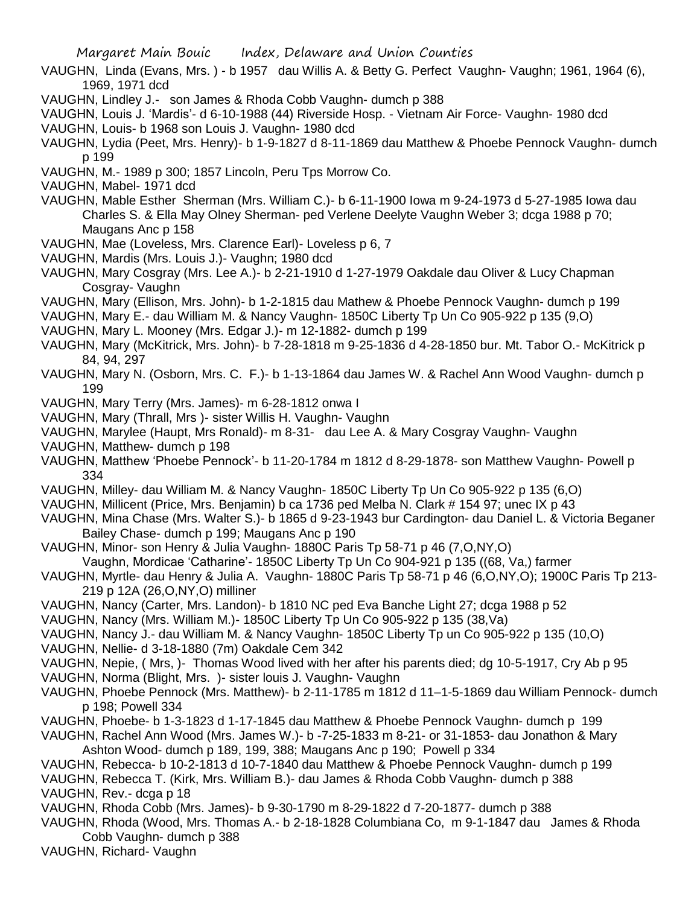VAUGHN, Linda (Evans, Mrs. ) - b 1957 dau Willis A. & Betty G. Perfect Vaughn- Vaughn; 1961, 1964 (6), 1969, 1971 dcd

VAUGHN, Lindley J.- son James & Rhoda Cobb Vaughn- dumch p 388

VAUGHN, Louis J. 'Mardis'- d 6-10-1988 (44) Riverside Hosp. - Vietnam Air Force- Vaughn- 1980 dcd

VAUGHN, Louis- b 1968 son Louis J. Vaughn- 1980 dcd

VAUGHN, Lydia (Peet, Mrs. Henry)- b 1-9-1827 d 8-11-1869 dau Matthew & Phoebe Pennock Vaughn- dumch p 199

- VAUGHN, M.- 1989 p 300; 1857 Lincoln, Peru Tps Morrow Co.
- VAUGHN, Mabel- 1971 dcd
- VAUGHN, Mable Esther Sherman (Mrs. William C.)- b 6-11-1900 Iowa m 9-24-1973 d 5-27-1985 Iowa dau Charles S. & Ella May Olney Sherman- ped Verlene Deelyte Vaughn Weber 3; dcga 1988 p 70; Maugans Anc p 158
- VAUGHN, Mae (Loveless, Mrs. Clarence Earl)- Loveless p 6, 7
- VAUGHN, Mardis (Mrs. Louis J.)- Vaughn; 1980 dcd
- VAUGHN, Mary Cosgray (Mrs. Lee A.)- b 2-21-1910 d 1-27-1979 Oakdale dau Oliver & Lucy Chapman Cosgray- Vaughn
- VAUGHN, Mary (Ellison, Mrs. John)- b 1-2-1815 dau Mathew & Phoebe Pennock Vaughn- dumch p 199
- VAUGHN, Mary E.- dau William M. & Nancy Vaughn- 1850C Liberty Tp Un Co 905-922 p 135 (9,O)
- VAUGHN, Mary L. Mooney (Mrs. Edgar J.)- m 12-1882- dumch p 199
- VAUGHN, Mary (McKitrick, Mrs. John)- b 7-28-1818 m 9-25-1836 d 4-28-1850 bur. Mt. Tabor O.- McKitrick p 84, 94, 297
- VAUGHN, Mary N. (Osborn, Mrs. C. F.)- b 1-13-1864 dau James W. & Rachel Ann Wood Vaughn- dumch p 199
- VAUGHN, Mary Terry (Mrs. James)- m 6-28-1812 onwa I
- VAUGHN, Mary (Thrall, Mrs )- sister Willis H. Vaughn- Vaughn
- VAUGHN, Marylee (Haupt, Mrs Ronald)- m 8-31- dau Lee A. & Mary Cosgray Vaughn- Vaughn
- VAUGHN, Matthew- dumch p 198
- VAUGHN, Matthew 'Phoebe Pennock'- b 11-20-1784 m 1812 d 8-29-1878- son Matthew Vaughn- Powell p 334
- VAUGHN, Milley- dau William M. & Nancy Vaughn- 1850C Liberty Tp Un Co 905-922 p 135 (6,O)
- VAUGHN, Millicent (Price, Mrs. Benjamin) b ca 1736 ped Melba N. Clark # 154 97; unec IX p 43
- VAUGHN, Mina Chase (Mrs. Walter S.)- b 1865 d 9-23-1943 bur Cardington- dau Daniel L. & Victoria Beganer Bailey Chase- dumch p 199; Maugans Anc p 190
- VAUGHN, Minor- son Henry & Julia Vaughn- 1880C Paris Tp 58-71 p 46 (7,O,NY,O) Vaughn, Mordicae 'Catharine'- 1850C Liberty Tp Un Co 904-921 p 135 ((68, Va,) farmer
- VAUGHN, Myrtle- dau Henry & Julia A. Vaughn- 1880C Paris Tp 58-71 p 46 (6,O,NY,O); 1900C Paris Tp 213- 219 p 12A (26,O,NY,O) milliner
- VAUGHN, Nancy (Carter, Mrs. Landon)- b 1810 NC ped Eva Banche Light 27; dcga 1988 p 52
- VAUGHN, Nancy (Mrs. William M.)- 1850C Liberty Tp Un Co 905-922 p 135 (38,Va)
- VAUGHN, Nancy J.- dau William M. & Nancy Vaughn- 1850C Liberty Tp un Co 905-922 p 135 (10,O)
- VAUGHN, Nellie- d 3-18-1880 (7m) Oakdale Cem 342
- VAUGHN, Nepie, ( Mrs, )- Thomas Wood lived with her after his parents died; dg 10-5-1917, Cry Ab p 95
- VAUGHN, Norma (Blight, Mrs. )- sister louis J. Vaughn- Vaughn
- VAUGHN, Phoebe Pennock (Mrs. Matthew)- b 2-11-1785 m 1812 d 11–1-5-1869 dau William Pennock- dumch p 198; Powell 334
- VAUGHN, Phoebe- b 1-3-1823 d 1-17-1845 dau Matthew & Phoebe Pennock Vaughn- dumch p 199
- VAUGHN, Rachel Ann Wood (Mrs. James W.)- b -7-25-1833 m 8-21- or 31-1853- dau Jonathon & Mary Ashton Wood- dumch p 189, 199, 388; Maugans Anc p 190; Powell p 334
- VAUGHN, Rebecca- b 10-2-1813 d 10-7-1840 dau Matthew & Phoebe Pennock Vaughn- dumch p 199
- VAUGHN, Rebecca T. (Kirk, Mrs. William B.)- dau James & Rhoda Cobb Vaughn- dumch p 388 VAUGHN, Rev.- dcga p 18
- VAUGHN, Rhoda Cobb (Mrs. James)- b 9-30-1790 m 8-29-1822 d 7-20-1877- dumch p 388
- VAUGHN, Rhoda (Wood, Mrs. Thomas A.- b 2-18-1828 Columbiana Co, m 9-1-1847 dau James & Rhoda Cobb Vaughn- dumch p 388
- VAUGHN, Richard- Vaughn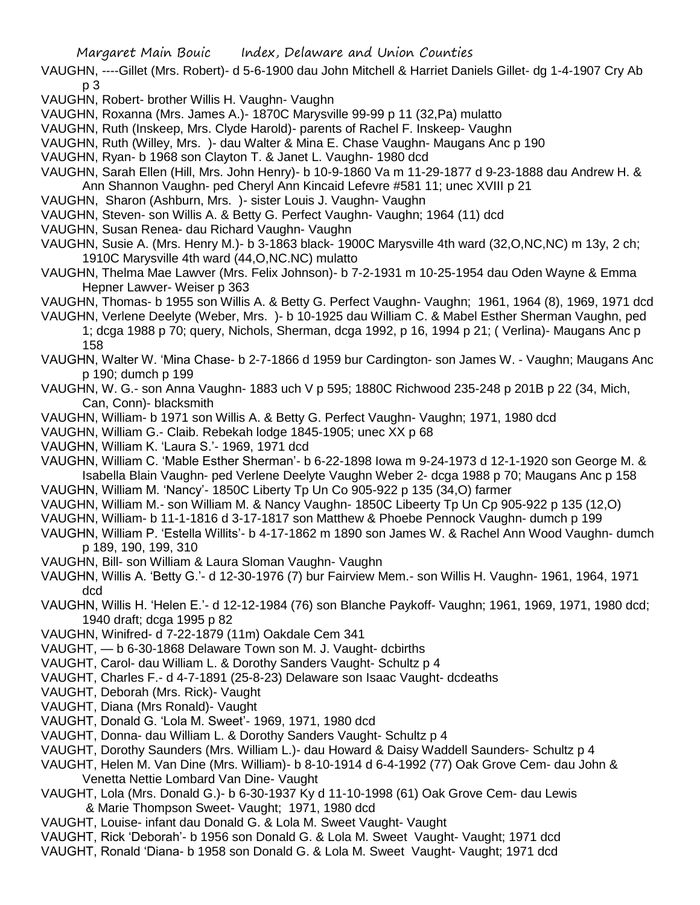- VAUGHN, ----Gillet (Mrs. Robert)- d 5-6-1900 dau John Mitchell & Harriet Daniels Gillet- dg 1-4-1907 Cry Ab p 3
- VAUGHN, Robert- brother Willis H. Vaughn- Vaughn
- VAUGHN, Roxanna (Mrs. James A.)- 1870C Marysville 99-99 p 11 (32,Pa) mulatto
- VAUGHN, Ruth (Inskeep, Mrs. Clyde Harold)- parents of Rachel F. Inskeep- Vaughn
- VAUGHN, Ruth (Willey, Mrs. )- dau Walter & Mina E. Chase Vaughn- Maugans Anc p 190
- VAUGHN, Ryan- b 1968 son Clayton T. & Janet L. Vaughn- 1980 dcd
- VAUGHN, Sarah Ellen (Hill, Mrs. John Henry)- b 10-9-1860 Va m 11-29-1877 d 9-23-1888 dau Andrew H. & Ann Shannon Vaughn- ped Cheryl Ann Kincaid Lefevre #581 11; unec XVIII p 21
- VAUGHN, Sharon (Ashburn, Mrs. )- sister Louis J. Vaughn- Vaughn
- VAUGHN, Steven- son Willis A. & Betty G. Perfect Vaughn- Vaughn; 1964 (11) dcd
- VAUGHN, Susan Renea- dau Richard Vaughn- Vaughn
- VAUGHN, Susie A. (Mrs. Henry M.)- b 3-1863 black- 1900C Marysville 4th ward (32,O,NC,NC) m 13y, 2 ch; 1910C Marysville 4th ward (44,O,NC.NC) mulatto
- VAUGHN, Thelma Mae Lawver (Mrs. Felix Johnson)- b 7-2-1931 m 10-25-1954 dau Oden Wayne & Emma Hepner Lawver- Weiser p 363
- VAUGHN, Thomas- b 1955 son Willis A. & Betty G. Perfect Vaughn- Vaughn; 1961, 1964 (8), 1969, 1971 dcd
- VAUGHN, Verlene Deelyte (Weber, Mrs. )- b 10-1925 dau William C. & Mabel Esther Sherman Vaughn, ped 1; dcga 1988 p 70; query, Nichols, Sherman, dcga 1992, p 16, 1994 p 21; ( Verlina)- Maugans Anc p 158
- VAUGHN, Walter W. 'Mina Chase- b 2-7-1866 d 1959 bur Cardington- son James W. Vaughn; Maugans Anc p 190; dumch p 199
- VAUGHN, W. G.- son Anna Vaughn- 1883 uch V p 595; 1880C Richwood 235-248 p 201B p 22 (34, Mich, Can, Conn)- blacksmith
- VAUGHN, William- b 1971 son Willis A. & Betty G. Perfect Vaughn- Vaughn; 1971, 1980 dcd
- VAUGHN, William G.- Claib. Rebekah lodge 1845-1905; unec XX p 68
- VAUGHN, William K. 'Laura S.'- 1969, 1971 dcd
- VAUGHN, William C. 'Mable Esther Sherman'- b 6-22-1898 Iowa m 9-24-1973 d 12-1-1920 son George M. & Isabella Blain Vaughn- ped Verlene Deelyte Vaughn Weber 2- dcga 1988 p 70; Maugans Anc p 158
- VAUGHN, William M. 'Nancy'- 1850C Liberty Tp Un Co 905-922 p 135 (34,O) farmer
- VAUGHN, William M.- son William M. & Nancy Vaughn- 1850C Libeerty Tp Un Cp 905-922 p 135 (12,O)
- VAUGHN, William- b 11-1-1816 d 3-17-1817 son Matthew & Phoebe Pennock Vaughn- dumch p 199
- VAUGHN, William P. 'Estella Willits'- b 4-17-1862 m 1890 son James W. & Rachel Ann Wood Vaughn- dumch p 189, 190, 199, 310
- VAUGHN, Bill- son William & Laura Sloman Vaughn- Vaughn
- VAUGHN, Willis A. 'Betty G.'- d 12-30-1976 (7) bur Fairview Mem.- son Willis H. Vaughn- 1961, 1964, 1971 dcd
- VAUGHN, Willis H. 'Helen E.'- d 12-12-1984 (76) son Blanche Paykoff- Vaughn; 1961, 1969, 1971, 1980 dcd; 1940 draft; dcga 1995 p 82
- VAUGHN, Winifred- d 7-22-1879 (11m) Oakdale Cem 341
- VAUGHT, b 6-30-1868 Delaware Town son M. J. Vaught- dcbirths
- VAUGHT, Carol- dau William L. & Dorothy Sanders Vaught- Schultz p 4
- VAUGHT, Charles F.- d 4-7-1891 (25-8-23) Delaware son Isaac Vaught- dcdeaths
- VAUGHT, Deborah (Mrs. Rick)- Vaught
- VAUGHT, Diana (Mrs Ronald)- Vaught
- VAUGHT, Donald G. 'Lola M. Sweet'- 1969, 1971, 1980 dcd
- VAUGHT, Donna- dau William L. & Dorothy Sanders Vaught- Schultz p 4
- VAUGHT, Dorothy Saunders (Mrs. William L.)- dau Howard & Daisy Waddell Saunders- Schultz p 4
- VAUGHT, Helen M. Van Dine (Mrs. William)- b 8-10-1914 d 6-4-1992 (77) Oak Grove Cem- dau John & Venetta Nettie Lombard Van Dine- Vaught
- VAUGHT, Lola (Mrs. Donald G.)- b 6-30-1937 Ky d 11-10-1998 (61) Oak Grove Cem- dau Lewis & Marie Thompson Sweet- Vaught; 1971, 1980 dcd
- VAUGHT, Louise- infant dau Donald G. & Lola M. Sweet Vaught- Vaught
- VAUGHT, Rick 'Deborah'- b 1956 son Donald G. & Lola M. Sweet Vaught- Vaught; 1971 dcd
- VAUGHT, Ronald 'Diana- b 1958 son Donald G. & Lola M. Sweet Vaught- Vaught; 1971 dcd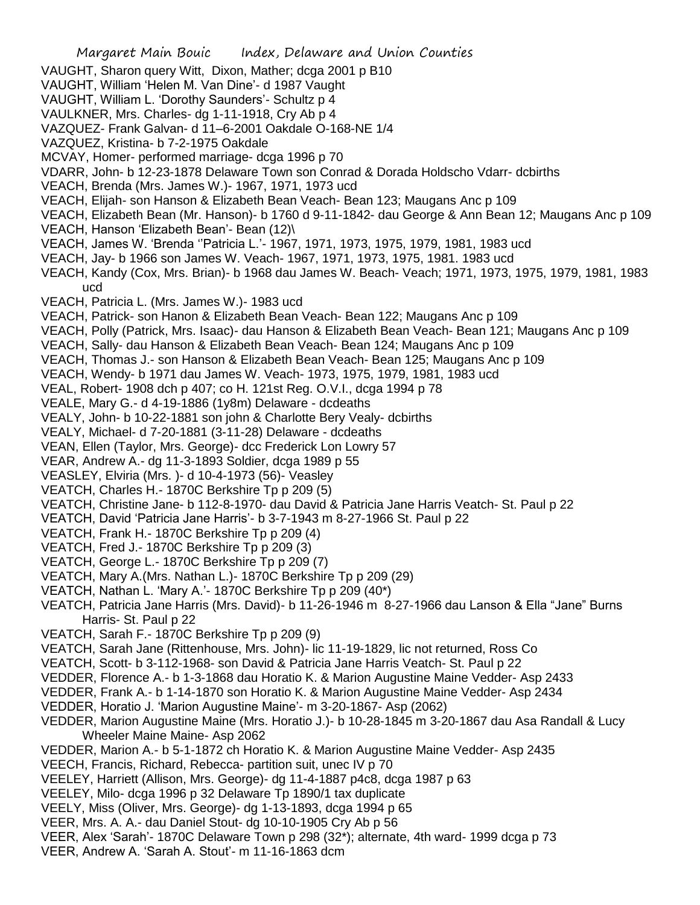- Margaret Main Bouic Index, Delaware and Union Counties VAUGHT, Sharon query Witt, Dixon, Mather; dcga 2001 p B10 VAUGHT, William 'Helen M. Van Dine'- d 1987 Vaught VAUGHT, William L. 'Dorothy Saunders'- Schultz p 4 VAULKNER, Mrs. Charles- dg 1-11-1918, Cry Ab p 4 VAZQUEZ- Frank Galvan- d 11–6-2001 Oakdale O-168-NE 1/4 VAZQUEZ, Kristina- b 7-2-1975 Oakdale MCVAY, Homer- performed marriage- dcga 1996 p 70 VDARR, John- b 12-23-1878 Delaware Town son Conrad & Dorada Holdscho Vdarr- dcbirths VEACH, Brenda (Mrs. James W.)- 1967, 1971, 1973 ucd VEACH, Elijah- son Hanson & Elizabeth Bean Veach- Bean 123; Maugans Anc p 109 VEACH, Elizabeth Bean (Mr. Hanson)- b 1760 d 9-11-1842- dau George & Ann Bean 12; Maugans Anc p 109 VEACH, Hanson 'Elizabeth Bean'- Bean (12)\ VEACH, James W. 'Brenda ''Patricia L.'- 1967, 1971, 1973, 1975, 1979, 1981, 1983 ucd VEACH, Jay- b 1966 son James W. Veach- 1967, 1971, 1973, 1975, 1981. 1983 ucd VEACH, Kandy (Cox, Mrs. Brian)- b 1968 dau James W. Beach- Veach; 1971, 1973, 1975, 1979, 1981, 1983 ucd VEACH, Patricia L. (Mrs. James W.)- 1983 ucd VEACH, Patrick- son Hanon & Elizabeth Bean Veach- Bean 122; Maugans Anc p 109 VEACH, Polly (Patrick, Mrs. Isaac)- dau Hanson & Elizabeth Bean Veach- Bean 121; Maugans Anc p 109 VEACH, Sally- dau Hanson & Elizabeth Bean Veach- Bean 124; Maugans Anc p 109 VEACH, Thomas J.- son Hanson & Elizabeth Bean Veach- Bean 125; Maugans Anc p 109 VEACH, Wendy- b 1971 dau James W. Veach- 1973, 1975, 1979, 1981, 1983 ucd VEAL, Robert- 1908 dch p 407; co H. 121st Reg. O.V.I., dcga 1994 p 78 VEALE, Mary G.- d 4-19-1886 (1y8m) Delaware - dcdeaths VEALY, John- b 10-22-1881 son john & Charlotte Bery Vealy- dcbirths VEALY, Michael- d 7-20-1881 (3-11-28) Delaware - dcdeaths VEAN, Ellen (Taylor, Mrs. George)- dcc Frederick Lon Lowry 57 VEAR, Andrew A.- dg 11-3-1893 Soldier, dcga 1989 p 55 VEASLEY, Elviria (Mrs. )- d 10-4-1973 (56)- Veasley VEATCH, Charles H.- 1870C Berkshire Tp p 209 (5) VEATCH, Christine Jane- b 112-8-1970- dau David & Patricia Jane Harris Veatch- St. Paul p 22 VEATCH, David 'Patricia Jane Harris'- b 3-7-1943 m 8-27-1966 St. Paul p 22 VEATCH, Frank H.- 1870C Berkshire Tp p 209 (4) VEATCH, Fred J.- 1870C Berkshire Tp p 209 (3) VEATCH, George L.- 1870C Berkshire Tp p 209 (7) VEATCH, Mary A.(Mrs. Nathan L.)- 1870C Berkshire Tp p 209 (29) VEATCH, Nathan L. 'Mary A.'- 1870C Berkshire Tp p 209 (40\*) VEATCH, Patricia Jane Harris (Mrs. David)- b 11-26-1946 m 8-27-1966 dau Lanson & Ella "Jane" Burns Harris- St. Paul p 22 VEATCH, Sarah F.- 1870C Berkshire Tp p 209 (9) VEATCH, Sarah Jane (Rittenhouse, Mrs. John)- lic 11-19-1829, lic not returned, Ross Co VEATCH, Scott- b 3-112-1968- son David & Patricia Jane Harris Veatch- St. Paul p 22 VEDDER, Florence A.- b 1-3-1868 dau Horatio K. & Marion Augustine Maine Vedder- Asp 2433 VEDDER, Frank A.- b 1-14-1870 son Horatio K. & Marion Augustine Maine Vedder- Asp 2434 VEDDER, Horatio J. 'Marion Augustine Maine'- m 3-20-1867- Asp (2062) VEDDER, Marion Augustine Maine (Mrs. Horatio J.)- b 10-28-1845 m 3-20-1867 dau Asa Randall & Lucy Wheeler Maine Maine- Asp 2062 VEDDER, Marion A.- b 5-1-1872 ch Horatio K. & Marion Augustine Maine Vedder- Asp 2435 VEECH, Francis, Richard, Rebecca- partition suit, unec IV p 70 VEELEY, Harriett (Allison, Mrs. George)- dg 11-4-1887 p4c8, dcga 1987 p 63 VEELEY, Milo- dcga 1996 p 32 Delaware Tp 1890/1 tax duplicate VEELY, Miss (Oliver, Mrs. George)- dg 1-13-1893, dcga 1994 p 65 VEER, Mrs. A. A.- dau Daniel Stout- dg 10-10-1905 Cry Ab p 56 VEER, Alex 'Sarah'- 1870C Delaware Town p 298 (32\*); alternate, 4th ward- 1999 dcga p 73
	- VEER, Andrew A. 'Sarah A. Stout'- m 11-16-1863 dcm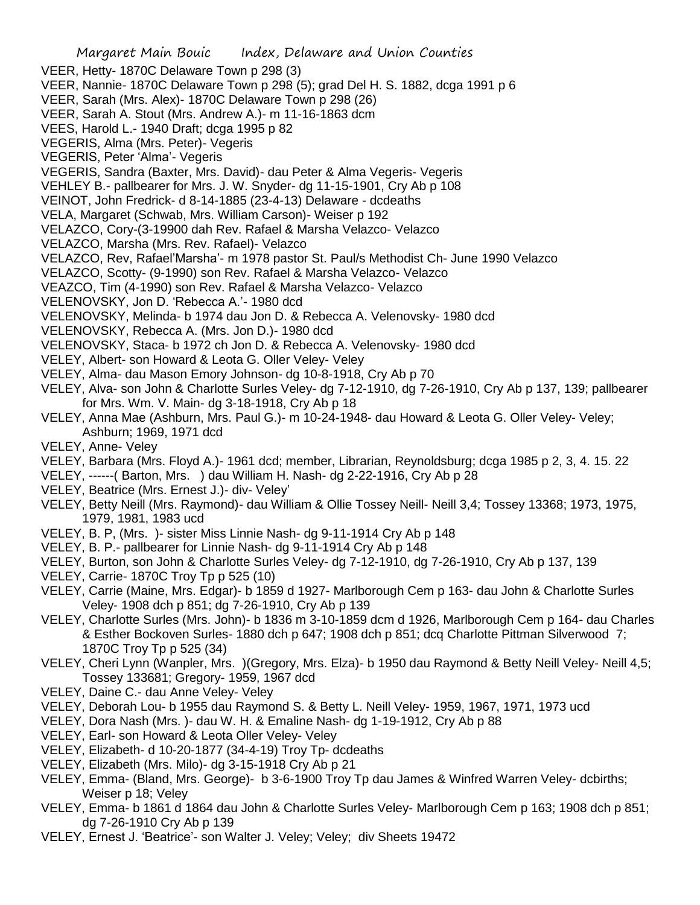- Margaret Main Bouic Index, Delaware and Union Counties VEER, Hetty- 1870C Delaware Town p 298 (3) VEER, Nannie- 1870C Delaware Town p 298 (5); grad Del H. S. 1882, dcga 1991 p 6 VEER, Sarah (Mrs. Alex)- 1870C Delaware Town p 298 (26) VEER, Sarah A. Stout (Mrs. Andrew A.)- m 11-16-1863 dcm VEES, Harold L.- 1940 Draft; dcga 1995 p 82 VEGERIS, Alma (Mrs. Peter)- Vegeris VEGERIS, Peter 'Alma'- Vegeris VEGERIS, Sandra (Baxter, Mrs. David)- dau Peter & Alma Vegeris- Vegeris VEHLEY B.- pallbearer for Mrs. J. W. Snyder- dg 11-15-1901, Cry Ab p 108 VEINOT, John Fredrick- d 8-14-1885 (23-4-13) Delaware - dcdeaths VELA, Margaret (Schwab, Mrs. William Carson)- Weiser p 192 VELAZCO, Cory-(3-19900 dah Rev. Rafael & Marsha Velazco- Velazco VELAZCO, Marsha (Mrs. Rev. Rafael)- Velazco VELAZCO, Rev, Rafael'Marsha'- m 1978 pastor St. Paul/s Methodist Ch- June 1990 Velazco VELAZCO, Scotty- (9-1990) son Rev. Rafael & Marsha Velazco- Velazco VEAZCO, Tim (4-1990) son Rev. Rafael & Marsha Velazco- Velazco VELENOVSKY, Jon D. 'Rebecca A.'- 1980 dcd VELENOVSKY, Melinda- b 1974 dau Jon D. & Rebecca A. Velenovsky- 1980 dcd VELENOVSKY, Rebecca A. (Mrs. Jon D.)- 1980 dcd VELENOVSKY, Staca- b 1972 ch Jon D. & Rebecca A. Velenovsky- 1980 dcd VELEY, Albert- son Howard & Leota G. Oller Veley- Veley VELEY, Alma- dau Mason Emory Johnson- dg 10-8-1918, Cry Ab p 70 VELEY, Alva- son John & Charlotte Surles Veley- dg 7-12-1910, dg 7-26-1910, Cry Ab p 137, 139; pallbearer for Mrs. Wm. V. Main- dg 3-18-1918, Cry Ab p 18 VELEY, Anna Mae (Ashburn, Mrs. Paul G.)- m 10-24-1948- dau Howard & Leota G. Oller Veley- Veley; Ashburn; 1969, 1971 dcd VELEY, Anne- Veley VELEY, Barbara (Mrs. Floyd A.)- 1961 dcd; member, Librarian, Reynoldsburg; dcga 1985 p 2, 3, 4. 15. 22 VELEY, ------( Barton, Mrs. ) dau William H. Nash- dg 2-22-1916, Cry Ab p 28 VELEY, Beatrice (Mrs. Ernest J.)- div- Veley' VELEY, Betty Neill (Mrs. Raymond)- dau William & Ollie Tossey Neill- Neill 3,4; Tossey 13368; 1973, 1975, 1979, 1981, 1983 ucd VELEY, B. P, (Mrs. )- sister Miss Linnie Nash- dg 9-11-1914 Cry Ab p 148 VELEY, B. P.- pallbearer for Linnie Nash- dg 9-11-1914 Cry Ab p 148 VELEY, Burton, son John & Charlotte Surles Veley- dg 7-12-1910, dg 7-26-1910, Cry Ab p 137, 139 VELEY, Carrie- 1870C Troy Tp p 525 (10) VELEY, Carrie (Maine, Mrs. Edgar)- b 1859 d 1927- Marlborough Cem p 163- dau John & Charlotte Surles Veley- 1908 dch p 851; dg 7-26-1910, Cry Ab p 139 VELEY, Charlotte Surles (Mrs. John)- b 1836 m 3-10-1859 dcm d 1926, Marlborough Cem p 164- dau Charles & Esther Bockoven Surles- 1880 dch p 647; 1908 dch p 851; dcq Charlotte Pittman Silverwood 7; 1870C Troy Tp p 525 (34) VELEY, Cheri Lynn (Wanpler, Mrs. )(Gregory, Mrs. Elza)- b 1950 dau Raymond & Betty Neill Veley- Neill 4,5; Tossey 133681; Gregory- 1959, 1967 dcd VELEY, Daine C.- dau Anne Veley- Veley VELEY, Deborah Lou- b 1955 dau Raymond S. & Betty L. Neill Veley- 1959, 1967, 1971, 1973 ucd VELEY, Dora Nash (Mrs. )- dau W. H. & Emaline Nash- dg 1-19-1912, Cry Ab p 88
- VELEY, Earl- son Howard & Leota Oller Veley- Veley
- VELEY, Elizabeth- d 10-20-1877 (34-4-19) Troy Tp- dcdeaths
- VELEY, Elizabeth (Mrs. Milo)- dg 3-15-1918 Cry Ab p 21
- VELEY, Emma- (Bland, Mrs. George)- b 3-6-1900 Troy Tp dau James & Winfred Warren Veley- dcbirths; Weiser p 18; Veley
- VELEY, Emma- b 1861 d 1864 dau John & Charlotte Surles Veley- Marlborough Cem p 163; 1908 dch p 851; dg 7-26-1910 Cry Ab p 139
- VELEY, Ernest J. 'Beatrice'- son Walter J. Veley; Veley; div Sheets 19472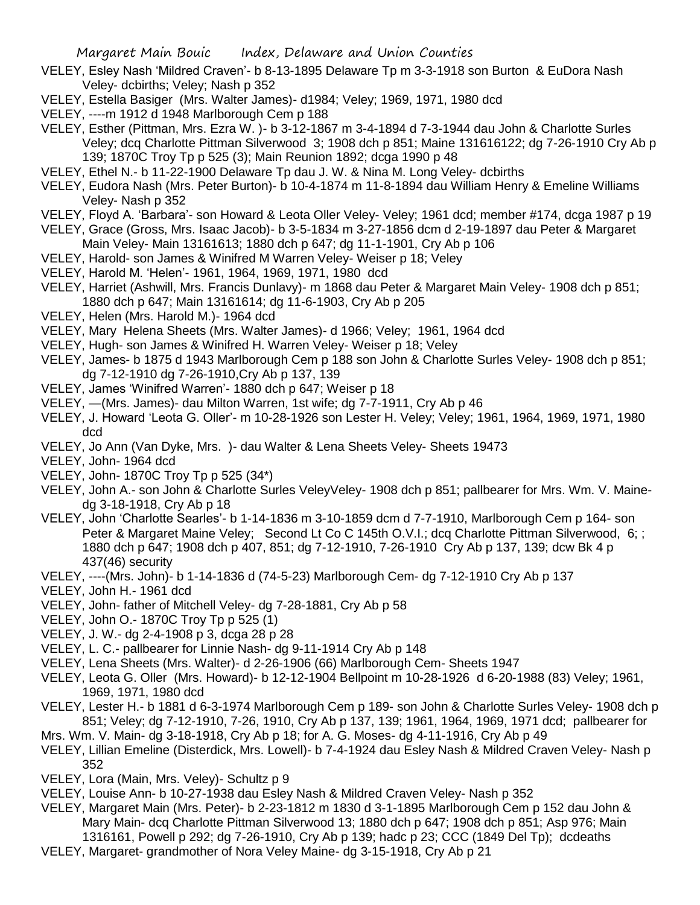- VELEY, Esley Nash 'Mildred Craven'- b 8-13-1895 Delaware Tp m 3-3-1918 son Burton & EuDora Nash Veley- dcbirths; Veley; Nash p 352
- VELEY, Estella Basiger (Mrs. Walter James)- d1984; Veley; 1969, 1971, 1980 dcd
- VELEY, ----m 1912 d 1948 Marlborough Cem p 188
- VELEY, Esther (Pittman, Mrs. Ezra W. )- b 3-12-1867 m 3-4-1894 d 7-3-1944 dau John & Charlotte Surles Veley; dcq Charlotte Pittman Silverwood 3; 1908 dch p 851; Maine 131616122; dg 7-26-1910 Cry Ab p 139; 1870C Troy Tp p 525 (3); Main Reunion 1892; dcga 1990 p 48
- VELEY, Ethel N.- b 11-22-1900 Delaware Tp dau J. W. & Nina M. Long Veley- dcbirths
- VELEY, Eudora Nash (Mrs. Peter Burton)- b 10-4-1874 m 11-8-1894 dau William Henry & Emeline Williams Veley- Nash p 352
- VELEY, Floyd A. 'Barbara'- son Howard & Leota Oller Veley- Veley; 1961 dcd; member #174, dcga 1987 p 19
- VELEY, Grace (Gross, Mrs. Isaac Jacob)- b 3-5-1834 m 3-27-1856 dcm d 2-19-1897 dau Peter & Margaret Main Veley- Main 13161613; 1880 dch p 647; dg 11-1-1901, Cry Ab p 106
- VELEY, Harold- son James & Winifred M Warren Veley- Weiser p 18; Veley
- VELEY, Harold M. 'Helen'- 1961, 1964, 1969, 1971, 1980 dcd
- VELEY, Harriet (Ashwill, Mrs. Francis Dunlavy)- m 1868 dau Peter & Margaret Main Veley- 1908 dch p 851; 1880 dch p 647; Main 13161614; dg 11-6-1903, Cry Ab p 205
- VELEY, Helen (Mrs. Harold M.)- 1964 dcd
- VELEY, Mary Helena Sheets (Mrs. Walter James)- d 1966; Veley; 1961, 1964 dcd
- VELEY, Hugh- son James & Winifred H. Warren Veley- Weiser p 18; Veley
- VELEY, James- b 1875 d 1943 Marlborough Cem p 188 son John & Charlotte Surles Veley- 1908 dch p 851; dg 7-12-1910 dg 7-26-1910,Cry Ab p 137, 139
- VELEY, James 'Winifred Warren'- 1880 dch p 647; Weiser p 18
- VELEY, —(Mrs. James)- dau Milton Warren, 1st wife; dg 7-7-1911, Cry Ab p 46
- VELEY, J. Howard 'Leota G. Oller'- m 10-28-1926 son Lester H. Veley; Veley; 1961, 1964, 1969, 1971, 1980 dcd
- VELEY, Jo Ann (Van Dyke, Mrs. )- dau Walter & Lena Sheets Veley- Sheets 19473
- VELEY, John- 1964 dcd
- VELEY, John- 1870C Troy Tp p 525 (34\*)
- VELEY, John A.- son John & Charlotte Surles VeleyVeley- 1908 dch p 851; pallbearer for Mrs. Wm. V. Mainedg 3-18-1918, Cry Ab p 18
- VELEY, John 'Charlotte Searles'- b 1-14-1836 m 3-10-1859 dcm d 7-7-1910, Marlborough Cem p 164- son Peter & Margaret Maine Veley; Second Lt Co C 145th O.V.I.; dcg Charlotte Pittman Silverwood, 6; ; 1880 dch p 647; 1908 dch p 407, 851; dg 7-12-1910, 7-26-1910 Cry Ab p 137, 139; dcw Bk 4 p 437(46) security
- VELEY, ----(Mrs. John)- b 1-14-1836 d (74-5-23) Marlborough Cem- dg 7-12-1910 Cry Ab p 137
- VELEY, John H.- 1961 dcd
- VELEY, John- father of Mitchell Veley- dg 7-28-1881, Cry Ab p 58
- VELEY, John O.- 1870C Troy Tp p 525 (1)
- VELEY, J. W.- dg 2-4-1908 p 3, dcga 28 p 28
- VELEY, L. C.- pallbearer for Linnie Nash- dg 9-11-1914 Cry Ab p 148
- VELEY, Lena Sheets (Mrs. Walter)- d 2-26-1906 (66) Marlborough Cem- Sheets 1947
- VELEY, Leota G. Oller (Mrs. Howard)- b 12-12-1904 Bellpoint m 10-28-1926 d 6-20-1988 (83) Veley; 1961, 1969, 1971, 1980 dcd
- VELEY, Lester H.- b 1881 d 6-3-1974 Marlborough Cem p 189- son John & Charlotte Surles Veley- 1908 dch p 851; Veley; dg 7-12-1910, 7-26, 1910, Cry Ab p 137, 139; 1961, 1964, 1969, 1971 dcd; pallbearer for
- Mrs. Wm. V. Main- dg 3-18-1918, Cry Ab p 18; for A. G. Moses- dg 4-11-1916, Cry Ab p 49
- VELEY, Lillian Emeline (Disterdick, Mrs. Lowell)- b 7-4-1924 dau Esley Nash & Mildred Craven Veley- Nash p 352
- VELEY, Lora (Main, Mrs. Veley)- Schultz p 9
- VELEY, Louise Ann- b 10-27-1938 dau Esley Nash & Mildred Craven Veley- Nash p 352
- VELEY, Margaret Main (Mrs. Peter)- b 2-23-1812 m 1830 d 3-1-1895 Marlborough Cem p 152 dau John & Mary Main- dcq Charlotte Pittman Silverwood 13; 1880 dch p 647; 1908 dch p 851; Asp 976; Main 1316161, Powell p 292; dg 7-26-1910, Cry Ab p 139; hadc p 23; CCC (1849 Del Tp); dcdeaths
- VELEY, Margaret- grandmother of Nora Veley Maine- dg 3-15-1918, Cry Ab p 21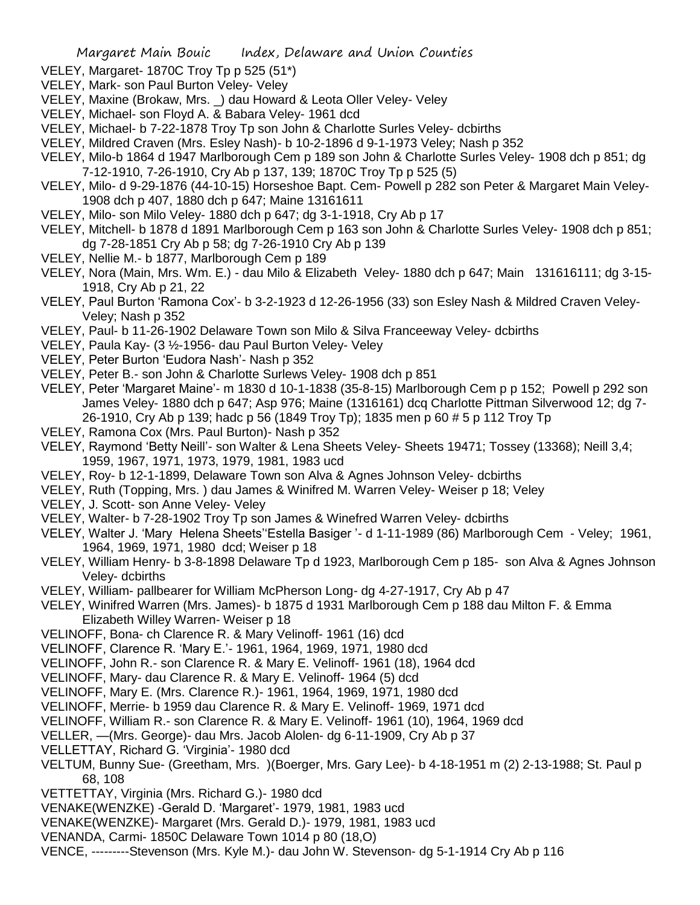- VELEY, Margaret- 1870C Troy Tp p 525 (51\*)
- VELEY, Mark- son Paul Burton Veley- Veley
- VELEY, Maxine (Brokaw, Mrs. \_) dau Howard & Leota Oller Veley- Veley
- VELEY, Michael- son Floyd A. & Babara Veley- 1961 dcd
- VELEY, Michael- b 7-22-1878 Troy Tp son John & Charlotte Surles Veley- dcbirths
- VELEY, Mildred Craven (Mrs. Esley Nash)- b 10-2-1896 d 9-1-1973 Veley; Nash p 352
- VELEY, Milo-b 1864 d 1947 Marlborough Cem p 189 son John & Charlotte Surles Veley- 1908 dch p 851; dg 7-12-1910, 7-26-1910, Cry Ab p 137, 139; 1870C Troy Tp p 525 (5)
- VELEY, Milo- d 9-29-1876 (44-10-15) Horseshoe Bapt. Cem- Powell p 282 son Peter & Margaret Main Veley-1908 dch p 407, 1880 dch p 647; Maine 13161611
- VELEY, Milo- son Milo Veley- 1880 dch p 647; dg 3-1-1918, Cry Ab p 17
- VELEY, Mitchell- b 1878 d 1891 Marlborough Cem p 163 son John & Charlotte Surles Veley- 1908 dch p 851; dg 7-28-1851 Cry Ab p 58; dg 7-26-1910 Cry Ab p 139
- VELEY, Nellie M.- b 1877, Marlborough Cem p 189
- VELEY, Nora (Main, Mrs. Wm. E.) dau Milo & Elizabeth Veley- 1880 dch p 647; Main 131616111; dg 3-15- 1918, Cry Ab p 21, 22
- VELEY, Paul Burton 'Ramona Cox'- b 3-2-1923 d 12-26-1956 (33) son Esley Nash & Mildred Craven Veley-Veley; Nash p 352
- VELEY, Paul- b 11-26-1902 Delaware Town son Milo & Silva Franceeway Veley- dcbirths
- VELEY, Paula Kay- (3 ½-1956- dau Paul Burton Veley- Veley
- VELEY, Peter Burton 'Eudora Nash'- Nash p 352
- VELEY, Peter B.- son John & Charlotte Surlews Veley- 1908 dch p 851
- VELEY, Peter 'Margaret Maine'- m 1830 d 10-1-1838 (35-8-15) Marlborough Cem p p 152; Powell p 292 son James Veley- 1880 dch p 647; Asp 976; Maine (1316161) dcq Charlotte Pittman Silverwood 12; dg 7- 26-1910, Cry Ab p 139; hadc p 56 (1849 Troy Tp); 1835 men p 60 # 5 p 112 Troy Tp
- VELEY, Ramona Cox (Mrs. Paul Burton)- Nash p 352
- VELEY, Raymond 'Betty Neill'- son Walter & Lena Sheets Veley- Sheets 19471; Tossey (13368); Neill 3,4; 1959, 1967, 1971, 1973, 1979, 1981, 1983 ucd
- VELEY, Roy- b 12-1-1899, Delaware Town son Alva & Agnes Johnson Veley- dcbirths
- VELEY, Ruth (Topping, Mrs. ) dau James & Winifred M. Warren Veley- Weiser p 18; Veley
- VELEY, J. Scott- son Anne Veley- Veley
- VELEY, Walter- b 7-28-1902 Troy Tp son James & Winefred Warren Veley- dcbirths
- VELEY, Walter J. 'Mary Helena Sheets''Estella Basiger '- d 1-11-1989 (86) Marlborough Cem Veley; 1961, 1964, 1969, 1971, 1980 dcd; Weiser p 18
- VELEY, William Henry- b 3-8-1898 Delaware Tp d 1923, Marlborough Cem p 185- son Alva & Agnes Johnson Veley- dcbirths
- VELEY, William- pallbearer for William McPherson Long- dg 4-27-1917, Cry Ab p 47
- VELEY, Winifred Warren (Mrs. James)- b 1875 d 1931 Marlborough Cem p 188 dau Milton F. & Emma Elizabeth Willey Warren- Weiser p 18
- VELINOFF, Bona- ch Clarence R. & Mary Velinoff- 1961 (16) dcd
- VELINOFF, Clarence R. 'Mary E.'- 1961, 1964, 1969, 1971, 1980 dcd
- VELINOFF, John R.- son Clarence R. & Mary E. Velinoff- 1961 (18), 1964 dcd
- VELINOFF, Mary- dau Clarence R. & Mary E. Velinoff- 1964 (5) dcd
- VELINOFF, Mary E. (Mrs. Clarence R.)- 1961, 1964, 1969, 1971, 1980 dcd
- VELINOFF, Merrie- b 1959 dau Clarence R. & Mary E. Velinoff- 1969, 1971 dcd
- VELINOFF, William R.- son Clarence R. & Mary E. Velinoff- 1961 (10), 1964, 1969 dcd
- VELLER, —(Mrs. George)- dau Mrs. Jacob Alolen- dg 6-11-1909, Cry Ab p 37
- VELLETTAY, Richard G. 'Virginia'- 1980 dcd
- VELTUM, Bunny Sue- (Greetham, Mrs. )(Boerger, Mrs. Gary Lee)- b 4-18-1951 m (2) 2-13-1988; St. Paul p 68, 108
- VETTETTAY, Virginia (Mrs. Richard G.)- 1980 dcd
- VENAKE(WENZKE) -Gerald D. 'Margaret'- 1979, 1981, 1983 ucd
- VENAKE(WENZKE)- Margaret (Mrs. Gerald D.)- 1979, 1981, 1983 ucd
- VENANDA, Carmi- 1850C Delaware Town 1014 p 80 (18,O)
- VENCE, ---------Stevenson (Mrs. Kyle M.)- dau John W. Stevenson- dg 5-1-1914 Cry Ab p 116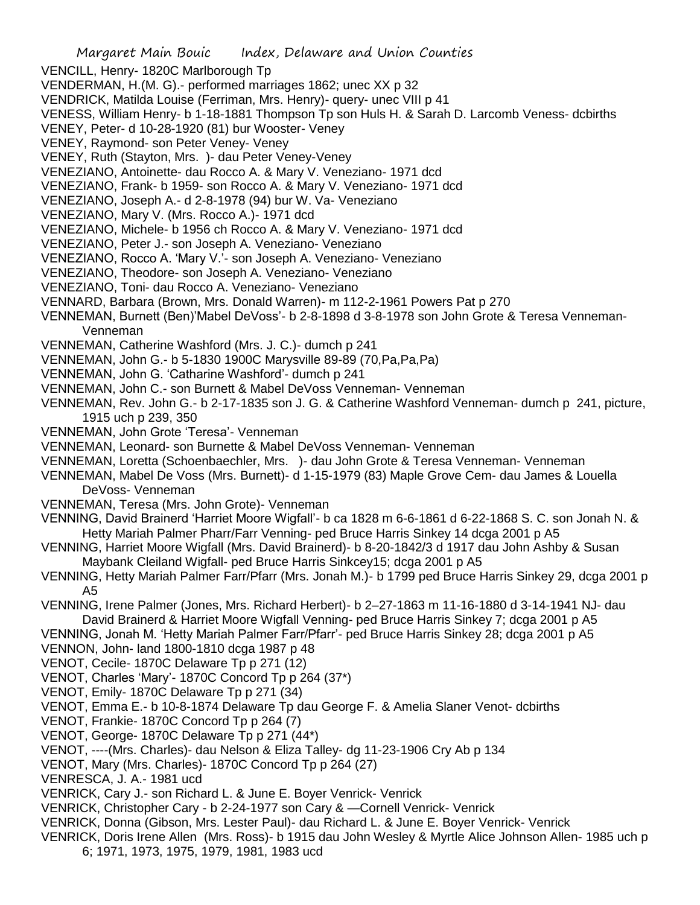VENCILL, Henry- 1820C Marlborough Tp

- VENDERMAN, H.(M. G).- performed marriages 1862; unec XX p 32
- VENDRICK, Matilda Louise (Ferriman, Mrs. Henry)- query- unec VIII p 41
- VENESS, William Henry- b 1-18-1881 Thompson Tp son Huls H. & Sarah D. Larcomb Veness- dcbirths
- VENEY, Peter- d 10-28-1920 (81) bur Wooster- Veney
- VENEY, Raymond- son Peter Veney- Veney
- VENEY, Ruth (Stayton, Mrs. )- dau Peter Veney-Veney
- VENEZIANO, Antoinette- dau Rocco A. & Mary V. Veneziano- 1971 dcd
- VENEZIANO, Frank- b 1959- son Rocco A. & Mary V. Veneziano- 1971 dcd
- VENEZIANO, Joseph A.- d 2-8-1978 (94) bur W. Va- Veneziano
- VENEZIANO, Mary V. (Mrs. Rocco A.)- 1971 dcd
- VENEZIANO, Michele- b 1956 ch Rocco A. & Mary V. Veneziano- 1971 dcd
- VENEZIANO, Peter J.- son Joseph A. Veneziano- Veneziano
- VENEZIANO, Rocco A. 'Mary V.'- son Joseph A. Veneziano- Veneziano
- VENEZIANO, Theodore- son Joseph A. Veneziano- Veneziano
- VENEZIANO, Toni- dau Rocco A. Veneziano- Veneziano
- VENNARD, Barbara (Brown, Mrs. Donald Warren)- m 112-2-1961 Powers Pat p 270
- VENNEMAN, Burnett (Ben)'Mabel DeVoss'- b 2-8-1898 d 3-8-1978 son John Grote & Teresa Venneman-Venneman
- VENNEMAN, Catherine Washford (Mrs. J. C.)- dumch p 241
- VENNEMAN, John G.- b 5-1830 1900C Marysville 89-89 (70,Pa,Pa,Pa)
- VENNEMAN, John G. 'Catharine Washford'- dumch p 241
- VENNEMAN, John C.- son Burnett & Mabel DeVoss Venneman- Venneman
- VENNEMAN, Rev. John G.- b 2-17-1835 son J. G. & Catherine Washford Venneman- dumch p 241, picture, 1915 uch p 239, 350
- VENNEMAN, John Grote 'Teresa'- Venneman
- VENNEMAN, Leonard- son Burnette & Mabel DeVoss Venneman- Venneman
- VENNEMAN, Loretta (Schoenbaechler, Mrs. )- dau John Grote & Teresa Venneman- Venneman
- VENNEMAN, Mabel De Voss (Mrs. Burnett)- d 1-15-1979 (83) Maple Grove Cem- dau James & Louella DeVoss- Venneman
- VENNEMAN, Teresa (Mrs. John Grote)- Venneman
- VENNING, David Brainerd 'Harriet Moore Wigfall'- b ca 1828 m 6-6-1861 d 6-22-1868 S. C. son Jonah N. & Hetty Mariah Palmer Pharr/Farr Venning- ped Bruce Harris Sinkey 14 dcga 2001 p A5
- VENNING, Harriet Moore Wigfall (Mrs. David Brainerd)- b 8-20-1842/3 d 1917 dau John Ashby & Susan Maybank Cleiland Wigfall- ped Bruce Harris Sinkcey15; dcga 2001 p A5
- VENNING, Hetty Mariah Palmer Farr/Pfarr (Mrs. Jonah M.)- b 1799 ped Bruce Harris Sinkey 29, dcga 2001 p A5
- VENNING, Irene Palmer (Jones, Mrs. Richard Herbert)- b 2–27-1863 m 11-16-1880 d 3-14-1941 NJ- dau David Brainerd & Harriet Moore Wigfall Venning- ped Bruce Harris Sinkey 7; dcga 2001 p A5
- VENNING, Jonah M. 'Hetty Mariah Palmer Farr/Pfarr'- ped Bruce Harris Sinkey 28; dcga 2001 p A5
- VENNON, John- land 1800-1810 dcga 1987 p 48
- VENOT, Cecile- 1870C Delaware Tp p 271 (12)
- VENOT, Charles 'Mary'- 1870C Concord Tp p 264 (37\*)
- VENOT, Emily- 1870C Delaware Tp p 271 (34)
- VENOT, Emma E.- b 10-8-1874 Delaware Tp dau George F. & Amelia Slaner Venot- dcbirths
- VENOT, Frankie- 1870C Concord Tp p 264 (7)
- VENOT, George- 1870C Delaware Tp p 271 (44\*)
- VENOT, ----(Mrs. Charles)- dau Nelson & Eliza Talley- dg 11-23-1906 Cry Ab p 134
- VENOT, Mary (Mrs. Charles)- 1870C Concord Tp p 264 (27)
- VENRESCA, J. A.- 1981 ucd
- VENRICK, Cary J.- son Richard L. & June E. Boyer Venrick- Venrick
- VENRICK, Christopher Cary b 2-24-1977 son Cary & —Cornell Venrick- Venrick
- VENRICK, Donna (Gibson, Mrs. Lester Paul)- dau Richard L. & June E. Boyer Venrick- Venrick
- VENRICK, Doris Irene Allen (Mrs. Ross)- b 1915 dau John Wesley & Myrtle Alice Johnson Allen- 1985 uch p 6; 1971, 1973, 1975, 1979, 1981, 1983 ucd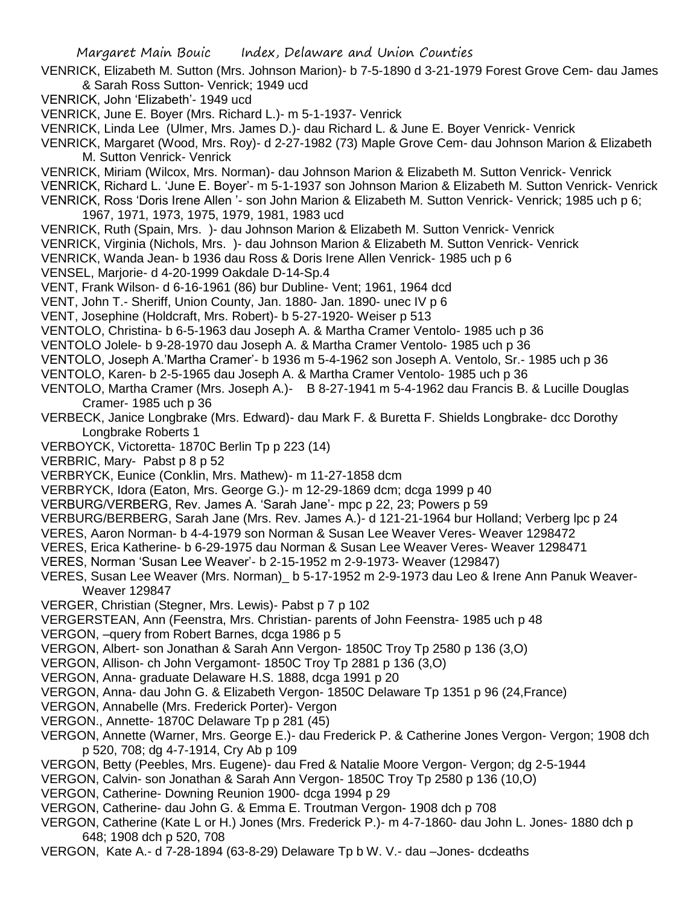- VENRICK, Elizabeth M. Sutton (Mrs. Johnson Marion)- b 7-5-1890 d 3-21-1979 Forest Grove Cem- dau James & Sarah Ross Sutton- Venrick; 1949 ucd
- VENRICK, John 'Elizabeth'- 1949 ucd
- VENRICK, June E. Boyer (Mrs. Richard L.)- m 5-1-1937- Venrick

VENRICK, Linda Lee (Ulmer, Mrs. James D.)- dau Richard L. & June E. Boyer Venrick- Venrick

VENRICK, Margaret (Wood, Mrs. Roy)- d 2-27-1982 (73) Maple Grove Cem- dau Johnson Marion & Elizabeth M. Sutton Venrick- Venrick

- VENRICK, Miriam (Wilcox, Mrs. Norman)- dau Johnson Marion & Elizabeth M. Sutton Venrick- Venrick
- VENRICK, Richard L. 'June E. Boyer'- m 5-1-1937 son Johnson Marion & Elizabeth M. Sutton Venrick- Venrick VENRICK, Ross 'Doris Irene Allen '- son John Marion & Elizabeth M. Sutton Venrick- Venrick; 1985 uch p 6;
- 1967, 1971, 1973, 1975, 1979, 1981, 1983 ucd
- VENRICK, Ruth (Spain, Mrs. )- dau Johnson Marion & Elizabeth M. Sutton Venrick- Venrick
- VENRICK, Virginia (Nichols, Mrs. )- dau Johnson Marion & Elizabeth M. Sutton Venrick- Venrick
- VENRICK, Wanda Jean- b 1936 dau Ross & Doris Irene Allen Venrick- 1985 uch p 6
- VENSEL, Marjorie- d 4-20-1999 Oakdale D-14-Sp.4
- VENT, Frank Wilson- d 6-16-1961 (86) bur Dubline- Vent; 1961, 1964 dcd
- VENT, John T.- Sheriff, Union County, Jan. 1880- Jan. 1890- unec IV p 6
- VENT, Josephine (Holdcraft, Mrs. Robert)- b 5-27-1920- Weiser p 513
- VENTOLO, Christina- b 6-5-1963 dau Joseph A. & Martha Cramer Ventolo- 1985 uch p 36
- VENTOLO Jolele- b 9-28-1970 dau Joseph A. & Martha Cramer Ventolo- 1985 uch p 36
- VENTOLO, Joseph A.'Martha Cramer'- b 1936 m 5-4-1962 son Joseph A. Ventolo, Sr.- 1985 uch p 36
- VENTOLO, Karen- b 2-5-1965 dau Joseph A. & Martha Cramer Ventolo- 1985 uch p 36
- VENTOLO, Martha Cramer (Mrs. Joseph A.)- B 8-27-1941 m 5-4-1962 dau Francis B. & Lucille Douglas Cramer- 1985 uch p 36
- VERBECK, Janice Longbrake (Mrs. Edward)- dau Mark F. & Buretta F. Shields Longbrake- dcc Dorothy Longbrake Roberts 1
- VERBOYCK, Victoretta- 1870C Berlin Tp p 223 (14)
- VERBRIC, Mary- Pabst p 8 p 52
- VERBRYCK, Eunice (Conklin, Mrs. Mathew)- m 11-27-1858 dcm
- VERBRYCK, Idora (Eaton, Mrs. George G.)- m 12-29-1869 dcm; dcga 1999 p 40
- VERBURG/VERBERG, Rev. James A. 'Sarah Jane'- mpc p 22, 23; Powers p 59
- VERBURG/BERBERG, Sarah Jane (Mrs. Rev. James A.)- d 121-21-1964 bur Holland; Verberg lpc p 24
- VERES, Aaron Norman- b 4-4-1979 son Norman & Susan Lee Weaver Veres- Weaver 1298472
- VERES, Erica Katherine- b 6-29-1975 dau Norman & Susan Lee Weaver Veres- Weaver 1298471
- VERES, Norman 'Susan Lee Weaver'- b 2-15-1952 m 2-9-1973- Weaver (129847)
- VERES, Susan Lee Weaver (Mrs. Norman)\_ b 5-17-1952 m 2-9-1973 dau Leo & Irene Ann Panuk Weaver-Weaver 129847
- VERGER, Christian (Stegner, Mrs. Lewis)- Pabst p 7 p 102
- VERGERSTEAN, Ann (Feenstra, Mrs. Christian- parents of John Feenstra- 1985 uch p 48
- VERGON, –query from Robert Barnes, dcga 1986 p 5
- VERGON, Albert- son Jonathan & Sarah Ann Vergon- 1850C Troy Tp 2580 p 136 (3,O)
- VERGON, Allison- ch John Vergamont- 1850C Troy Tp 2881 p 136 (3,O)
- VERGON, Anna- graduate Delaware H.S. 1888, dcga 1991 p 20
- VERGON, Anna- dau John G. & Elizabeth Vergon- 1850C Delaware Tp 1351 p 96 (24,France)
- VERGON, Annabelle (Mrs. Frederick Porter)- Vergon
- VERGON., Annette- 1870C Delaware Tp p 281 (45)
- VERGON, Annette (Warner, Mrs. George E.)- dau Frederick P. & Catherine Jones Vergon- Vergon; 1908 dch p 520, 708; dg 4-7-1914, Cry Ab p 109
- VERGON, Betty (Peebles, Mrs. Eugene)- dau Fred & Natalie Moore Vergon- Vergon; dg 2-5-1944
- VERGON, Calvin- son Jonathan & Sarah Ann Vergon- 1850C Troy Tp 2580 p 136 (10,O)
- VERGON, Catherine- Downing Reunion 1900- dcga 1994 p 29
- VERGON, Catherine- dau John G. & Emma E. Troutman Vergon- 1908 dch p 708
- VERGON, Catherine (Kate L or H.) Jones (Mrs. Frederick P.)- m 4-7-1860- dau John L. Jones- 1880 dch p 648; 1908 dch p 520, 708
- VERGON, Kate A.- d 7-28-1894 (63-8-29) Delaware Tp b W. V.- dau –Jones- dcdeaths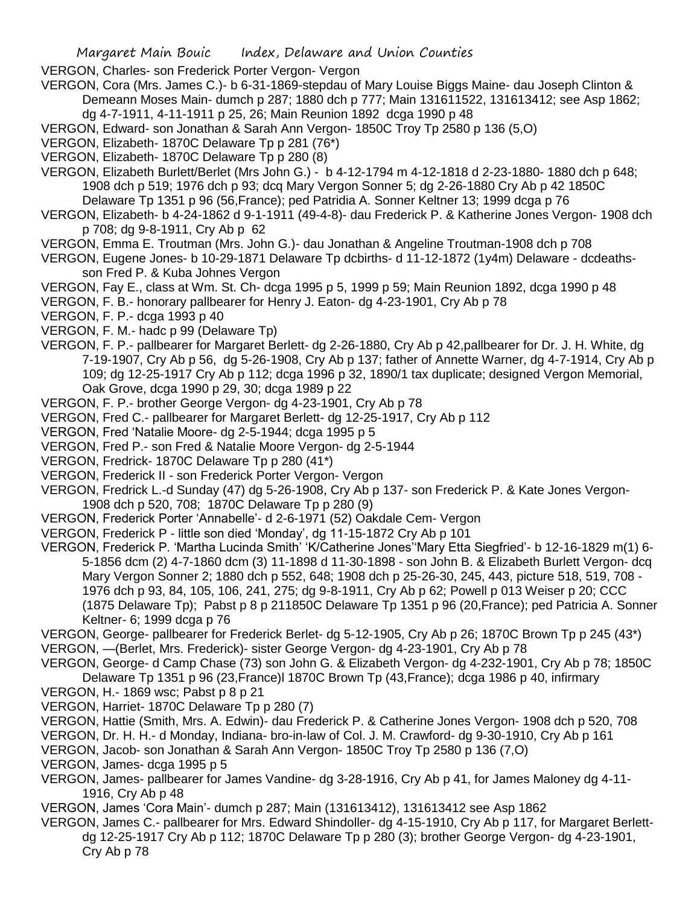VERGON, Charles- son Frederick Porter Vergon- Vergon

- VERGON, Cora (Mrs. James C.)- b 6-31-1869-stepdau of Mary Louise Biggs Maine- dau Joseph Clinton & Demeann Moses Main- dumch p 287; 1880 dch p 777; Main 131611522, 131613412; see Asp 1862; dg 4-7-1911, 4-11-1911 p 25, 26; Main Reunion 1892 dcga 1990 p 48
- VERGON, Edward- son Jonathan & Sarah Ann Vergon- 1850C Troy Tp 2580 p 136 (5,O)
- VERGON, Elizabeth- 1870C Delaware Tp p 281 (76\*)
- VERGON, Elizabeth- 1870C Delaware Tp p 280 (8)
- VERGON, Elizabeth Burlett/Berlet (Mrs John G.) b 4-12-1794 m 4-12-1818 d 2-23-1880- 1880 dch p 648; 1908 dch p 519; 1976 dch p 93; dcq Mary Vergon Sonner 5; dg 2-26-1880 Cry Ab p 42 1850C Delaware Tp 1351 p 96 (56,France); ped Patridia A. Sonner Keltner 13; 1999 dcga p 76
- VERGON, Elizabeth- b 4-24-1862 d 9-1-1911 (49-4-8)- dau Frederick P. & Katherine Jones Vergon- 1908 dch p 708; dg 9-8-1911, Cry Ab p 62
- VERGON, Emma E. Troutman (Mrs. John G.)- dau Jonathan & Angeline Troutman-1908 dch p 708
- VERGON, Eugene Jones- b 10-29-1871 Delaware Tp dcbirths- d 11-12-1872 (1y4m) Delaware dcdeathsson Fred P. & Kuba Johnes Vergon
- VERGON, Fay E., class at Wm. St. Ch- dcga 1995 p 5, 1999 p 59; Main Reunion 1892, dcga 1990 p 48
- VERGON, F. B.- honorary pallbearer for Henry J. Eaton- dg 4-23-1901, Cry Ab p 78
- VERGON, F. P.- dcga 1993 p 40
- VERGON, F. M.- hadc p 99 (Delaware Tp)
- VERGON, F. P.- pallbearer for Margaret Berlett- dg 2-26-1880, Cry Ab p 42,pallbearer for Dr. J. H. White, dg 7-19-1907, Cry Ab p 56, dg 5-26-1908, Cry Ab p 137; father of Annette Warner, dg 4-7-1914, Cry Ab p 109; dg 12-25-1917 Cry Ab p 112; dcga 1996 p 32, 1890/1 tax duplicate; designed Vergon Memorial, Oak Grove, dcga 1990 p 29, 30; dcga 1989 p 22
- VERGON, F. P.- brother George Vergon- dg 4-23-1901, Cry Ab p 78
- VERGON, Fred C.- pallbearer for Margaret Berlett- dg 12-25-1917, Cry Ab p 112
- VERGON, Fred 'Natalie Moore- dg 2-5-1944; dcga 1995 p 5
- VERGON, Fred P.- son Fred & Natalie Moore Vergon- dg 2-5-1944
- VERGON, Fredrick- 1870C Delaware Tp p 280 (41\*)
- VERGON, Frederick II son Frederick Porter Vergon- Vergon
- VERGON, Fredrick L.-d Sunday (47) dg 5-26-1908, Cry Ab p 137- son Frederick P. & Kate Jones Vergon-1908 dch p 520, 708; 1870C Delaware Tp p 280 (9)
- VERGON, Frederick Porter 'Annabelle'- d 2-6-1971 (52) Oakdale Cem- Vergon
- VERGON, Frederick P little son died 'Monday', dg 11-15-1872 Cry Ab p 101
- VERGON, Frederick P. 'Martha Lucinda Smith' 'K/Catherine Jones''Mary Etta Siegfried'- b 12-16-1829 m(1) 6- 5-1856 dcm (2) 4-7-1860 dcm (3) 11-1898 d 11-30-1898 - son John B. & Elizabeth Burlett Vergon- dcq Mary Vergon Sonner 2; 1880 dch p 552, 648; 1908 dch p 25-26-30, 245, 443, picture 518, 519, 708 - 1976 dch p 93, 84, 105, 106, 241, 275; dg 9-8-1911, Cry Ab p 62; Powell p 013 Weiser p 20; CCC (1875 Delaware Tp); Pabst p 8 p 211850C Delaware Tp 1351 p 96 (20,France); ped Patricia A. Sonner Keltner- 6; 1999 dcga p 76
- VERGON, George- pallbearer for Frederick Berlet- dg 5-12-1905, Cry Ab p 26; 1870C Brown Tp p 245 (43\*) VERGON, —(Berlet, Mrs. Frederick)- sister George Vergon- dg 4-23-1901, Cry Ab p 78
- VERGON, George- d Camp Chase (73) son John G. & Elizabeth Vergon- dg 4-232-1901, Cry Ab p 78; 1850C Delaware Tp 1351 p 96 (23,France)l 1870C Brown Tp (43,France); dcga 1986 p 40, infirmary
- VERGON, H.- 1869 wsc; Pabst p 8 p 21
- VERGON, Harriet- 1870C Delaware Tp p 280 (7)
- VERGON, Hattie (Smith, Mrs. A. Edwin)- dau Frederick P. & Catherine Jones Vergon- 1908 dch p 520, 708
- VERGON, Dr. H. H.- d Monday, Indiana- bro-in-law of Col. J. M. Crawford- dg 9-30-1910, Cry Ab p 161
- VERGON, Jacob- son Jonathan & Sarah Ann Vergon- 1850C Troy Tp 2580 p 136 (7,O)
- VERGON, James- dcga 1995 p 5
- VERGON, James- pallbearer for James Vandine- dg 3-28-1916, Cry Ab p 41, for James Maloney dg 4-11- 1916, Cry Ab p 48
- VERGON, James 'Cora Main'- dumch p 287; Main (131613412), 131613412 see Asp 1862
- VERGON, James C.- pallbearer for Mrs. Edward Shindoller- dg 4-15-1910, Cry Ab p 117, for Margaret Berlettdg 12-25-1917 Cry Ab p 112; 1870C Delaware Tp p 280 (3); brother George Vergon- dg 4-23-1901, Cry Ab p 78